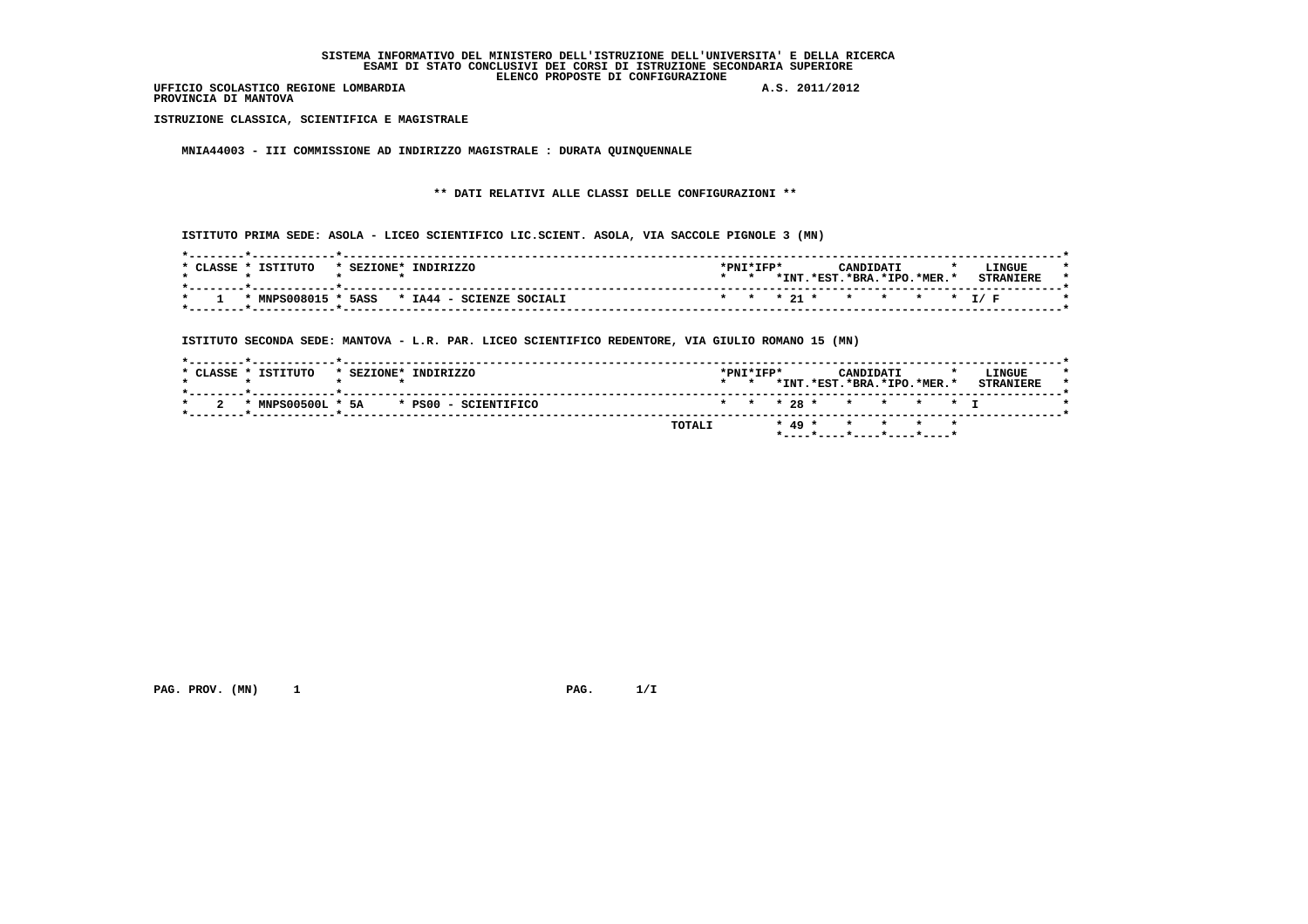**PROVINCIA DI MANTOVA**

 **ISTRUZIONE CLASSICA, SCIENTIFICA E MAGISTRALE**

 **MNIA44003 - III COMMISSIONE AD INDIRIZZO MAGISTRALE : DURATA QUINQUENNALE**

 **\*\* DATI RELATIVI ALLE CLASSI DELLE CONFIGURAZIONI \*\***

 **ISTITUTO PRIMA SEDE: ASOLA - LICEO SCIENTIFICO LIC.SCIENT. ASOLA, VIA SACCOLE PIGNOLE 3 (MN)**

| CLASSE | TSTTTITO | * SEZIONE* | <b>INDIRIZZO</b>                             | $*$ PNT $*$ TFP $*$ |                            | CANDIDATI |  | LINGUE                   |  |
|--------|----------|------------|----------------------------------------------|---------------------|----------------------------|-----------|--|--------------------------|--|
|        |          |            |                                              |                     | *INT.*EST.*BRA.*IPO.*MER.* |           |  | <b>STRANIERE</b>         |  |
|        |          |            | * MNPS008015 * 5ASS * IA44 - SCIENZE SOCIALI |                     |                            |           |  | * * * 21 * * * * * * T/F |  |

 **ISTITUTO SECONDA SEDE: MANTOVA - L.R. PAR. LICEO SCIENTIFICO REDENTORE, VIA GIULIO ROMANO 15 (MN)**

| * CLASSE * ISTITUTO<br>* SEZIONE* INDIRIZZO | $*$ PNT $*$ TFP $*$<br>LINGUE<br>CANDIDATI<br>*INT.*EST.*BRA.*IPO.*MER.*<br><b>STRANTERF</b> |
|---------------------------------------------|----------------------------------------------------------------------------------------------|
| * MNPS00500L * 5A * PS00 - SCIENTIFICO      | * * * 28 * * * * * * I                                                                       |
|                                             | * 49 * * * * * *<br>TOTALI                                                                   |

 **PAG. PROV. (MN) 1 PAG. 1/I**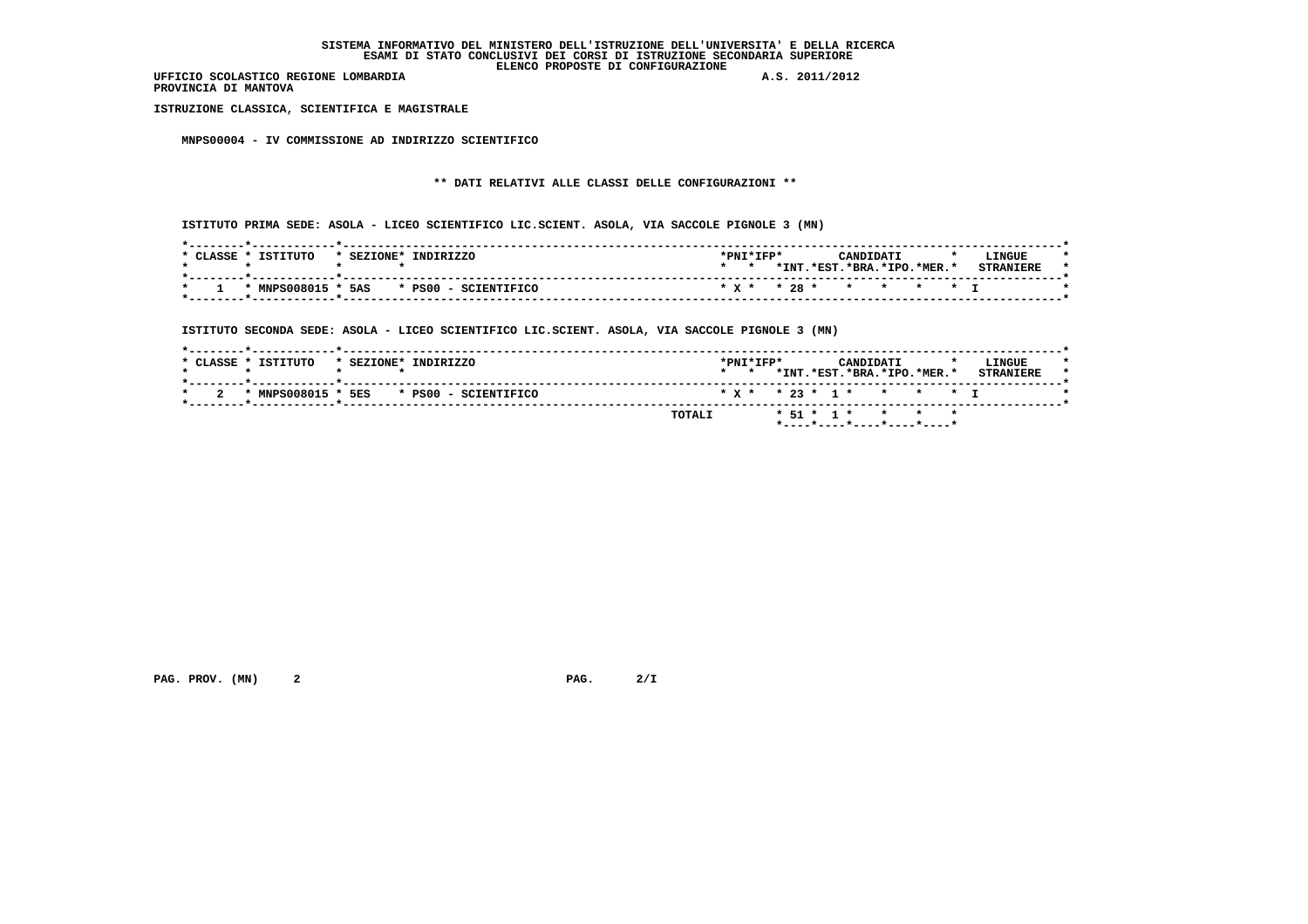**PROVINCIA DI MANTOVA**

 **ISTRUZIONE CLASSICA, SCIENTIFICA E MAGISTRALE**

 **MNPS00004 - IV COMMISSIONE AD INDIRIZZO SCIENTIFICO**

# **\*\* DATI RELATIVI ALLE CLASSI DELLE CONFIGURAZIONI \*\***

 **ISTITUTO PRIMA SEDE: ASOLA - LICEO SCIENTIFICO LIC.SCIENT. ASOLA, VIA SACCOLE PIGNOLE 3 (MN)**

| *PNI*IFP*<br>LINGUE<br>CANDIDATI<br>$\cdot$           |
|-------------------------------------------------------|
| *INT.<br>$.*EST.*BRA.*IPO.*MER.*$<br><b>CTDANTPDF</b> |
| * x * * 28 * * * * * * I                              |
|                                                       |

 **ISTITUTO SECONDA SEDE: ASOLA - LICEO SCIENTIFICO LIC.SCIENT. ASOLA, VIA SACCOLE PIGNOLE 3 (MN)**

| *PNI*IFP*<br>* CLASSE * ISTITUTO<br>LINGUE<br>* SEZIONE* INDIRIZZO<br>CANDIDATI<br>*INT.*EST.*BRA.*IPO.*MER.*<br><b>STRANTERE</b><br>$\star$ $\star$<br>* MNPS008015 *<br>5ES<br>$* x * * 23 * 1 * * * * * * 1$<br>* PS00 - SCIENTIFICO | TOTALI | $*$ 51 $*$ 1 $*$ $*$ $*$ $*$ |  |  |
|-----------------------------------------------------------------------------------------------------------------------------------------------------------------------------------------------------------------------------------------|--------|------------------------------|--|--|
|                                                                                                                                                                                                                                         |        |                              |  |  |
|                                                                                                                                                                                                                                         |        |                              |  |  |

 **PAG. PROV. (MN) 2 2 2/1 PAG. 2/I**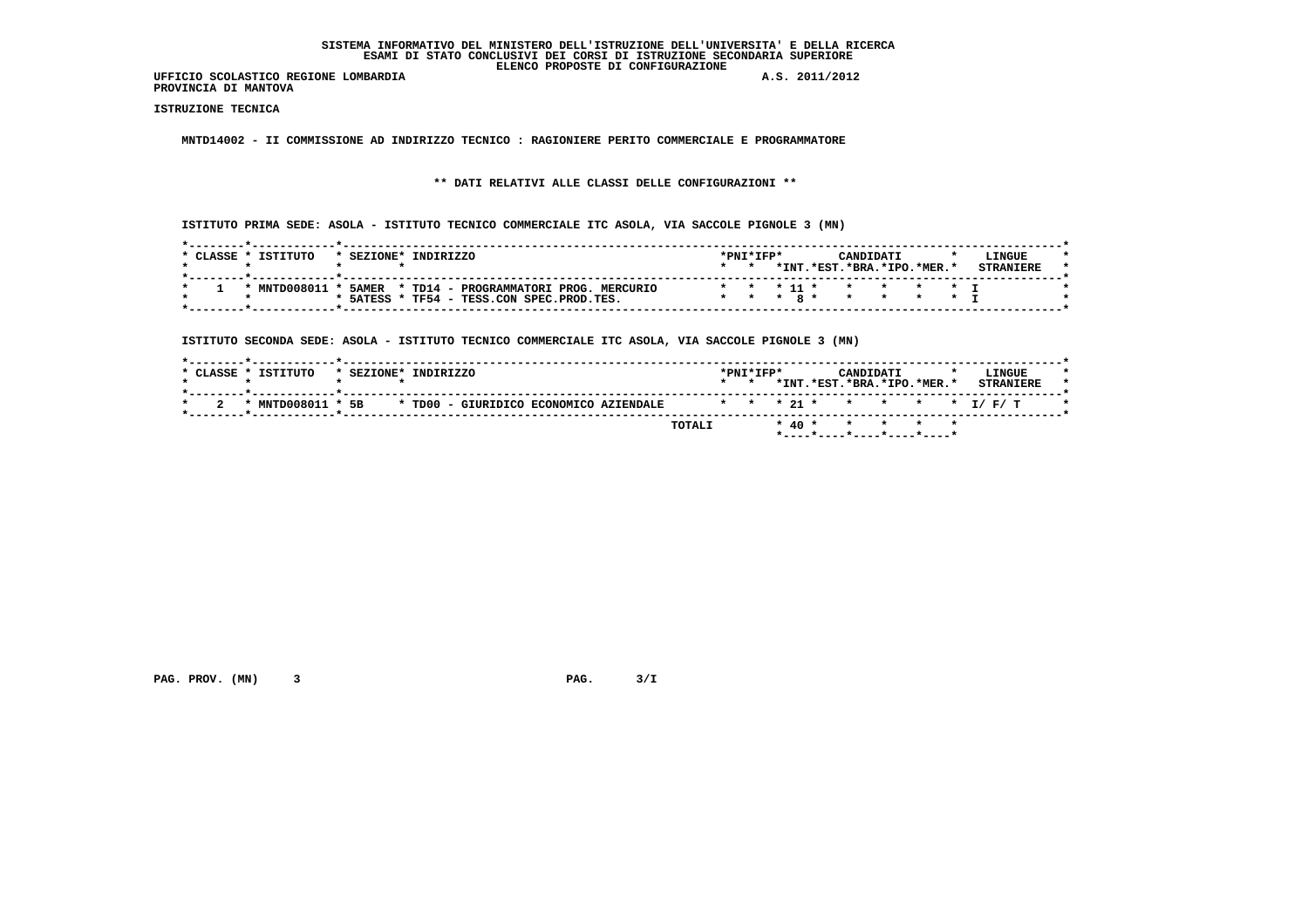**PROVINCIA DI MANTOVA**

 **ISTRUZIONE TECNICA**

 **MNTD14002 - II COMMISSIONE AD INDIRIZZO TECNICO : RAGIONIERE PERITO COMMERCIALE E PROGRAMMATORE**

 **\*\* DATI RELATIVI ALLE CLASSI DELLE CONFIGURAZIONI \*\***

 **ISTITUTO PRIMA SEDE: ASOLA - ISTITUTO TECNICO COMMERCIALE ITC ASOLA, VIA SACCOLE PIGNOLE 3 (MN)**

| CLASSE * | <b>TSTITUTO</b> | * SEZIONE* | TNDTRTZZO                                   |            | $*$ PNT $*$ TFP $*$ |  |            | CANDIDATI              |         |  | L TNGUE. |  |
|----------|-----------------|------------|---------------------------------------------|------------|---------------------|--|------------|------------------------|---------|--|----------|--|
|          |                 |            |                                             |            |                     |  | *INT.*EST. | $.*BRA.*IPO.*MER.*$    |         |  |          |  |
|          | * MNTD008011    |            | 5AMER * TD14 - PROGRAMMATORI PROG. MERCURIO |            |                     |  |            | * * * 11 * * * * * * T |         |  |          |  |
|          |                 | * 5ATESS   | TF54 - TESS.CON SPEC.PROD.TES.              | $* * * R*$ |                     |  |            | $\star$ $\star$        | * * * T |  |          |  |

 **ISTITUTO SECONDA SEDE: ASOLA - ISTITUTO TECNICO COMMERCIALE ITC ASOLA, VIA SACCOLE PIGNOLE 3 (MN)**

| * CLASSE * ISTITUTO | * SEZIONE* INDIRIZZO |                                        |  |        | $*$ PNT $*$ TFP $*$ |  | CANDIDATI | *INT.*EST.*BRA.*IPO.*MER.* | LINGUE<br><b>STRANTERE</b> |
|---------------------|----------------------|----------------------------------------|--|--------|---------------------|--|-----------|----------------------------|----------------------------|
| * MNTD008011 * 5B   |                      | * TD00 - GIURIDICO ECONOMICO AZIENDALE |  |        |                     |  |           |                            | * * * 21 * * * * * * I/F/T |
|                     |                      |                                        |  | TOTALI |                     |  |           | * 40 * * * * * *           |                            |

 **PAG. PROV. (MN) 3 PAG. 3/I**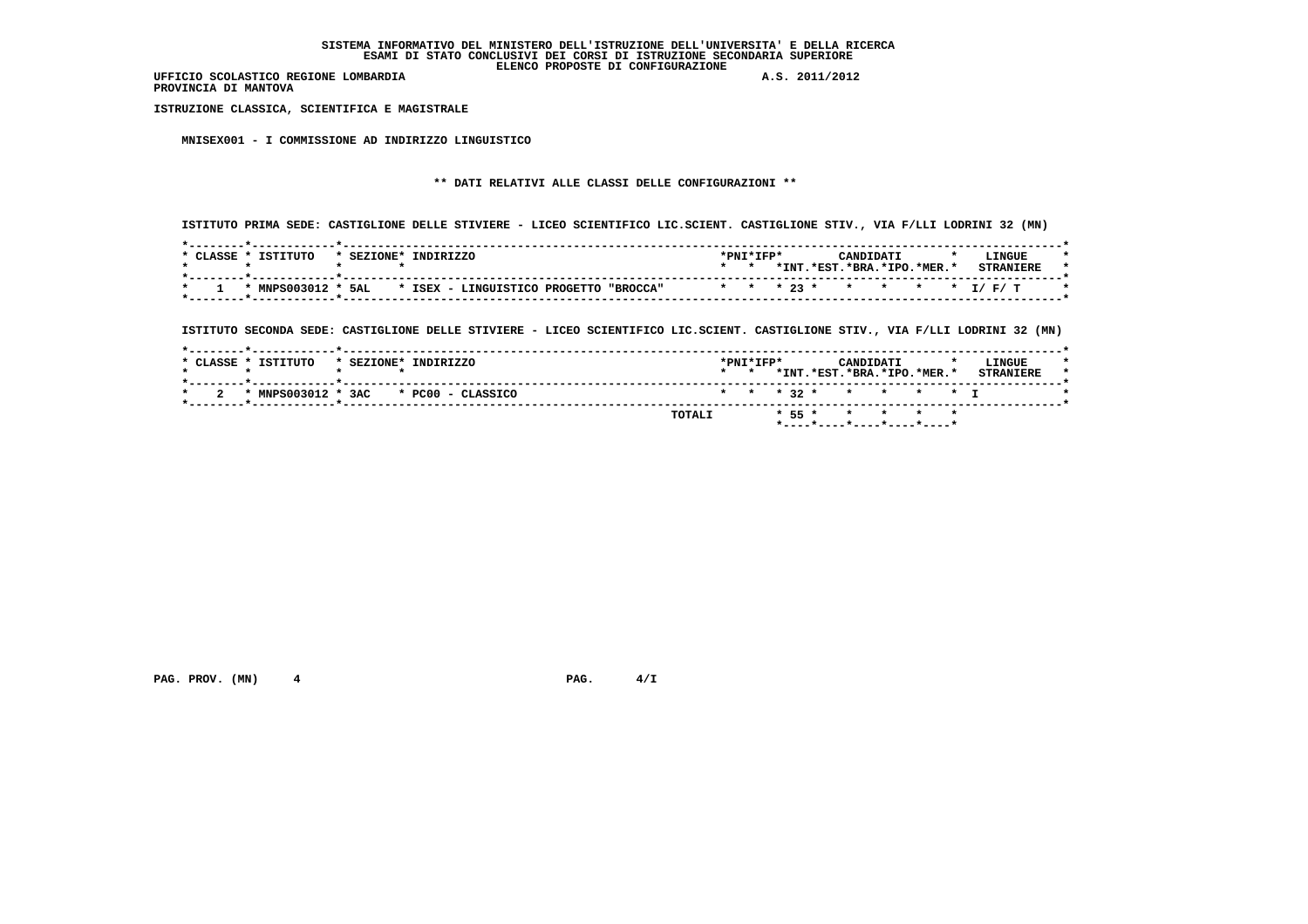**PROVINCIA DI MANTOVA**

 **ISTRUZIONE CLASSICA, SCIENTIFICA E MAGISTRALE**

 **MNISEX001 - I COMMISSIONE AD INDIRIZZO LINGUISTICO**

# **\*\* DATI RELATIVI ALLE CLASSI DELLE CONFIGURAZIONI \*\***

 **ISTITUTO PRIMA SEDE: CASTIGLIONE DELLE STIVIERE - LICEO SCIENTIFICO LIC.SCIENT. CASTIGLIONE STIV., VIA F/LLI LODRINI 32 (MN)**

| CLASSE | TSTTTITO | * SEZIONE* | TNDTRTZZO                                                 | $*$ DNT $*$ TFD $*$ |      |                        | CANDIDATI |  | <b>LINGUE</b>            |
|--------|----------|------------|-----------------------------------------------------------|---------------------|------|------------------------|-----------|--|--------------------------|
|        |          |            |                                                           |                     | *INT | .*EST.*BRA.*IPO.*MER.* |           |  | <b>STRANTERE</b>         |
|        |          |            | * MNPS003012 * 5AL * ISEX - LINGUISTICO PROGETTO "BROCCA" |                     |      |                        |           |  | * * * 23 * * * * * I/F/T |

 **ISTITUTO SECONDA SEDE: CASTIGLIONE DELLE STIVIERE - LICEO SCIENTIFICO LIC.SCIENT. CASTIGLIONE STIV., VIA F/LLI LODRINI 32 (MN)**

|                     |            |                       |  | TOTALI |                 |                     |  | * 55 * * * * *             |  |                  |  |
|---------------------|------------|-----------------------|--|--------|-----------------|---------------------|--|----------------------------|--|------------------|--|
| * MNPS003012 *      |            | 3AC * PC00 - CLASSICO |  |        |                 |                     |  | * * * 32 * * * * * T       |  |                  |  |
|                     |            |                       |  |        | $\star$ $\star$ |                     |  | *INT.*EST.*BRA.*IPO.*MER.* |  | <b>STRANIERE</b> |  |
| * CLASSE * ISTITUTO | * SEZIONE* | INDIRIZZO             |  |        |                 | $*$ PNT $*$ TFP $*$ |  | CANDIDATI                  |  | LINGUE           |  |
|                     |            |                       |  |        |                 |                     |  |                            |  |                  |  |

 **PAG. PROV.** (MN) 4 **PAG. PAG.**  $4/\text{I}$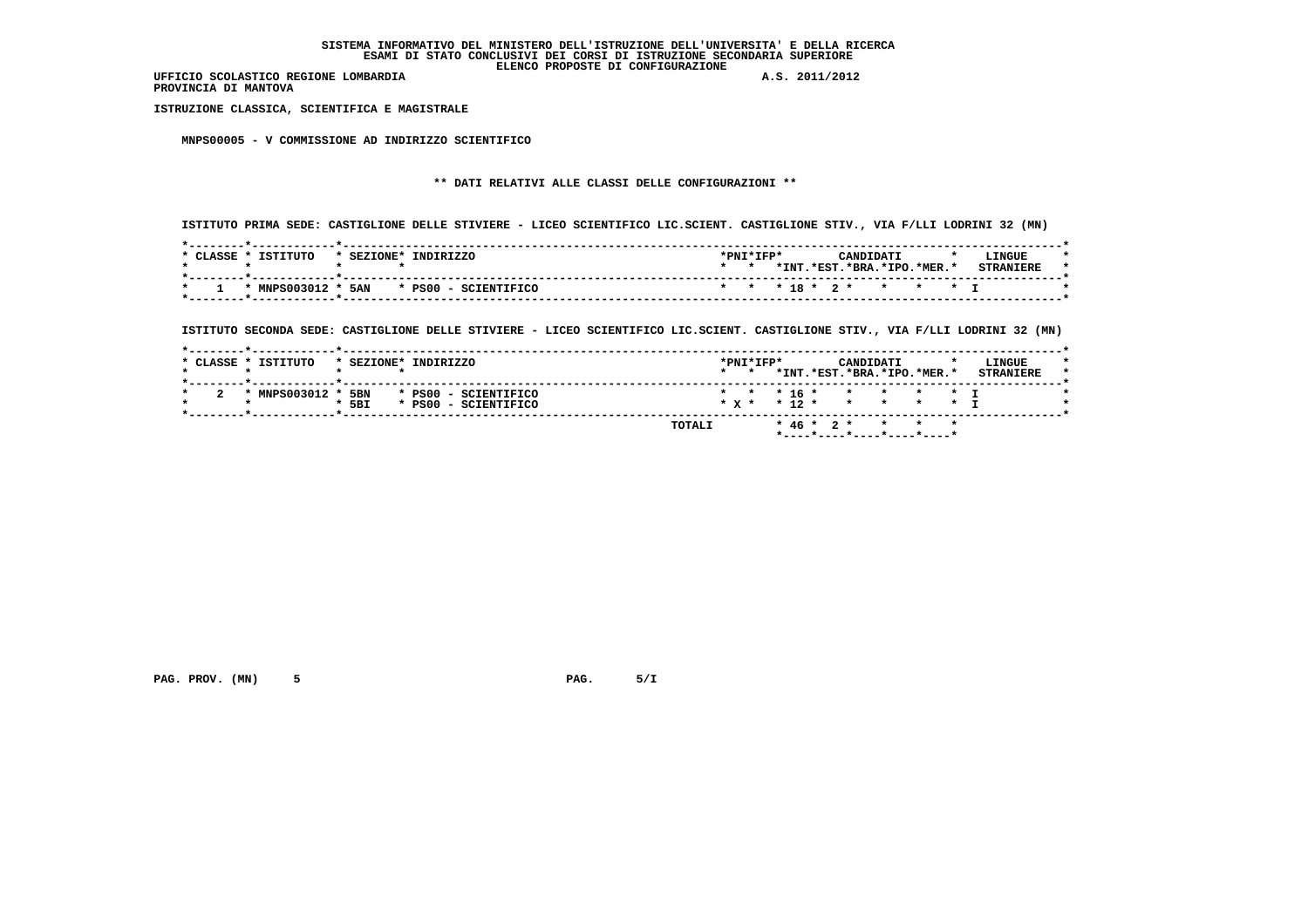**PROVINCIA DI MANTOVA**

 **ISTRUZIONE CLASSICA, SCIENTIFICA E MAGISTRALE**

 **MNPS00005 - V COMMISSIONE AD INDIRIZZO SCIENTIFICO**

# **\*\* DATI RELATIVI ALLE CLASSI DELLE CONFIGURAZIONI \*\***

 **ISTITUTO PRIMA SEDE: CASTIGLIONE DELLE STIVIERE - LICEO SCIENTIFICO LIC.SCIENT. CASTIGLIONE STIV., VIA F/LLI LODRINI 32 (MN)**

| CLASSE * | ISTITUTO | * SEZIONE* | INDIRIZZO                                     | *PNI*IFP* |       | CANDIDATI                |  | LINGUE |  |
|----------|----------|------------|-----------------------------------------------|-----------|-------|--------------------------|--|--------|--|
|          |          |            |                                               |           | * INT | .*EST.*BRA.*IPO.*MER.*   |  |        |  |
|          |          |            | $*$ MNPS003012 $*$ 5AN $*$ PS00 - SCIENTIFICO |           |       | * * * 18 * 2 * * * * * I |  |        |  |

 **ISTITUTO SECONDA SEDE: CASTIGLIONE DELLE STIVIERE - LICEO SCIENTIFICO LIC.SCIENT. CASTIGLIONE STIV., VIA F/LLI LODRINI 32 (MN)**

|                |         |                      |  | $\star$ $\star$ |  | *INT.*EST.*BRA.*IPO.*MER.*   | CANDIDATI |  | LINGUE<br><b>STRANIERE</b> |
|----------------|---------|----------------------|--|-----------------|--|------------------------------|-----------|--|----------------------------|
| * MNPS003012 * | 5BN     | * PS00 - SCIENTIFICO |  |                 |  | * * * 16 * * * * * * I       |           |  |                            |
|                | $*$ 5BI | * PS00 - SCIENTIFICO |  |                 |  | $* x * * 12 * * * * * * * T$ |           |  |                            |

 **PAG. PROV. (MN) 5 PAG. 5/I**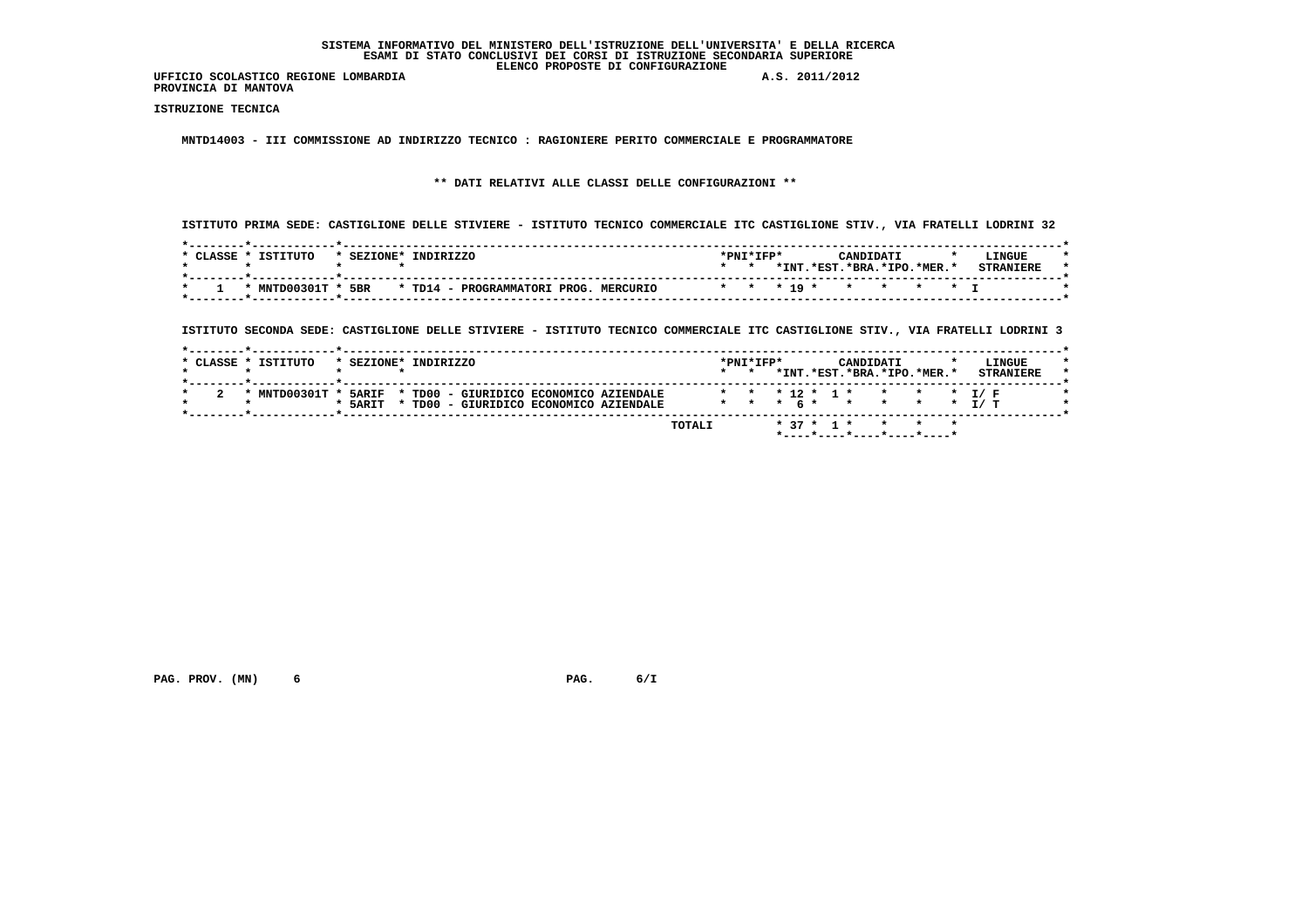**PROVINCIA DI MANTOVA**

 **ISTRUZIONE TECNICA**

 **MNTD14003 - III COMMISSIONE AD INDIRIZZO TECNICO : RAGIONIERE PERITO COMMERCIALE E PROGRAMMATORE**

# **\*\* DATI RELATIVI ALLE CLASSI DELLE CONFIGURAZIONI \*\***

 **ISTITUTO PRIMA SEDE: CASTIGLIONE DELLE STIVIERE - ISTITUTO TECNICO COMMERCIALE ITC CASTIGLIONE STIV., VIA FRATELLI LODRINI 32**

| CLASSE. | TSTTTITO       | * SEZIONE* | TNDTRTZZO                                       | *PNI*IFP* |       |                        | CANDIDATI |  | LINGUE           |
|---------|----------------|------------|-------------------------------------------------|-----------|-------|------------------------|-----------|--|------------------|
|         |                |            |                                                 |           | *INT. | .*EST.*BRA.*IPO.*MER.* |           |  | <b>CTDANTFDF</b> |
|         | * MNTD00301T * | 5BR        | * TD14 - PROGRAMMATORT PROG.<br><b>MERCURTO</b> |           |       | * * * 19 * * * * * * T |           |  |                  |

 **ISTITUTO SECONDA SEDE: CASTIGLIONE DELLE STIVIERE - ISTITUTO TECNICO COMMERCIALE ITC CASTIGLIONE STIV., VIA FRATELLI LODRINI 3**

|                     |                           |                      |                                              |                                      |                 |                     |              |           | LINGUE<br><b>STRANIERE</b>                                                                     |
|---------------------|---------------------------|----------------------|----------------------------------------------|--------------------------------------|-----------------|---------------------|--------------|-----------|------------------------------------------------------------------------------------------------|
|                     |                           |                      |                                              |                                      |                 |                     |              |           |                                                                                                |
|                     |                           |                      |                                              |                                      |                 |                     |              |           |                                                                                                |
|                     |                           |                      |                                              |                                      |                 |                     |              |           |                                                                                                |
|                     |                           |                      |                                              |                                      |                 |                     |              |           |                                                                                                |
|                     |                           |                      | TOTALI                                       |                                      |                 |                     |              |           |                                                                                                |
| * CLASSE * ISTITUTO | * MNTD00301T *<br>* 5ARIT | * SEZIONE* INDIRIZZO | 5ARIF * TD00 - GIURIDICO ECONOMICO AZIENDALE | TD00 - GIURIDICO ECONOMICO AZIENDALE | $\star$ $\star$ | $*$ PNT $*$ TFP $*$ | $* 37 * 1 *$ | CANDIDATI | *INT.*EST.*BRA.*IPO.*MER.*<br>* * * 12 * 1 * * * * * 1/ F<br>* * * 6 * * * * * * T/ T<br>* * * |

 **PAG. PROV. (MN) 6 PAG. 6/I**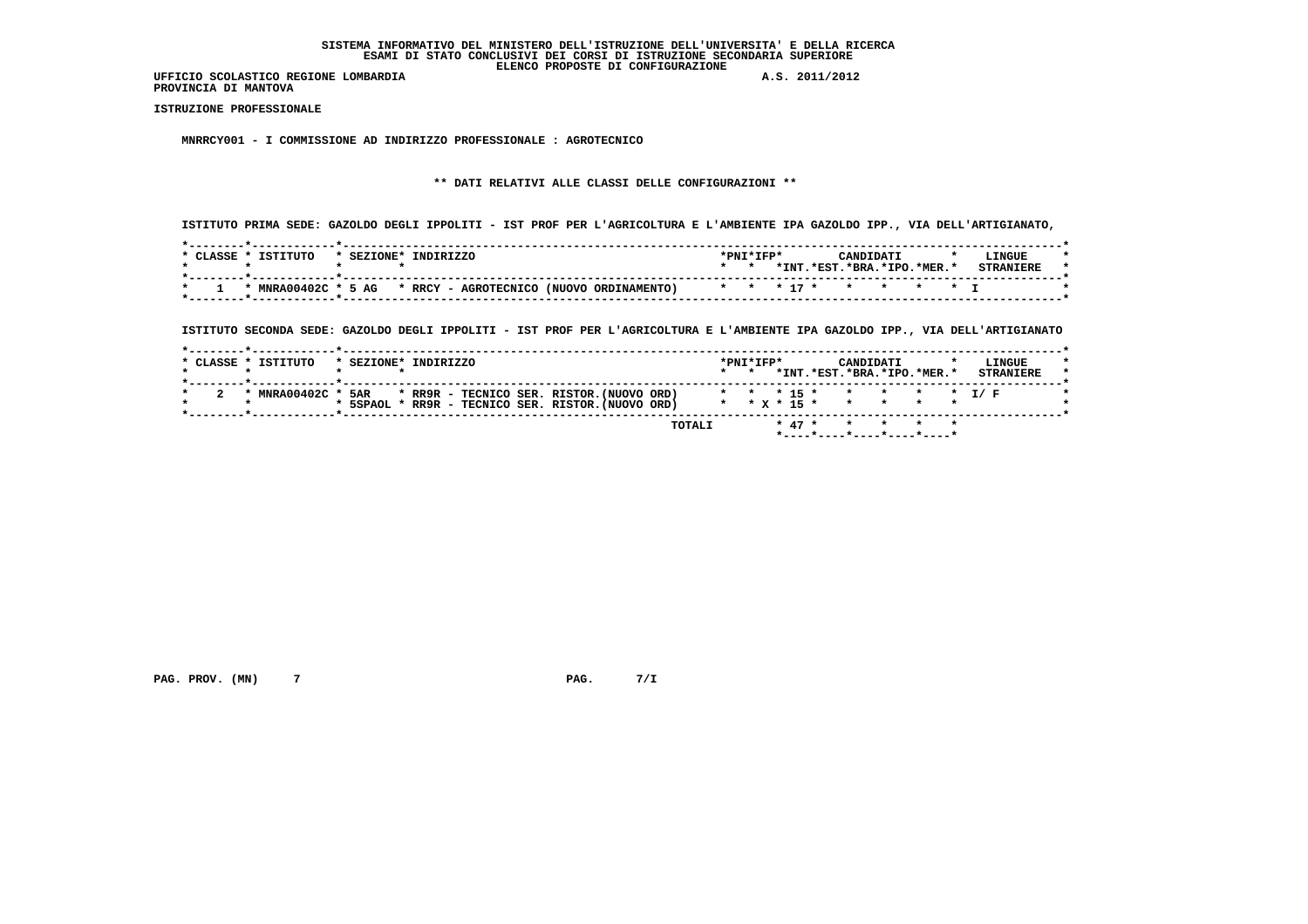**PROVINCIA DI MANTOVA**

 **ISTRUZIONE PROFESSIONALE**

 **MNRRCY001 - I COMMISSIONE AD INDIRIZZO PROFESSIONALE : AGROTECNICO**

# **\*\* DATI RELATIVI ALLE CLASSI DELLE CONFIGURAZIONI \*\***

 **ISTITUTO PRIMA SEDE: GAZOLDO DEGLI IPPOLITI - IST PROF PER L'AGRICOLTURA E L'AMBIENTE IPA GAZOLDO IPP., VIA DELL'ARTIGIANATO,**

| CLASSE * | ISTITUTO            | * SEZIONE* | INDIRIZZO |                                          | *PNI*IFP* |       |                          | <b>CANDIDAT1</b> |  | LINGUE |  |
|----------|---------------------|------------|-----------|------------------------------------------|-----------|-------|--------------------------|------------------|--|--------|--|
|          |                     |            |           |                                          |           | * INT | $.*EST.*BRA.*IPO.*MER.*$ |                  |  |        |  |
|          |                     |            |           |                                          |           |       |                          |                  |  |        |  |
|          | * MNRA00402C * 5 AG |            |           | * RRCY - AGROTECNICO (NUOVO ORDINAMENTO) |           |       | * * * 17 * * * * * * T   |                  |  |        |  |
|          |                     |            |           |                                          |           |       |                          |                  |  |        |  |

 **ISTITUTO SECONDA SEDE: GAZOLDO DEGLI IPPOLITI - IST PROF PER L'AGRICOLTURA E L'AMBIENTE IPA GAZOLDO IPP., VIA DELL'ARTIGIANATO**

| * CLASSE * ISTITUTO |                |     | * SEZIONE* INDIRIZZO                               |        | $*$ PNT $*$ TFP $*$<br>$\star$ $\star$ |          | CANDIDATI<br>*INT.*EST.*BRA.*IPO.*MER.* |  | LINGUE<br><b>STRANIERE</b> |
|---------------------|----------------|-----|----------------------------------------------------|--------|----------------------------------------|----------|-----------------------------------------|--|----------------------------|
|                     |                |     |                                                    |        |                                        |          |                                         |  |                            |
|                     | * MNRA00402C * | 5AR | * RR9R - TECNICO SER. RISTOR.(NUOVO ORD)           |        |                                        |          | * * * 15 * * * * * * 1/ F               |  |                            |
|                     |                |     | * 5SPAOL * RR9R - TECNICO SER. RISTOR. (NUOVO ORD) |        |                                        |          | * * x * 15 * * * * * *                  |  |                            |
|                     |                |     |                                                    |        |                                        |          |                                         |  |                            |
|                     |                |     |                                                    | TOTALI |                                        | $* 47 *$ | * * * *                                 |  |                            |

 **PAG. PROV. (MN) 7 7 PAG. 7/I**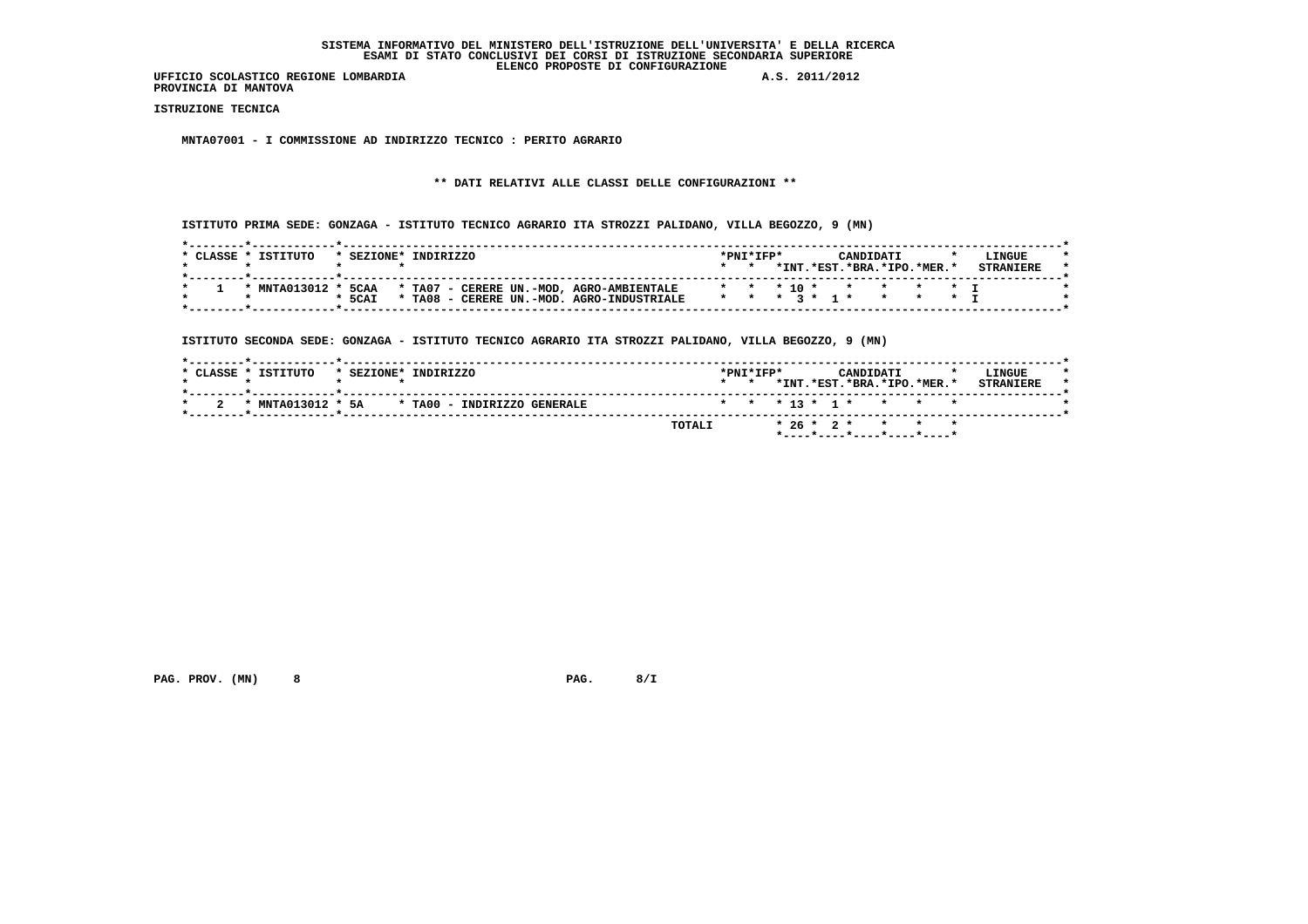**UFFICIO SCOLASTICO REGIONE LOMBARDIA A.S. 2011/2012 PROVINCIA DI MANTOVA**

 **ISTRUZIONE TECNICA**

 **MNTA07001 - I COMMISSIONE AD INDIRIZZO TECNICO : PERITO AGRARIO**

# **\*\* DATI RELATIVI ALLE CLASSI DELLE CONFIGURAZIONI \*\***

 **ISTITUTO PRIMA SEDE: GONZAGA - ISTITUTO TECNICO AGRARIO ITA STROZZI PALIDANO, VILLA BEGOZZO, 9 (MN)**

| CLASSE * | TSTTTITO     | * SEZIONE* | INDIRIZZO  |  |                                          | $*PNT*TFP*$   |  |         |          | CANDIDATI |                        | <b>LINGUE</b> |  |
|----------|--------------|------------|------------|--|------------------------------------------|---------------|--|---------|----------|-----------|------------------------|---------------|--|
|          |              |            |            |  |                                          |               |  | $*$ TNT | $.*EST.$ |           | $.*RRA.*TPO.*MFR.*$    |               |  |
|          |              |            |            |  |                                          |               |  |         |          |           |                        |               |  |
|          | * MNTA013012 | 5CAA       |            |  | * TA07 - CERERE UN.-MOD, AGRO-AMBIENTALE |               |  |         |          |           | * * * 10 * * * * * * T |               |  |
|          |              | $*$ 5CAI   | $*$ TA08 - |  | CERERE UN.-MOD. AGRO-INDUSTRIALE         | * * * * * 1 * |  |         |          |           |                        |               |  |
|          |              |            |            |  |                                          |               |  |         |          |           |                        |               |  |

 **ISTITUTO SECONDA SEDE: GONZAGA - ISTITUTO TECNICO AGRARIO ITA STROZZI PALIDANO, VILLA BEGOZZO, 9 (MN)**

| * CLASSE * ISTITUTO | * SEZIONE* INDIRIZZO        | $*$ PNT $*$ TFP $*$ |  |  | CANDIDATI | *INT.*EST.*BRA.*IPO.*MER.* | LINGUE<br><b>STRANTERE</b> |
|---------------------|-----------------------------|---------------------|--|--|-----------|----------------------------|----------------------------|
| * MNTA013012 * 5A   | * TA00 - INDIRIZZO GENERALE |                     |  |  |           | * * * 13 * 1 * * * *       |                            |
|                     | TOTALI                      |                     |  |  |           | $* 26 * 2 * * * * * *$     |                            |

 **PAG. PROV. (MN) 8 PAG. 8/I**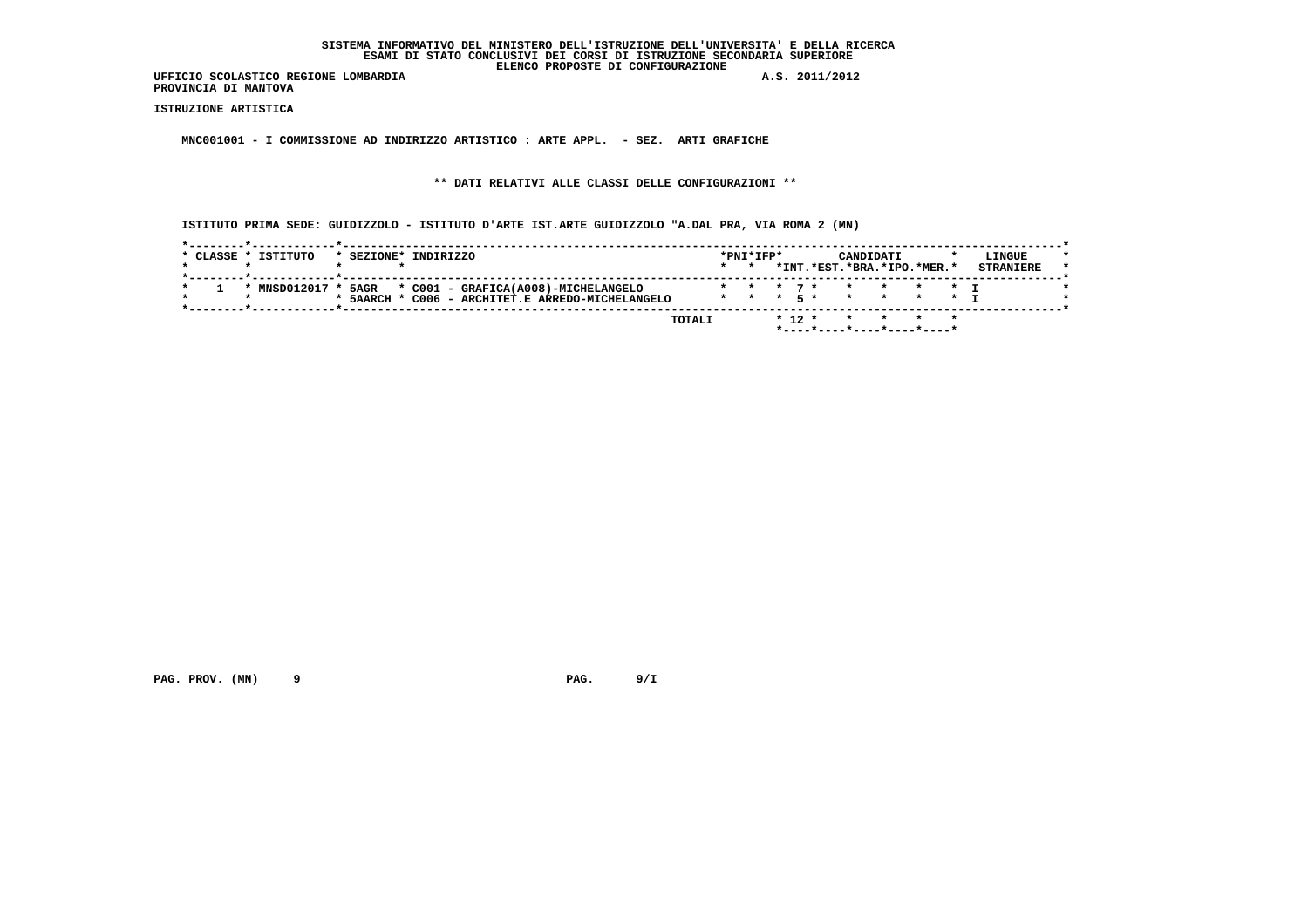**UFFICIO SCOLASTICO REGIONE LOMBARDIA A.S. 2011/2012 PROVINCIA DI MANTOVA**

 **ISTRUZIONE ARTISTICA**

 **MNC001001 - I COMMISSIONE AD INDIRIZZO ARTISTICO : ARTE APPL. - SEZ. ARTI GRAFICHE**

 **\*\* DATI RELATIVI ALLE CLASSI DELLE CONFIGURAZIONI \*\***

 **ISTITUTO PRIMA SEDE: GUIDIZZOLO - ISTITUTO D'ARTE IST.ARTE GUIDIZZOLO "A.DAL PRA, VIA ROMA 2 (MN)**

| * CLASSE * ISTITUTO | * SEZIONE*       | INDIRIZZO                             |        | $*$ PNT $*$ TFP $*$ |            | CANDIDATI<br>*INT.*EST.*BRA.*IPO.*MER.* |                 |  | LINGUE<br><b>STRANIERE</b> |
|---------------------|------------------|---------------------------------------|--------|---------------------|------------|-----------------------------------------|-----------------|--|----------------------------|
|                     |                  |                                       |        |                     |            |                                         |                 |  |                            |
| * MNSD012017 *      | 5AGR             | * C001 - GRAFICA(A008)-MICHELANGELO   |        |                     |            |                                         |                 |  |                            |
|                     | $*$ 5AARCH $*$ . | C006 - ARCHITET.E ARREDO-MICHELANGELO |        | $* * * 5*$          |            | $\star$                                 | $\star$ $\star$ |  |                            |
|                     |                  |                                       |        |                     |            |                                         |                 |  |                            |
|                     |                  |                                       | TOTALI |                     | $*$ 12 $*$ |                                         |                 |  |                            |

 **PAG. PROV. (MN) 9 PAG. 9/I**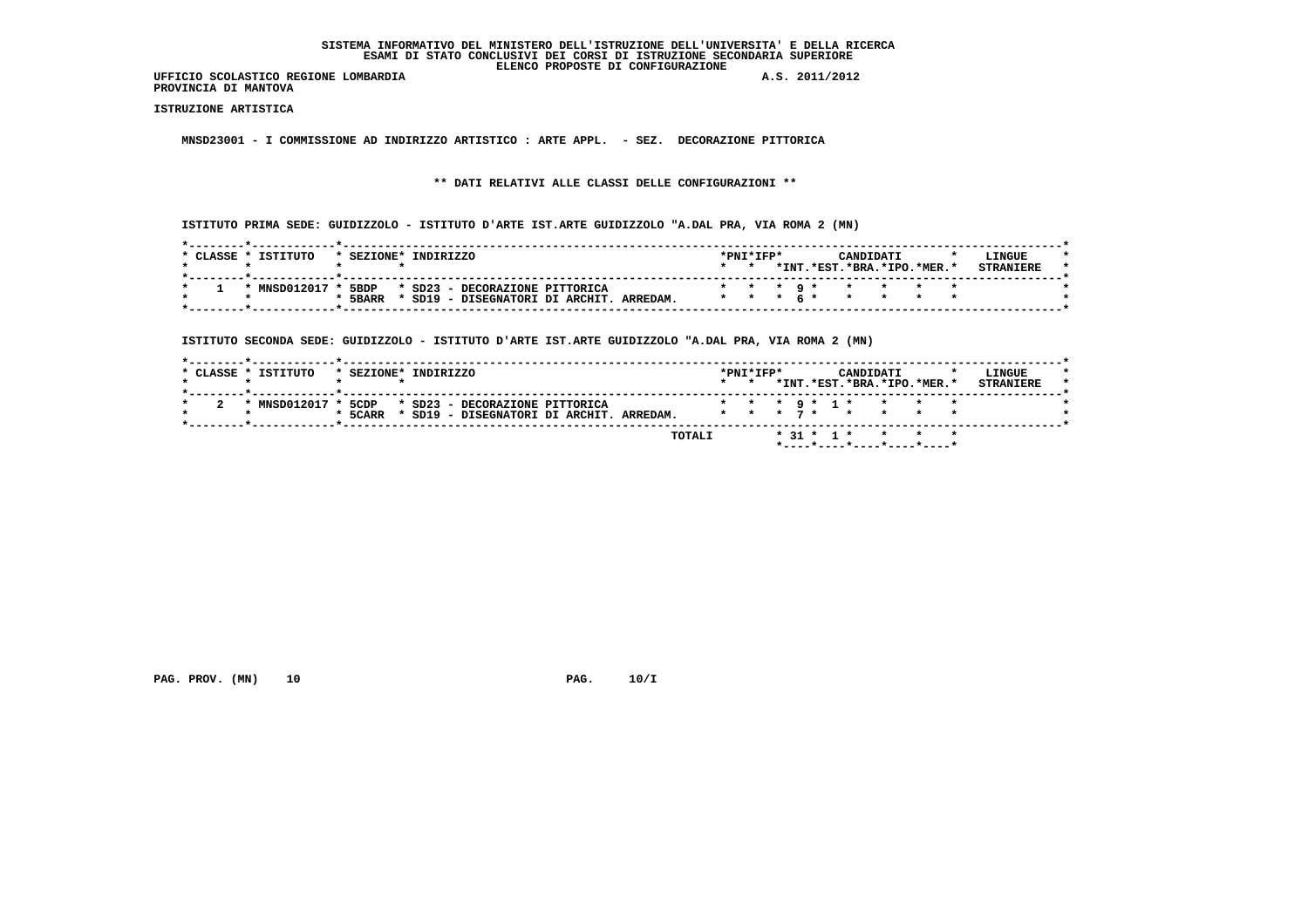**UFFICIO SCOLASTICO REGIONE LOMBARDIA A.S. 2011/2012 PROVINCIA DI MANTOVA**

 **ISTRUZIONE ARTISTICA**

 **MNSD23001 - I COMMISSIONE AD INDIRIZZO ARTISTICO : ARTE APPL. - SEZ. DECORAZIONE PITTORICA**

 **\*\* DATI RELATIVI ALLE CLASSI DELLE CONFIGURAZIONI \*\***

 **ISTITUTO PRIMA SEDE: GUIDIZZOLO - ISTITUTO D'ARTE IST.ARTE GUIDIZZOLO "A.DAL PRA, VIA ROMA 2 (MN)**

| CLASSE * | TSTTTITO       | * SEZIONE* | TNDTRTZZO                              | $*$ PNT $*$ TFP $*$ |  | CANDIDATI                  |  | LINGUE |  |
|----------|----------------|------------|----------------------------------------|---------------------|--|----------------------------|--|--------|--|
|          |                |            |                                        |                     |  | *INT.*EST.*BRA.*IPO.*MER.* |  |        |  |
|          | * MNSD012017 * | 5BDP       | * SD23 - DECORAZIONE PITTORICA         |                     |  | * * * 9 * * * * *          |  |        |  |
|          |                | 5BARR      | SD19 - DISEGNATORI DI ARCHIT, ARREDAM. |                     |  | * * * 6 * * * * * *        |  |        |  |

 **ISTITUTO SECONDA SEDE: GUIDIZZOLO - ISTITUTO D'ARTE IST.ARTE GUIDIZZOLO "A.DAL PRA, VIA ROMA 2 (MN)**

|                |            | * SEZIONE* INDIRIZZO                     | $*$ PNT $*$ TFP $*$<br>$\star$ $\star$ |  | CANDIDATI | *INT.*EST.*BRA.*IPO.*MER.* | LINGUE<br><b>STRANTERE</b> |
|----------------|------------|------------------------------------------|----------------------------------------|--|-----------|----------------------------|----------------------------|
|                |            |                                          |                                        |  |           |                            |                            |
| * MNSD012017 * | 5CDP       | * SD23 - DECORAZIONE PITTORICA           |                                        |  |           | * * * 9 * 1 * * * * *      |                            |
|                | $*$ 5 CARR | * SD19 - DISEGNATORI DI ARCHIT. ARREDAM. |                                        |  |           | * * * 7 * * * * *          |                            |
|                |            |                                          |                                        |  |           |                            |                            |
|                |            | <b>TOTALI</b>                            |                                        |  |           | $* 31 * 1 * * * * * * *$   |                            |

 **PAG. PROV. (MN) 10 PAG. 10/I**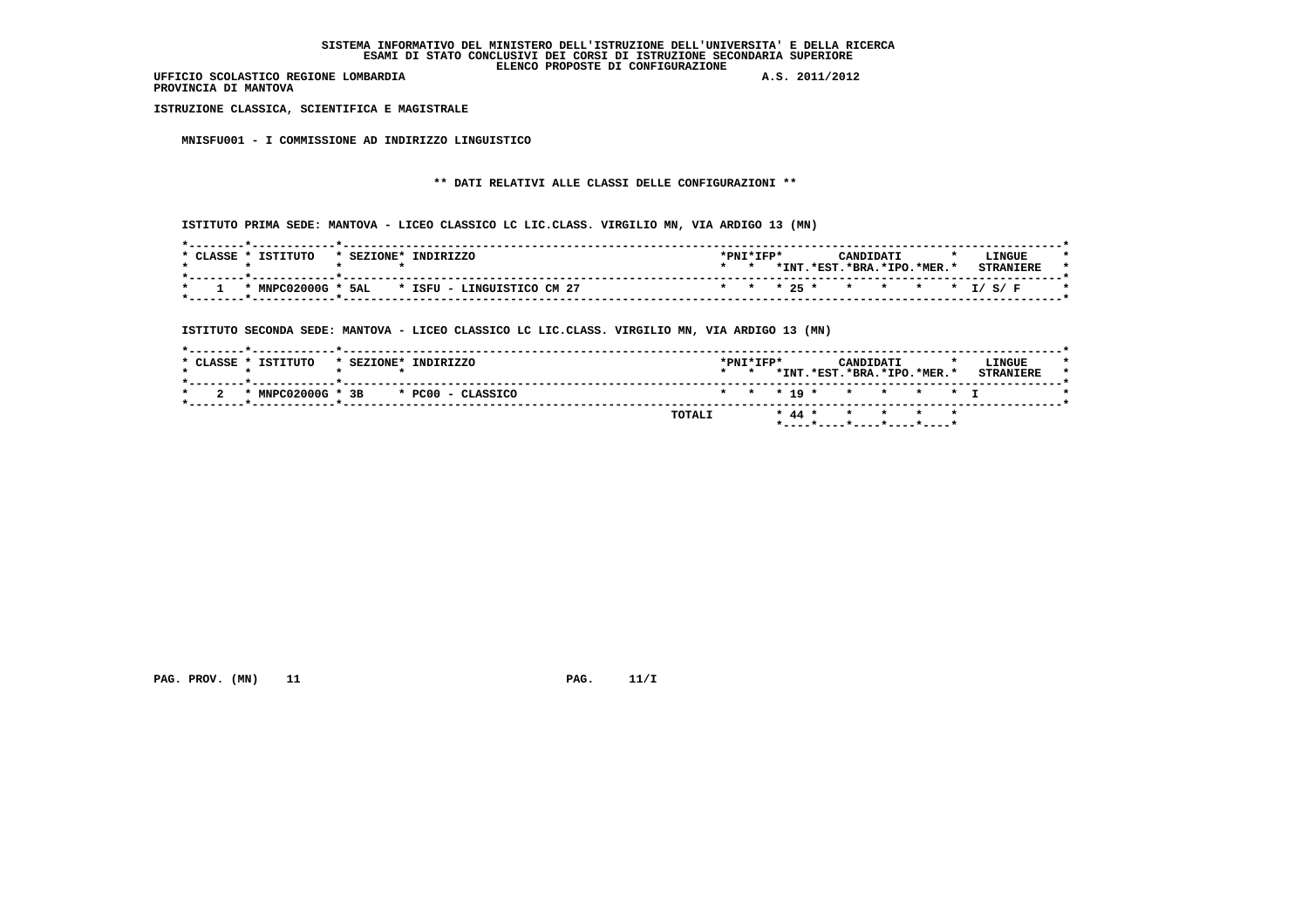**PROVINCIA DI MANTOVA**

 **ISTRUZIONE CLASSICA, SCIENTIFICA E MAGISTRALE**

 **MNISFU001 - I COMMISSIONE AD INDIRIZZO LINGUISTICO**

# **\*\* DATI RELATIVI ALLE CLASSI DELLE CONFIGURAZIONI \*\***

 **ISTITUTO PRIMA SEDE: MANTOVA - LICEO CLASSICO LC LIC.CLASS. VIRGILIO MN, VIA ARDIGO 13 (MN)**

| TSTTTITO<br>CLASSE | TNDTRTZZO<br>* SEZIONE*                       | $*$ PNT $*$ TFP $*$ |      | CANDIDATI |                        | LINGUE                     |
|--------------------|-----------------------------------------------|---------------------|------|-----------|------------------------|----------------------------|
|                    |                                               |                     | *INT |           | .*RST.*BRA.*TPO.*MER.* | <b>CTDANTEDE</b>           |
|                    | * MNPC02000G * 5AL * ISFU - LINGUISTICO CM 27 |                     |      |           |                        | * * * 25 * * * * * * I/S/F |

 **ISTITUTO SECONDA SEDE: MANTOVA - LICEO CLASSICO LC LIC.CLASS. VIRGILIO MN, VIA ARDIGO 13 (MN)**

|                                        | *INT.*EST.*BRA.*IPO.*MER.*<br>$\star$ $\star$<br>* * * 19 * * * * * * T | <b>STRANTERE</b> |
|----------------------------------------|-------------------------------------------------------------------------|------------------|
| * MNPC02000G * 3B<br>* PC00 - CLASSICO | <b>TOTALI</b><br>* 44 * * * * * *                                       |                  |

 **PAG. PROV. (MN) 11 PAG. 11/I**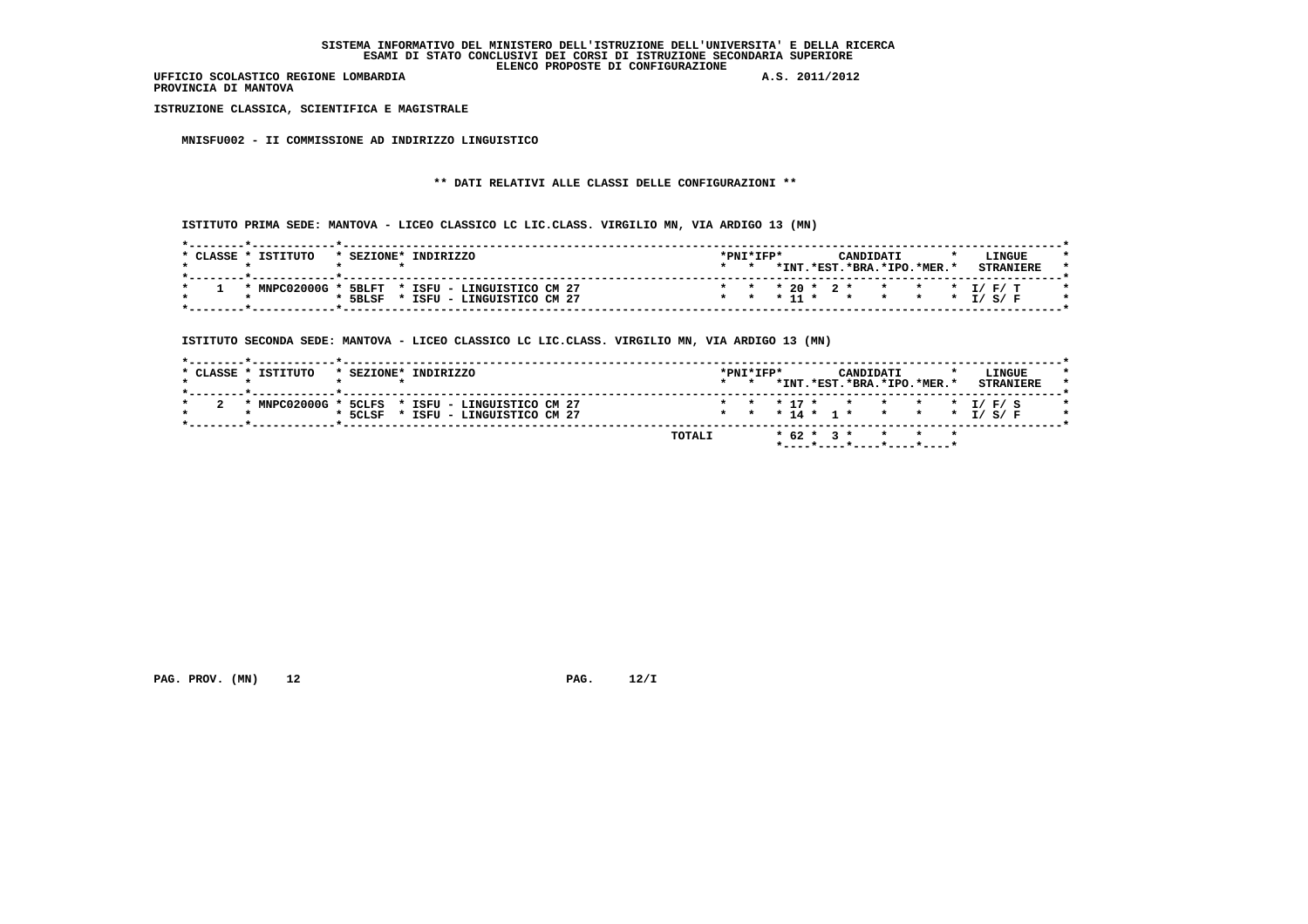**PROVINCIA DI MANTOVA**

 **ISTRUZIONE CLASSICA, SCIENTIFICA E MAGISTRALE**

 **MNISFU002 - II COMMISSIONE AD INDIRIZZO LINGUISTICO**

# **\*\* DATI RELATIVI ALLE CLASSI DELLE CONFIGURAZIONI \*\***

 **ISTITUTO PRIMA SEDE: MANTOVA - LICEO CLASSICO LC LIC.CLASS. VIRGILIO MN, VIA ARDIGO 13 (MN)**

|  | $*$ TNT         | .*EST. |  | $.*BRA.*IPO.*MER.*$ |  |                                             |
|--|-----------------|--------|--|---------------------|--|---------------------------------------------|
|  |                 |        |  |                     |  |                                             |
|  |                 |        |  |                     |  |                                             |
|  |                 |        |  |                     |  |                                             |
|  |                 |        |  |                     |  |                                             |
|  | $\star$ $\star$ |        |  | $*$ 11 $*$ $*$      |  | * * * 20 * 2 * * * * * I/F/T<br>* * * I/S/F |

 **ISTITUTO SECONDA SEDE: MANTOVA - LICEO CLASSICO LC LIC.CLASS. VIRGILIO MN, VIA ARDIGO 13 (MN)**

| * CLASSE * ISTITUTO | * SEZIONE* INDIRIZZO                            | $\star$ $\star$ | $*$ PNT $*$ TFP $*$ |  | CANDIDATI | *INT.*EST.*BRA.*IPO.*MER.* | LINGUE<br><b>STRANTERE</b>   |
|---------------------|-------------------------------------------------|-----------------|---------------------|--|-----------|----------------------------|------------------------------|
|                     | * MNPC02000G * 5CLFS * ISFU - LINGUISTICO CM 27 |                 |                     |  |           |                            | * * * 17 * * * * * * I/F/S   |
|                     | * 5CLSF * ISFU - LINGUISTICO CM 27              |                 |                     |  |           |                            | * * * 14 * 1 * * * * * I/S/F |

 **PAG. PROV. (MN) 12 PAG. 12/I**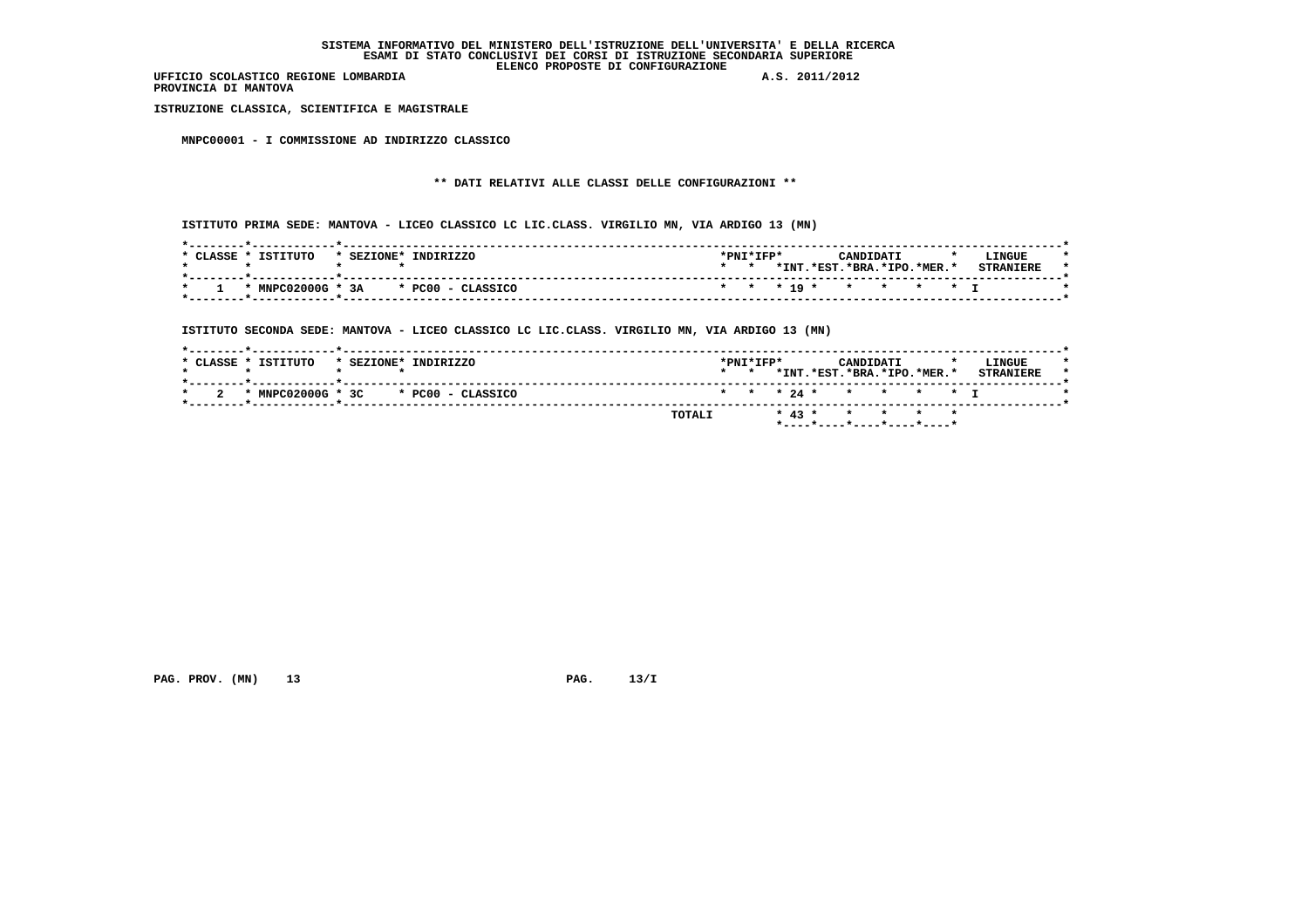**PROVINCIA DI MANTOVA**

 **ISTRUZIONE CLASSICA, SCIENTIFICA E MAGISTRALE**

 **MNPC00001 - I COMMISSIONE AD INDIRIZZO CLASSICO**

# **\*\* DATI RELATIVI ALLE CLASSI DELLE CONFIGURAZIONI \*\***

 **ISTITUTO PRIMA SEDE: MANTOVA - LICEO CLASSICO LC LIC.CLASS. VIRGILIO MN, VIA ARDIGO 13 (MN)**

| ISTITUTO<br>CLASSE. | INDIRIZZO<br>* SEZIONE*             | *PNI*IFP* |       |                        | CANDIDATI |                          | $\cdot$ | LINGUE           |
|---------------------|-------------------------------------|-----------|-------|------------------------|-----------|--------------------------|---------|------------------|
|                     |                                     |           | *INT. |                        |           | $.*EST.*BRA.*IPO.*MER.*$ |         | <b>CTDANTPDF</b> |
|                     | * MNPC02000G * 3A * PC00 - CLASSICO |           |       | * * * 19 * * * * * * T |           |                          |         |                  |

 **ISTITUTO SECONDA SEDE: MANTOVA - LICEO CLASSICO LC LIC.CLASS. VIRGILIO MN, VIA ARDIGO 13 (MN)**

|  | * CLASSE * ISTITUTO                       | * SEZIONE* INDIRIZZO |  |        | $\star$ $\star$ | $*$ PNT $*$ TFP $*$ |  | CANDIDATI | *INT.*EST.*BRA.*IPO.*MER.* |  | LINGUE<br><b>STRANTERE</b> |  |
|--|-------------------------------------------|----------------------|--|--------|-----------------|---------------------|--|-----------|----------------------------|--|----------------------------|--|
|  | $*$ MNPC02000G $*$ 3C $*$ PC00 - CLASSICO |                      |  |        |                 |                     |  |           | * * * 24 * * * * * T       |  |                            |  |
|  |                                           |                      |  | TOTALI |                 |                     |  |           | * 43 * * * * *             |  |                            |  |

 **PAG. PROV. (MN)** 13 **PAG. 13/I**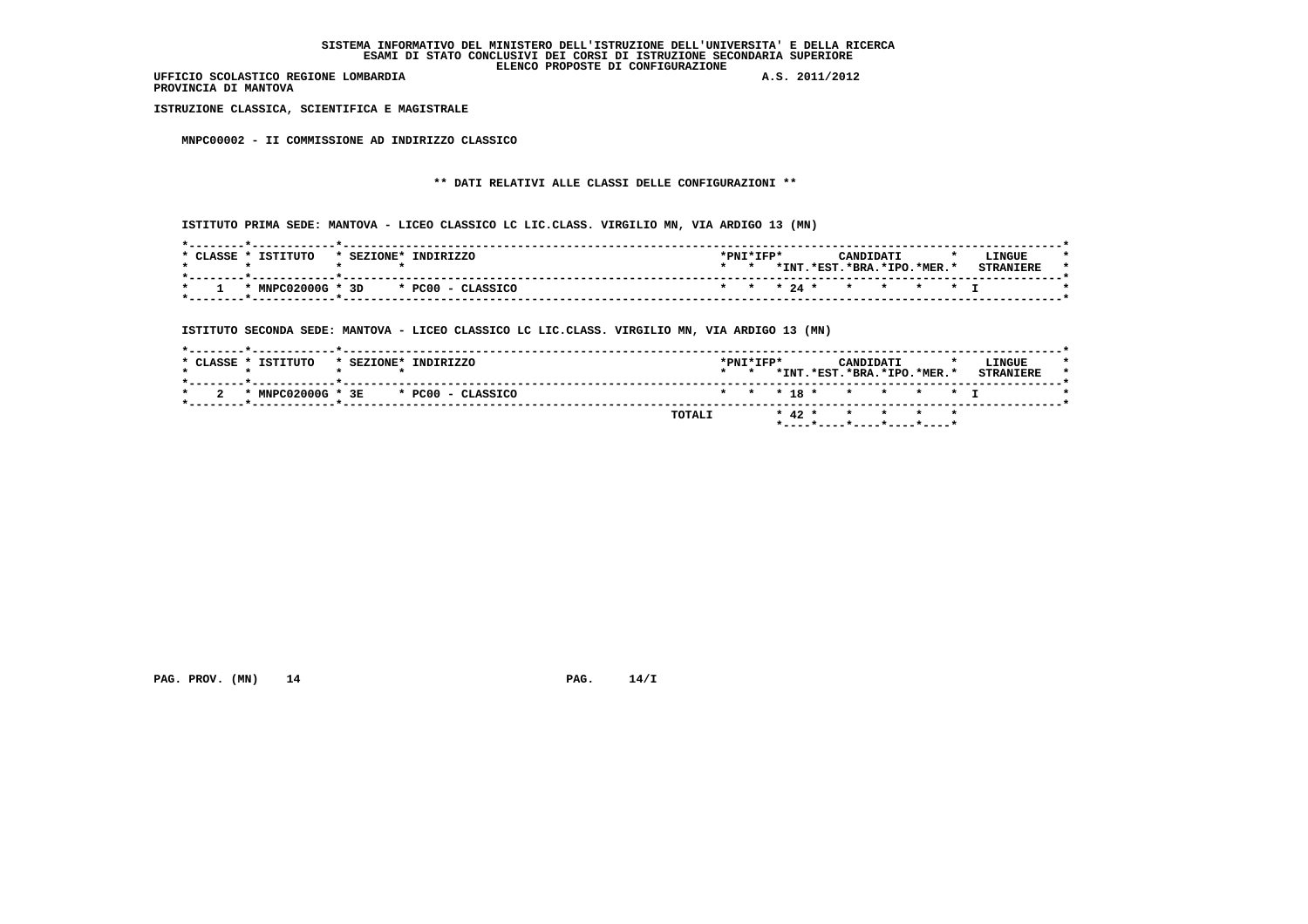**PROVINCIA DI MANTOVA**

 **ISTRUZIONE CLASSICA, SCIENTIFICA E MAGISTRALE**

 **MNPC00002 - II COMMISSIONE AD INDIRIZZO CLASSICO**

# **\*\* DATI RELATIVI ALLE CLASSI DELLE CONFIGURAZIONI \*\***

 **ISTITUTO PRIMA SEDE: MANTOVA - LICEO CLASSICO LC LIC.CLASS. VIRGILIO MN, VIA ARDIGO 13 (MN)**

| ISTITUTO<br>CLASSE<br>* SEZIONE* | INDIRIZZO                                 | *PNI*IFP* |       |                      | CANDIDATI |                        | $\cdot$ | LINGUE           |  |
|----------------------------------|-------------------------------------------|-----------|-------|----------------------|-----------|------------------------|---------|------------------|--|
|                                  |                                           |           | *INT. |                      |           | .*EST.*BRA.*IPO.*MER.* |         | <b>CTDANTPDF</b> |  |
|                                  | $*$ MNPC02000G $*$ 3D $*$ PC00 - CLASSICO |           |       | * * * 24 * * * * * T |           |                        |         |                  |  |

 **ISTITUTO SECONDA SEDE: MANTOVA - LICEO CLASSICO LC LIC.CLASS. VIRGILIO MN, VIA ARDIGO 13 (MN)**

 **PAG. PROV. (MN) 14 PAG. 14/I**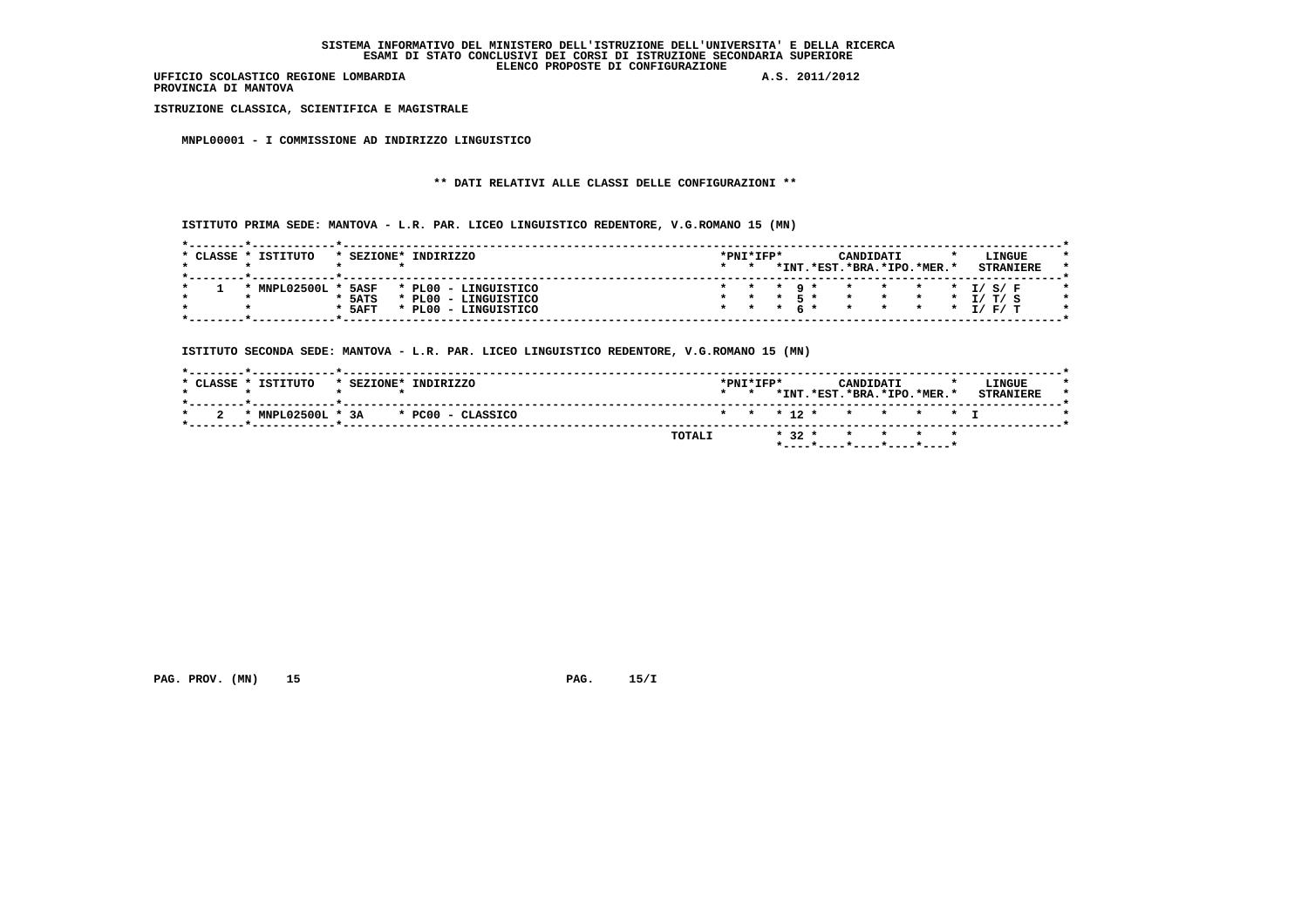**PROVINCIA DI MANTOVA**

 **ISTRUZIONE CLASSICA, SCIENTIFICA E MAGISTRALE**

 **MNPL00001 - I COMMISSIONE AD INDIRIZZO LINGUISTICO**

# **\*\* DATI RELATIVI ALLE CLASSI DELLE CONFIGURAZIONI \*\***

 **ISTITUTO PRIMA SEDE: MANTOVA - L.R. PAR. LICEO LINGUISTICO REDENTORE, V.G.ROMANO 15 (MN)**

| * CLASSE * | TSTTTITO     | * SEZIONE* | INDIRIZZO      |                      |                 | *PNI*IFP* |  | CANDIDATI                  |                                        |  | LINGUE |  |
|------------|--------------|------------|----------------|----------------------|-----------------|-----------|--|----------------------------|----------------------------------------|--|--------|--|
|            |              |            |                |                      | $\star$ $\star$ |           |  | *INT.*EST.*BRA.*IPO.*MER.* |                                        |  |        |  |
|            |              |            |                |                      |                 |           |  |                            |                                        |  |        |  |
|            | MNPT.02500T. | 5ASF       |                | * PL00 - LINGUISTICO |                 |           |  | * * * 9 * * * * * * I/S/F  |                                        |  |        |  |
|            |              | $*$ 5ATS   |                | * PL00 - LINGUISTICO |                 |           |  |                            | $\star$ $\star$ $\star$ $\tau$ / T / C |  |        |  |
|            |              | $*$ 5AFT   | PLOO - $\cdot$ | <b>LINGUISTICO</b>   |                 |           |  | * * * 6 * * * * * * I/F/T  |                                        |  |        |  |
|            |              |            |                |                      |                 |           |  |                            |                                        |  |        |  |

 **ISTITUTO SECONDA SEDE: MANTOVA - L.R. PAR. LICEO LINGUISTICO REDENTORE, V.G.ROMANO 15 (MN)**

|                                     | *INT.*EST.*BRA.*IPO.*MER.*<br><b>STRANTERE</b><br>$\star$ $\star$ |
|-------------------------------------|-------------------------------------------------------------------|
| * MNPL02500L * 3A * PC00 - CLASSICO | * * * 12 * * * * * T                                              |
|                                     | * 32 * * * * *<br><b>TOTALI</b>                                   |

 **PAG. PROV. (MN)** 15 **PAG. 15/I**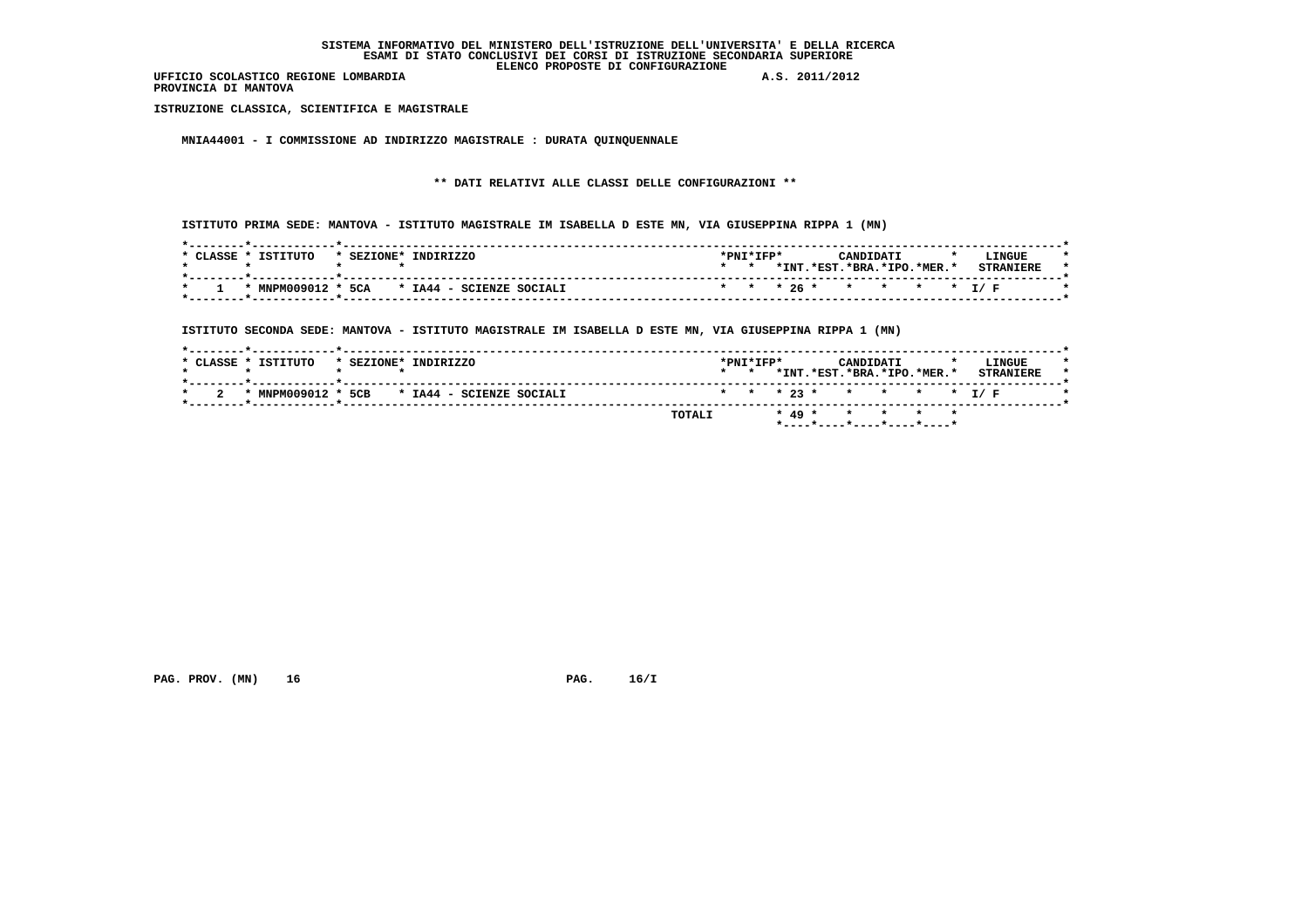**PROVINCIA DI MANTOVA**

 **ISTRUZIONE CLASSICA, SCIENTIFICA E MAGISTRALE**

 **MNIA44001 - I COMMISSIONE AD INDIRIZZO MAGISTRALE : DURATA QUINQUENNALE**

# **\*\* DATI RELATIVI ALLE CLASSI DELLE CONFIGURAZIONI \*\***

 **ISTITUTO PRIMA SEDE: MANTOVA - ISTITUTO MAGISTRALE IM ISABELLA D ESTE MN, VIA GIUSEPPINA RIPPA 1 (MN)**

| CLASSE * | <b>TSTITUTO</b>    | * SEZIONE* | INDIRIZZO                | $*PNT*TFP*$ |       |        | CANDIDATI           |  | LINGUE                   |  |
|----------|--------------------|------------|--------------------------|-------------|-------|--------|---------------------|--|--------------------------|--|
|          |                    |            |                          |             | *INT. | .*EST. | $.*RRA.*TPO.*MFR.*$ |  | <b>CTDANTTDT</b>         |  |
|          | * MNPM009012 * 5CA |            | * IA44 - SCIENZE SOCIALI |             |       |        |                     |  | * * * 26 * * * * * * I/F |  |

 **ISTITUTO SECONDA SEDE: MANTOVA - ISTITUTO MAGISTRALE IM ISABELLA D ESTE MN, VIA GIUSEPPINA RIPPA 1 (MN)**

|  | * CLASSE * ISTITUTO                               | * SEZIONE* INDIRIZZO |  |  |        | $*$ PNT $*$ TFP $*$<br>$\star$ $\star$ |  |  | CANDIDATI | *INT.*EST.*BRA.*IPO.*MER.* |  | LINGUE<br><b>STRANIERE</b> |  |
|--|---------------------------------------------------|----------------------|--|--|--------|----------------------------------------|--|--|-----------|----------------------------|--|----------------------------|--|
|  | $*$ MNPM009012 $*$ 5CB $*$ IA44 - SCIENZE SOCIALI |                      |  |  |        |                                        |  |  |           | * * * 23 * * * * * * T/F   |  |                            |  |
|  |                                                   |                      |  |  | TOTALI |                                        |  |  |           | * 49 * * * * *             |  |                            |  |

 **PAG. PROV. (MN)** 16 **PAG. 16/I**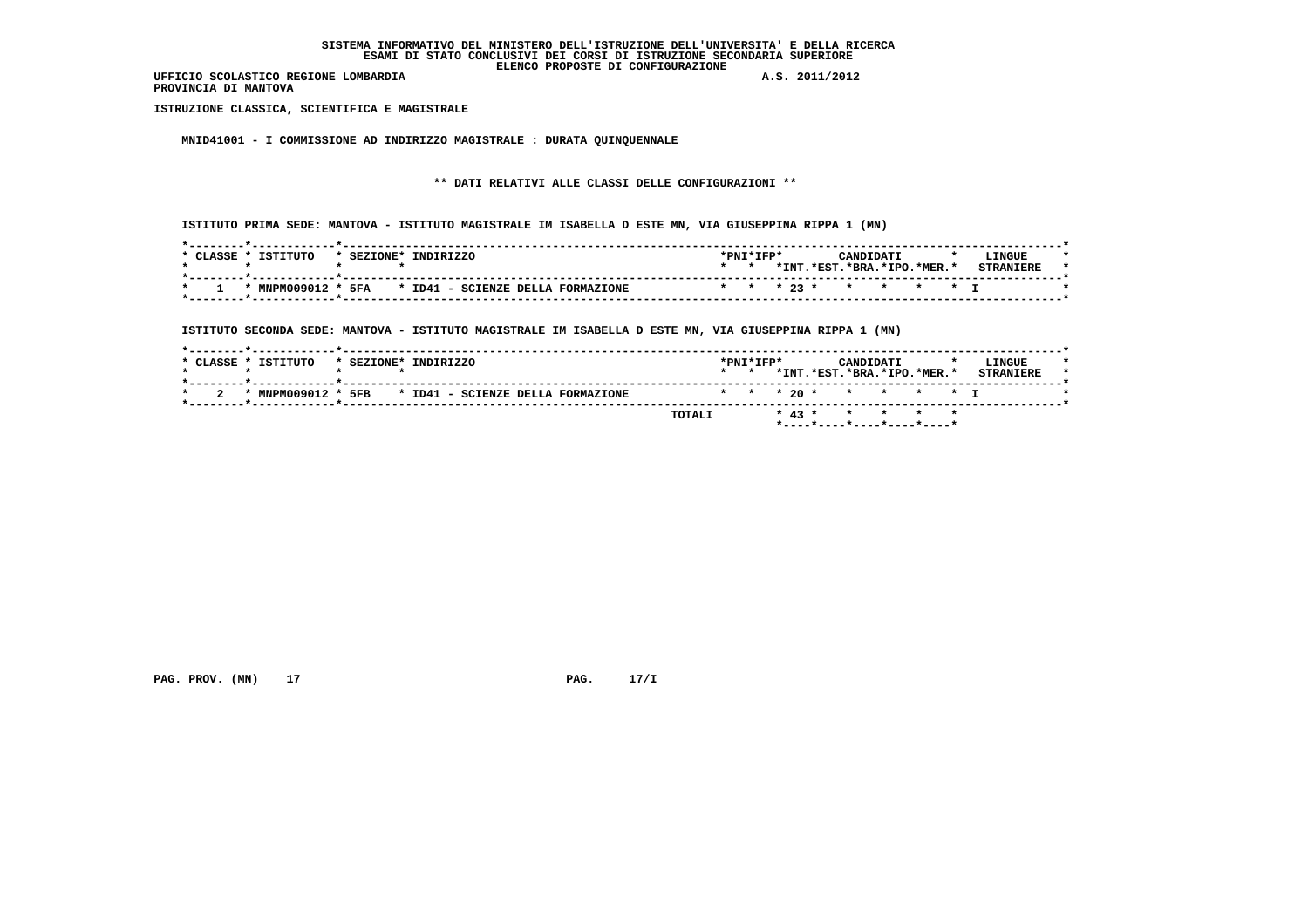**PROVINCIA DI MANTOVA**

 **ISTRUZIONE CLASSICA, SCIENTIFICA E MAGISTRALE**

 **MNID41001 - I COMMISSIONE AD INDIRIZZO MAGISTRALE : DURATA QUINQUENNALE**

# **\*\* DATI RELATIVI ALLE CLASSI DELLE CONFIGURAZIONI \*\***

 **ISTITUTO PRIMA SEDE: MANTOVA - ISTITUTO MAGISTRALE IM ISABELLA D ESTE MN, VIA GIUSEPPINA RIPPA 1 (MN)**

| * CLASSE * | TSTTTITO | * SEZIONE* INDIRIZZO                                 | *PNI*IFP* |       |                      | CANDIDATI              |  | <b>LINGUE</b>    |  |
|------------|----------|------------------------------------------------------|-----------|-------|----------------------|------------------------|--|------------------|--|
|            |          |                                                      |           | *INT. |                      | .*RST.*BRA.*TPO.*MER.* |  | <b>CTDANTEDE</b> |  |
|            |          | * MNPM009012 * 5FA * ID41 - SCIENZE DELLA FORMAZIONE |           |       | * * * 23 * * * * * T |                        |  |                  |  |

 **ISTITUTO SECONDA SEDE: MANTOVA - ISTITUTO MAGISTRALE IM ISABELLA D ESTE MN, VIA GIUSEPPINA RIPPA 1 (MN)**

|                     | TOTALI                                               |                                        |  | * 43 * * * * * *                        |  |                            |  |
|---------------------|------------------------------------------------------|----------------------------------------|--|-----------------------------------------|--|----------------------------|--|
|                     | * MNPM009012 * 5FB * ID41 - SCIENZE DELLA FORMAZIONE |                                        |  | * * * 20 * * * * * * T                  |  |                            |  |
| * CLASSE * ISTITUTO | * SEZIONE* INDIRIZZO                                 | $*$ PNT $*$ TFP $*$<br>$\star$ $\star$ |  | CANDIDATI<br>*INT.*EST.*BRA.*IPO.*MER.* |  | LINGUE<br><b>STRANTERE</b> |  |

 **PAG. PROV. (MN) 17 PAG. 17/I**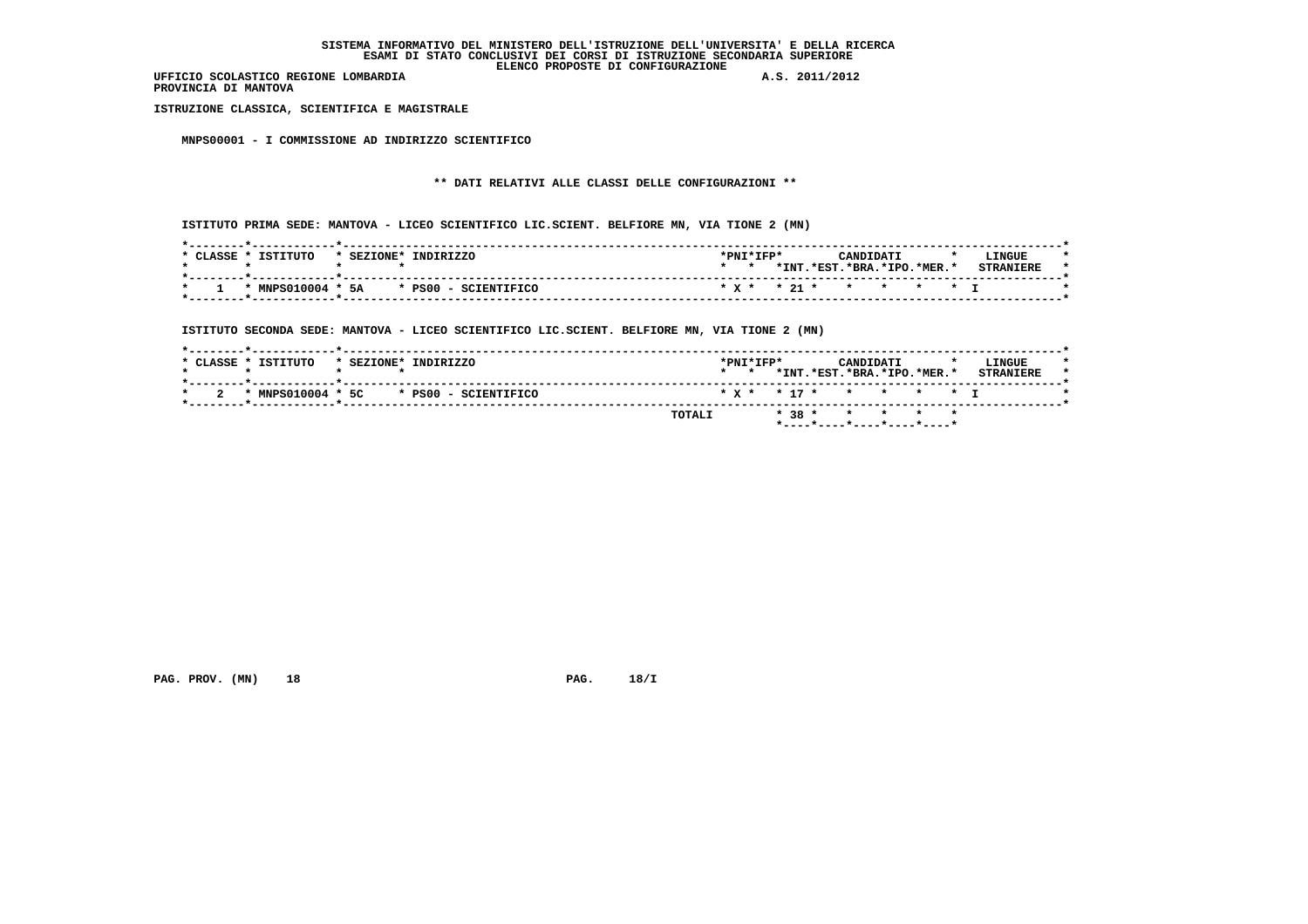**PROVINCIA DI MANTOVA**

 **ISTRUZIONE CLASSICA, SCIENTIFICA E MAGISTRALE**

 **MNPS00001 - I COMMISSIONE AD INDIRIZZO SCIENTIFICO**

# **\*\* DATI RELATIVI ALLE CLASSI DELLE CONFIGURAZIONI \*\***

 **ISTITUTO PRIMA SEDE: MANTOVA - LICEO SCIENTIFICO LIC.SCIENT. BELFIORE MN, VIA TIONE 2 (MN)**

| ISTITUTO<br>CLASSE<br>INDIRIZZO<br>* SEZIONE* | *PNI*IFP*<br>LINGUE<br>CANDIDATI<br>$\cdot$           |
|-----------------------------------------------|-------------------------------------------------------|
|                                               | *INT.<br>$.*EST.*BRA.*IPO.*MER.*$<br><b>CTDANTPDF</b> |
| $*$ MNPS010004 $*$ 5A $*$ PS00 - SCIENTIFICO  | * x * * 21 * * * * * * T                              |

 **ISTITUTO SECONDA SEDE: MANTOVA - LICEO SCIENTIFICO LIC.SCIENT. BELFIORE MN, VIA TIONE 2 (MN)**

|                     |            |           |                      | TOTALI |                 |                     |  |           | * 38 * * * * * *           |  |                            |  |
|---------------------|------------|-----------|----------------------|--------|-----------------|---------------------|--|-----------|----------------------------|--|----------------------------|--|
| * MNPS010004 * 5C   |            |           | * PS00 - SCIENTIFICO |        |                 |                     |  |           | * x * * 17 * * * * * * T   |  |                            |  |
| * CLASSE * ISTITUTO | * SEZIONE* | INDIRIZZO |                      |        | $\star$ $\star$ | $*$ PNT $*$ TFP $*$ |  | CANDIDATI | *INT.*EST.*BRA.*IPO.*MER.* |  | LINGUE<br><b>STRANIERE</b> |  |

 **PAG. PROV. (MN)** 18 **PAG. 18/I**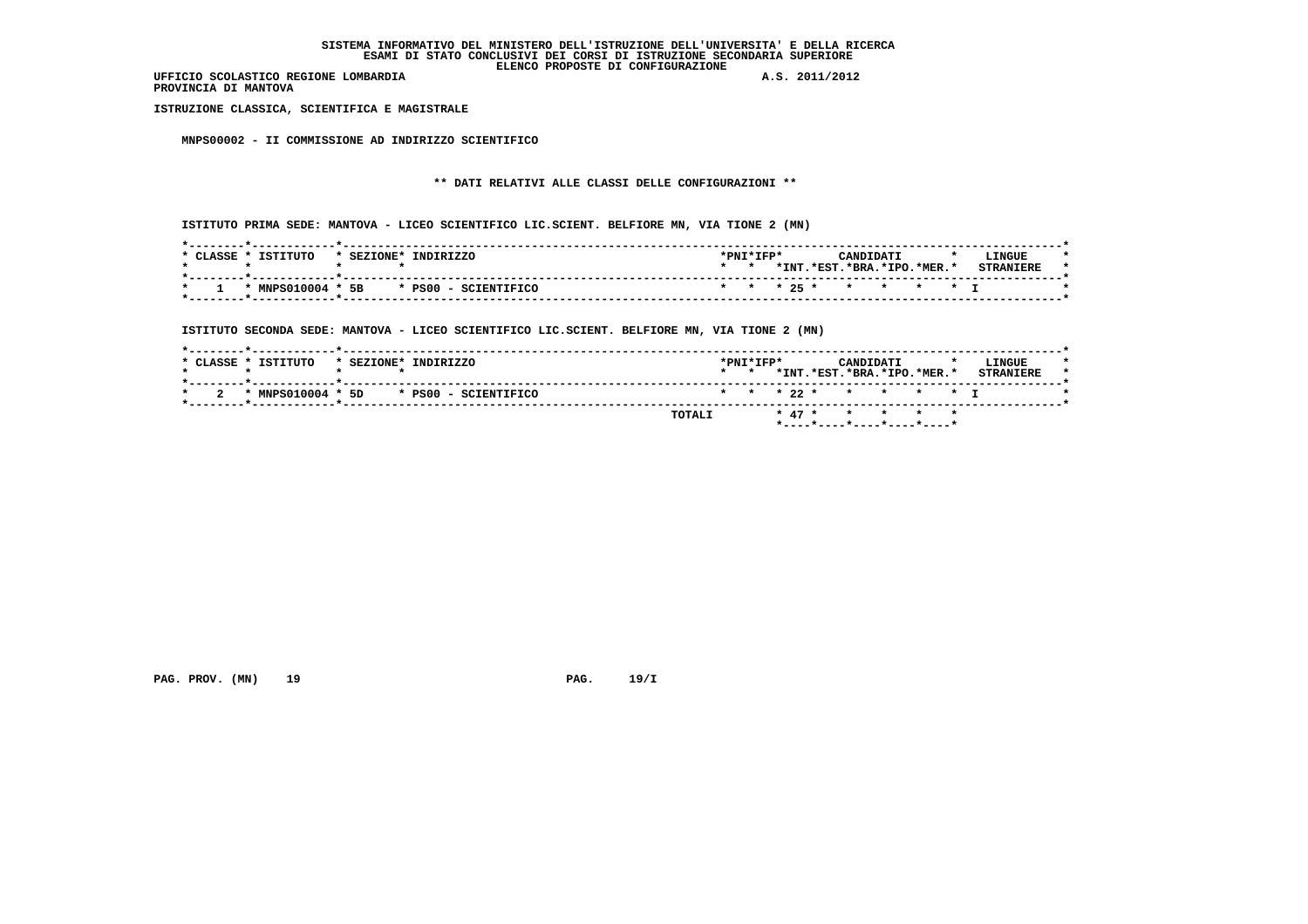**PROVINCIA DI MANTOVA**

 **ISTRUZIONE CLASSICA, SCIENTIFICA E MAGISTRALE**

 **MNPS00002 - II COMMISSIONE AD INDIRIZZO SCIENTIFICO**

# **\*\* DATI RELATIVI ALLE CLASSI DELLE CONFIGURAZIONI \*\***

 **ISTITUTO PRIMA SEDE: MANTOVA - LICEO SCIENTIFICO LIC.SCIENT. BELFIORE MN, VIA TIONE 2 (MN)**

| TSTTTITO<br>INDIRIZZO<br>CLASSE.<br>* SEZIONE* | LINGUE<br>*PNI*IFP*<br>CANDIDATI               |
|------------------------------------------------|------------------------------------------------|
|                                                | *INT.*EST.*BRA.*IPO.*MER.*<br><b>STRANTERE</b> |
| * PS00 - SCIENTIFICO<br>* MNPS010004 * 5B      | * * * 25 * * * * * *                           |

 **ISTITUTO SECONDA SEDE: MANTOVA - LICEO SCIENTIFICO LIC.SCIENT. BELFIORE MN, VIA TIONE 2 (MN)**

| $*$ CLASSE $*$ . | ISTITUTO          | * SEZIONE* | INDIRIZZO            |        | $\star$ $\star$ | $*$ PNT $*$ TFP $*$ | *INT.*EST.*BRA.*IPO.*MER.* | CANDIDATI |  | LINGUE<br><b>STRANIERE</b> |  |
|------------------|-------------------|------------|----------------------|--------|-----------------|---------------------|----------------------------|-----------|--|----------------------------|--|
|                  | * MNPS010004 * 5D |            | * PS00 - SCIENTIFICO |        |                 |                     | * * * 22 * * * * * T       |           |  |                            |  |
|                  |                   |            |                      | TOTALI |                 |                     | * 47 * * * * *             |           |  |                            |  |

 **PAG. PROV. (MN)** 19 **PAG. 19/I**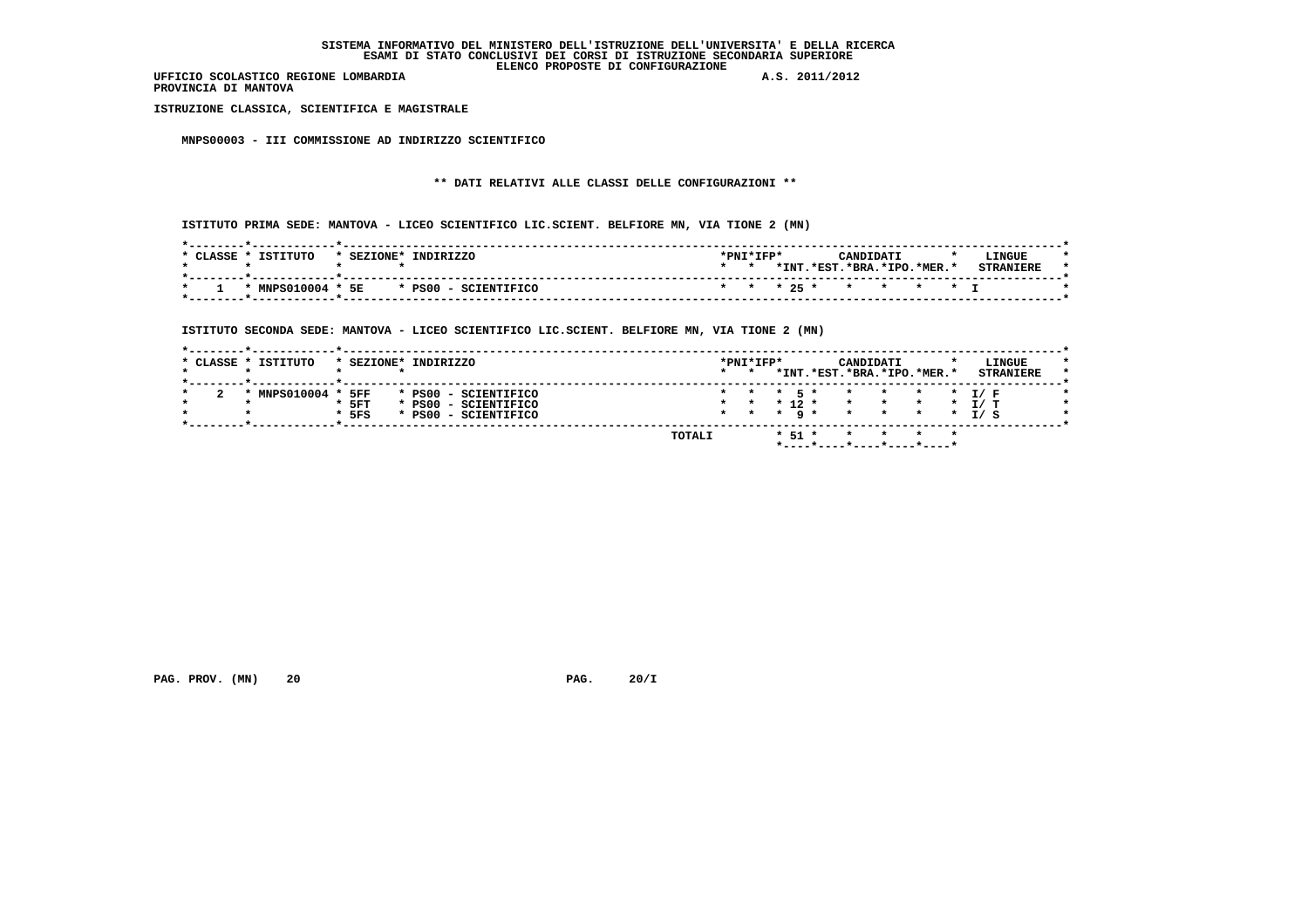**PROVINCIA DI MANTOVA**

 **ISTRUZIONE CLASSICA, SCIENTIFICA E MAGISTRALE**

 **MNPS00003 - III COMMISSIONE AD INDIRIZZO SCIENTIFICO**

# **\*\* DATI RELATIVI ALLE CLASSI DELLE CONFIGURAZIONI \*\***

 **ISTITUTO PRIMA SEDE: MANTOVA - LICEO SCIENTIFICO LIC.SCIENT. BELFIORE MN, VIA TIONE 2 (MN)**

| CLASSE * | ISTITUTO | * SEZIONE* | INDIRIZZO                                    | $*$ PNT $*$ TFP $*$ |      |                      | CANDIDATI              |  | LINGUE           |  |
|----------|----------|------------|----------------------------------------------|---------------------|------|----------------------|------------------------|--|------------------|--|
|          |          |            |                                              |                     | *INT |                      | .*EST.*BRA.*IPO.*MER.* |  | <b>STRANTERE</b> |  |
|          |          |            | $*$ MNPS010004 $*$ 5E $*$ PS00 - SCIENTIFICO |                     |      | * * * 25 * * * * * T |                        |  |                  |  |

 **ISTITUTO SECONDA SEDE: MANTOVA - LICEO SCIENTIFICO LIC.SCIENT. BELFIORE MN, VIA TIONE 2 (MN)**

| * CLASSE * ISTITUTO | * SEZIONE*     | INDIRIZZO                                         | $\star$ $\star$ | *PNI*IFP*       |         |                  | CANDIDATI<br>*INT.*EST.*BRA.*IPO.*MER.* |                                    |  | LINGUE<br><b>STRANIERE</b> |
|---------------------|----------------|---------------------------------------------------|-----------------|-----------------|---------|------------------|-----------------------------------------|------------------------------------|--|----------------------------|
| MNPS010004 *        |                |                                                   |                 |                 |         | 5 *              | $\star$                                 |                                    |  | T / F                      |
|                     | 5FF<br>$*$ 5FT | $*$ PS00<br>- SCIENTIFICO<br>* PS00 - SCIENTIFICO |                 | $\star$         |         | $*$ 12 $*$       | $\star$                                 | $\star$ $\star$<br>$\star$ $\star$ |  | I/T                        |
|                     | $*$ 5FS        | * PS00 - SCIENTIFICO                              |                 | $\star$ $\star$ | $\star$ | $\alpha$ $\star$ | $\star$                                 | $\star$ $\star$                    |  | I / S                      |

 **PAG. PROV. (MN) 20 20 PAG. 20/I**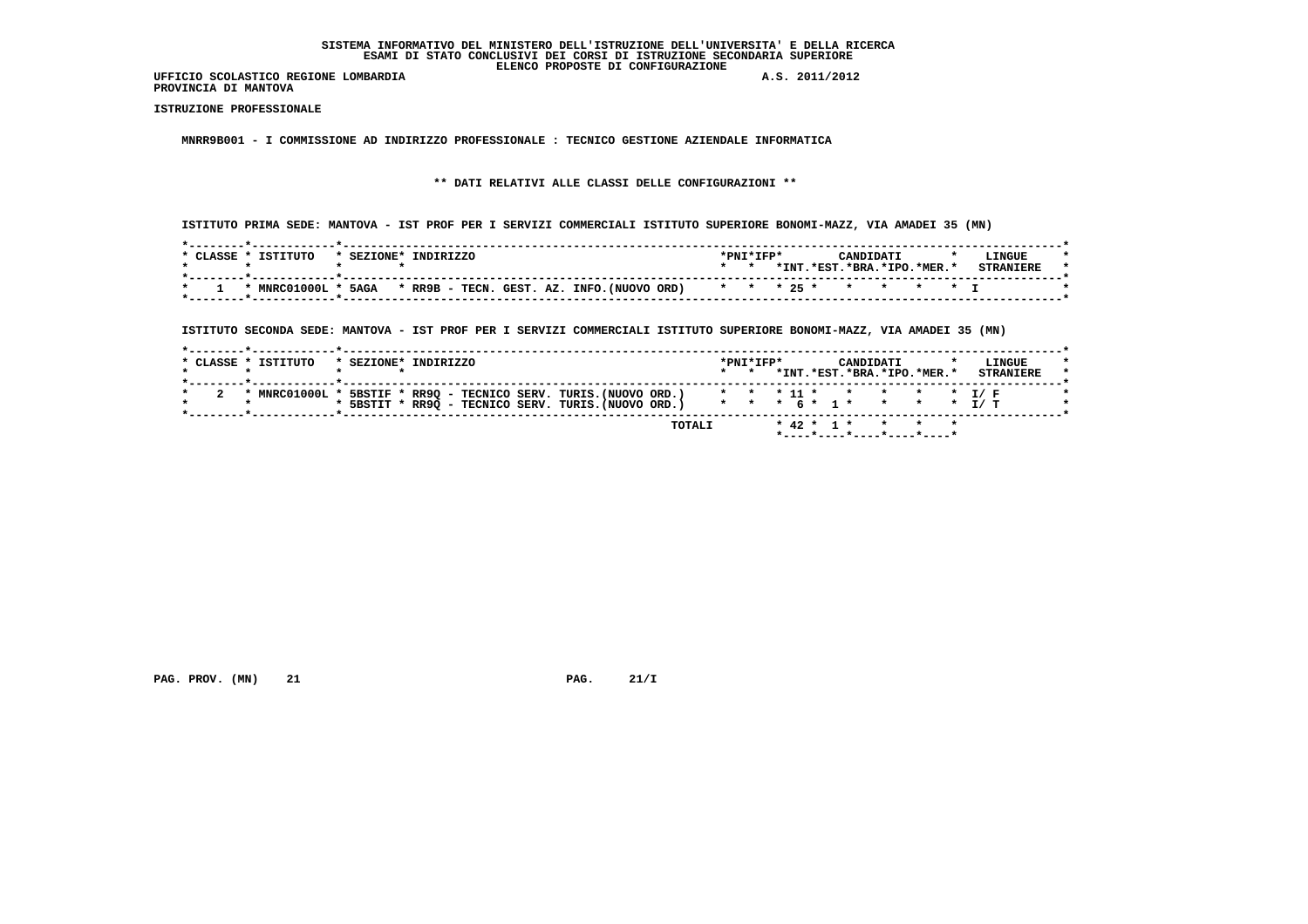**PROVINCIA DI MANTOVA**

 **ISTRUZIONE PROFESSIONALE**

 **MNRR9B001 - I COMMISSIONE AD INDIRIZZO PROFESSIONALE : TECNICO GESTIONE AZIENDALE INFORMATICA**

 **\*\* DATI RELATIVI ALLE CLASSI DELLE CONFIGURAZIONI \*\***

 **ISTITUTO PRIMA SEDE: MANTOVA - IST PROF PER I SERVIZI COMMERCIALI ISTITUTO SUPERIORE BONOMI-MAZZ, VIA AMADEI 35 (MN)**

| CLASSE * | ISTITUTO            | * SEZIONE* | INDIRIZZO                                                           |  |  | *PNI*IFP* |      | CANDIDATI                |  | LINGUE |  |
|----------|---------------------|------------|---------------------------------------------------------------------|--|--|-----------|------|--------------------------|--|--------|--|
|          |                     |            |                                                                     |  |  |           | *INT | $.*EST.*BRA.*IPO.*MER.*$ |  |        |  |
|          | * MNRC01000L * 5AGA |            | * RR9B - TECN. GEST. AZ. INFO. (NUOVO ORD) * * * 25 * * * * * * * I |  |  |           |      |                          |  |        |  |

 **ISTITUTO SECONDA SEDE: MANTOVA - IST PROF PER I SERVIZI COMMERCIALI ISTITUTO SUPERIORE BONOMI-MAZZ, VIA AMADEI 35 (MN)**

|  | * SEZIONE* INDIRIZZO                                                           | $\star$ $\star$ | $*$ PNT $*$ TFP $*$ |  | CANDIDATI<br>*INT.*EST.*BRA.*IPO.*MER.* |  | LINGUE<br><b>STRANTERE</b> |
|--|--------------------------------------------------------------------------------|-----------------|---------------------|--|-----------------------------------------|--|----------------------------|
|  |                                                                                |                 |                     |  |                                         |  |                            |
|  | * MNRC01000L * 5BSTIF * RR9Q - TECNICO SERV. TURIS. (NUOVO ORD.)               |                 |                     |  |                                         |  | * * * 11 * * * * * * T/F   |
|  | * 5BSTIT * RR9Q - TECNICO SERV. TURIS. (NUOVO ORD.) * * * 6 * 1 * * * * * 1/ T |                 |                     |  |                                         |  |                            |

 **PAG. PROV. (MN) 21 21 PAG. 21/I**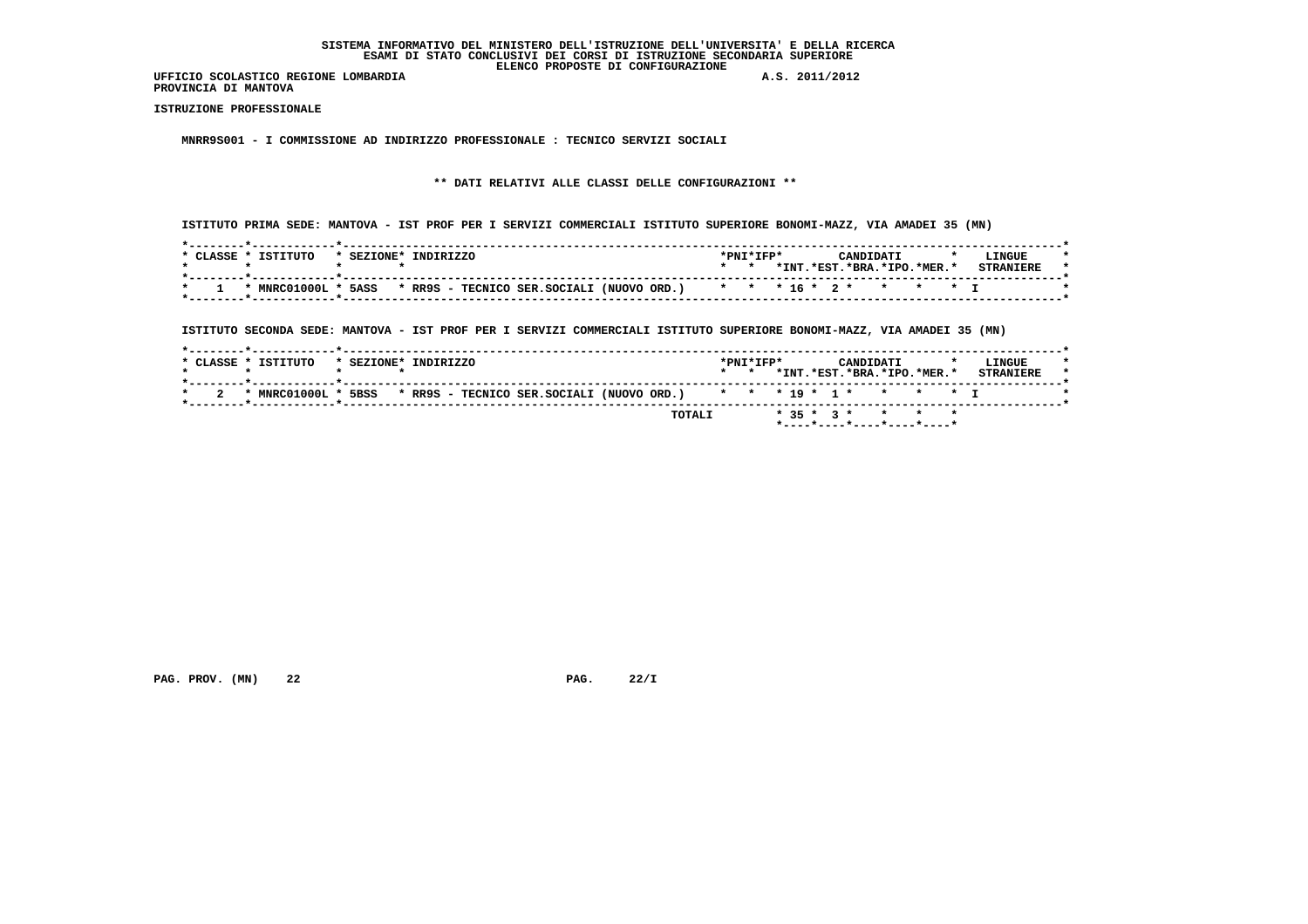**PROVINCIA DI MANTOVA**

 **ISTRUZIONE PROFESSIONALE**

 **MNRR9S001 - I COMMISSIONE AD INDIRIZZO PROFESSIONALE : TECNICO SERVIZI SOCIALI**

# **\*\* DATI RELATIVI ALLE CLASSI DELLE CONFIGURAZIONI \*\***

 **ISTITUTO PRIMA SEDE: MANTOVA - IST PROF PER I SERVIZI COMMERCIALI ISTITUTO SUPERIORE BONOMI-MAZZ, VIA AMADEI 35 (MN)**

| CLASSE | ISTITUTO     | $*$ SEZIONE $*$ | <b>INDIRIZZO</b> |                                                                      |  | *PNI*IFP* |       |          | ־יד גרו          |  | LINGUE |  |
|--------|--------------|-----------------|------------------|----------------------------------------------------------------------|--|-----------|-------|----------|------------------|--|--------|--|
|        |              |                 |                  |                                                                      |  |           | *INT. | $*$ EST. | .*BRA.*IPO.*MER. |  |        |  |
|        |              |                 |                  |                                                                      |  |           |       |          |                  |  |        |  |
|        | * MNRC01000L | 5ASS            |                  | * RR9S - TECNICO SER.SOCIALI (NUOVO ORD.) * * * 16 * 2 * * * * * * I |  |           |       |          |                  |  |        |  |
|        |              |                 |                  |                                                                      |  |           |       |          |                  |  |        |  |

 **ISTITUTO SECONDA SEDE: MANTOVA - IST PROF PER I SERVIZI COMMERCIALI ISTITUTO SUPERIORE BONOMI-MAZZ, VIA AMADEI 35 (MN)**

| $*$ CLASSE $*$ . | TSTTTITO       | * SEZIONE* | INDIRIZZO |  |                                                                      |        | $\star$ $\star$ | $*$ PNT $*$ TFP $*$ |  |              | CANDIDATI<br>*INT.*EST.*BRA.*IPO.*MER.* |       |  | LINGUE<br><b>STRANIERE</b> |  |
|------------------|----------------|------------|-----------|--|----------------------------------------------------------------------|--------|-----------------|---------------------|--|--------------|-----------------------------------------|-------|--|----------------------------|--|
|                  | * MNRC01000L * | 5BSS       |           |  | * RR9S - TECNICO SER.SOCIALI (NUOVO ORD.) * * * 19 * 1 * * * * * * I |        |                 |                     |  |              |                                         |       |  |                            |  |
|                  |                |            |           |  |                                                                      | TOTALI |                 |                     |  | $* 35 * 3 *$ |                                         | * * * |  |                            |  |

 **PAG. PROV. (MN) 22 PAG. 22/I**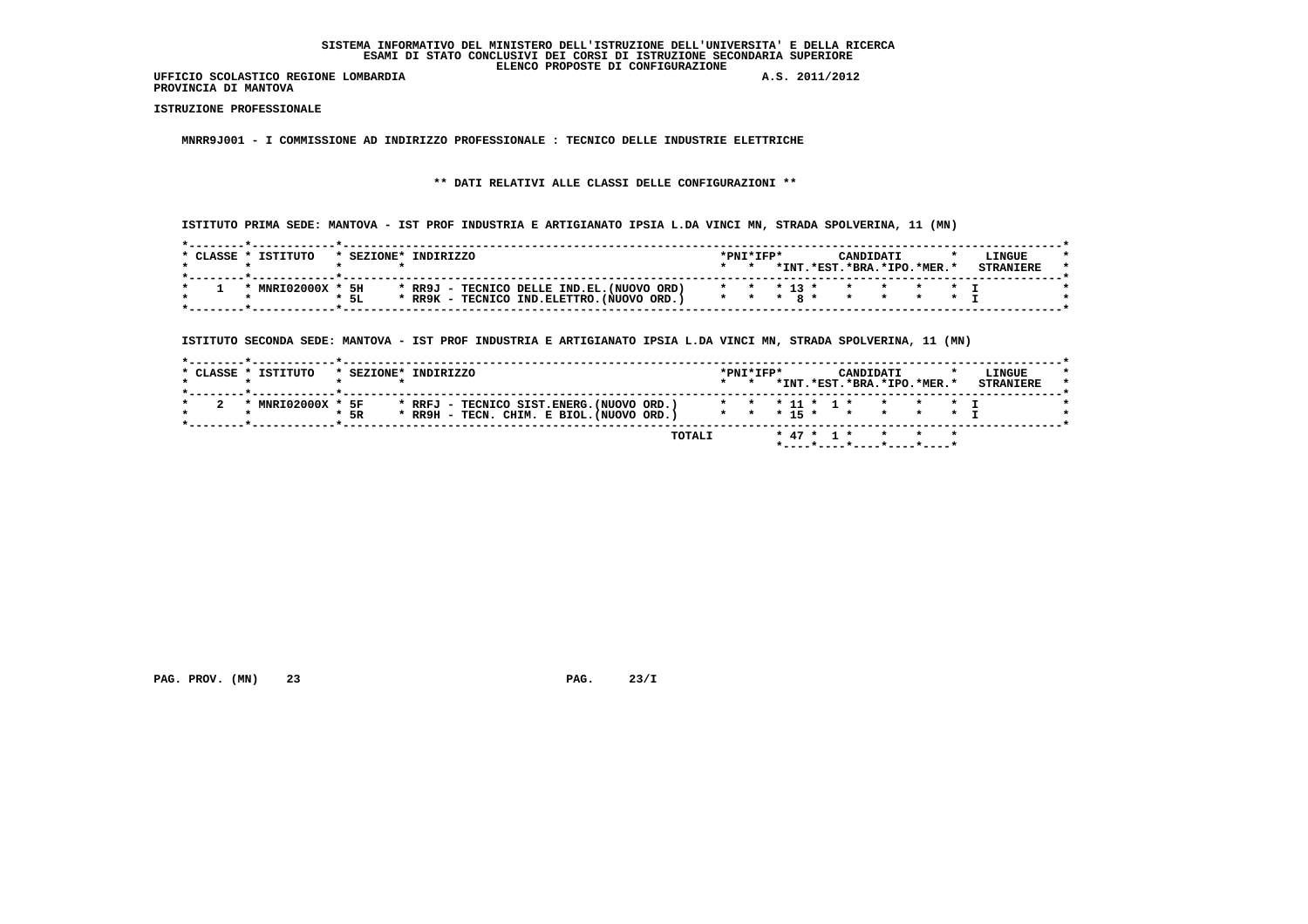**PROVINCIA DI MANTOVA**

 **ISTRUZIONE PROFESSIONALE**

 **MNRR9J001 - I COMMISSIONE AD INDIRIZZO PROFESSIONALE : TECNICO DELLE INDUSTRIE ELETTRICHE**

 **\*\* DATI RELATIVI ALLE CLASSI DELLE CONFIGURAZIONI \*\***

 **ISTITUTO PRIMA SEDE: MANTOVA - IST PROF INDUSTRIA E ARTIGIANATO IPSIA L.DA VINCI MN, STRADA SPOLVERINA, 11 (MN)**

| * CLASSE * | TSTTTITO     | $*$ SEZIONE $*$ | TNDTRTZZO                                                 | $*$ PNT $*$ TFP $*$ |       |            | CANDIDATI            |  | LINGUE           |  |
|------------|--------------|-----------------|-----------------------------------------------------------|---------------------|-------|------------|----------------------|--|------------------|--|
|            |              |                 |                                                           |                     | *TNT. | .*EST.     | $.*RRA.*TPO.*MFR.*$  |  | <b>STRANTERE</b> |  |
|            | * MNRI02000X | 5H              | * RR9J - TECNICO DELLE IND.EL.(NUOVO ORD)                 |                     |       |            | * * * 13 * * * * * * |  |                  |  |
|            |              | $*$ 5L          | $*$ RR9K - TECNICO IND. ELETTRO. (NUOVO ORD.) $*$ $*$ $*$ |                     |       | <b>R</b> * |                      |  |                  |  |

 **ISTITUTO SECONDA SEDE: MANTOVA - IST PROF INDUSTRIA E ARTIGIANATO IPSIA L.DA VINCI MN, STRADA SPOLVERINA, 11 (MN)**

| * CLASSE * ISTITUTO |      | * SEZIONE* INDIRIZZO                      | $\star$ $\star$ |  | CANDIDATI | *INT.*EST.*BRA.*IPO.*MER.* | LINGUE<br><b>STRANTERE</b> |
|---------------------|------|-------------------------------------------|-----------------|--|-----------|----------------------------|----------------------------|
| * MNRI02000X * 5F   |      | * RRFJ - TECNICO SIST.ENERG.(NUOVO ORD.)  |                 |  |           | * * * 11 * 1 * * * * * T   |                            |
|                     | * 5R | * RR9H - TECN. CHIM. E BIOL. (NUOVO ORD.) |                 |  |           | * * * 15 * * * * * * T     |                            |

 **PAG. PROV. (MN) 23** 23 23/I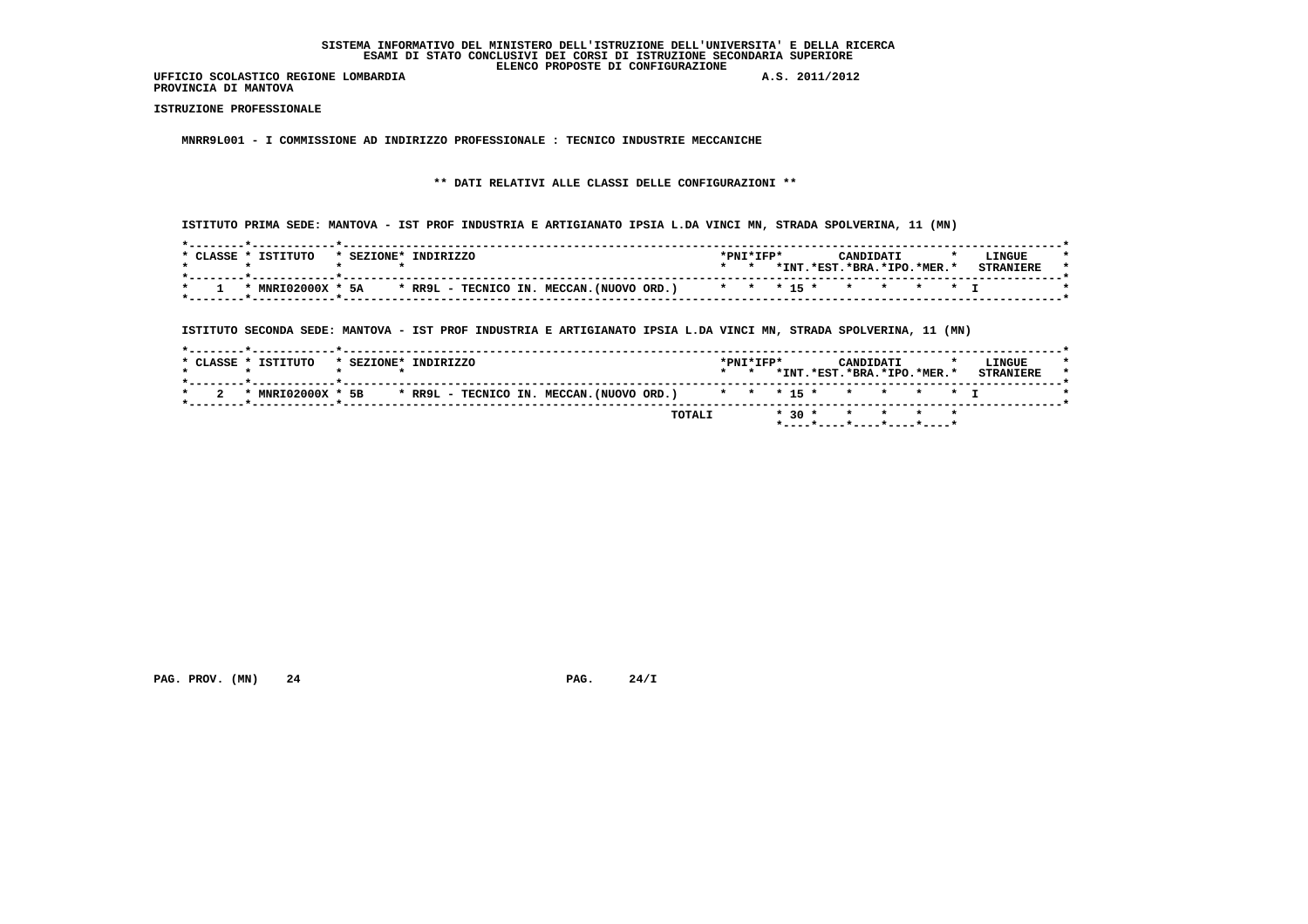**PROVINCIA DI MANTOVA**

 **ISTRUZIONE PROFESSIONALE**

 **MNRR9L001 - I COMMISSIONE AD INDIRIZZO PROFESSIONALE : TECNICO INDUSTRIE MECCANICHE**

 **\*\* DATI RELATIVI ALLE CLASSI DELLE CONFIGURAZIONI \*\***

 **ISTITUTO PRIMA SEDE: MANTOVA - IST PROF INDUSTRIA E ARTIGIANATO IPSIA L.DA VINCI MN, STRADA SPOLVERINA, 11 (MN)**

| CLASSE * | ISTITUTO     | * SEZIONE* | INDIRIZZO                                                          | *PNI*IFP* |      |                          | CANDIDATI |  | LINGUE |  |
|----------|--------------|------------|--------------------------------------------------------------------|-----------|------|--------------------------|-----------|--|--------|--|
|          |              |            |                                                                    |           | *INT | $.*EST.*BRA.*IPO.*MER.*$ |           |  |        |  |
|          | * MNRI02000X | * 5A       | * RR9L - TECNICO IN. MECCAN. (NUOVO ORD.) * * * 15 * * * * * * * I |           |      |                          |           |  |        |  |

 **ISTITUTO SECONDA SEDE: MANTOVA - IST PROF INDUSTRIA E ARTIGIANATO IPSIA L.DA VINCI MN, STRADA SPOLVERINA, 11 (MN)**

|                     | TOTALI                                                                               |                     |  | ----*----*----*----*----* | $* 30 * * * * * * * *$          |                            |  |
|---------------------|--------------------------------------------------------------------------------------|---------------------|--|---------------------------|---------------------------------|----------------------------|--|
|                     | * MNRI02000X * 5B * RR9L - TECNICO IN. MECCAN. (NUOVO ORD.) * * * 15 * * * * * * * I |                     |  |                           |                                 |                            |  |
| * CLASSE * ISTITUTO | * SEZIONE* INDIRIZZO                                                                 | $*$ PNT $*$ TFP $*$ |  | CANDIDATI                 | *TNT. *EST. *BRA. *TPO. *MER. * | LINGUE<br><b>STRANTERE</b> |  |

 **PAG. PROV. (MN) 24 24/I** PAG. 24/I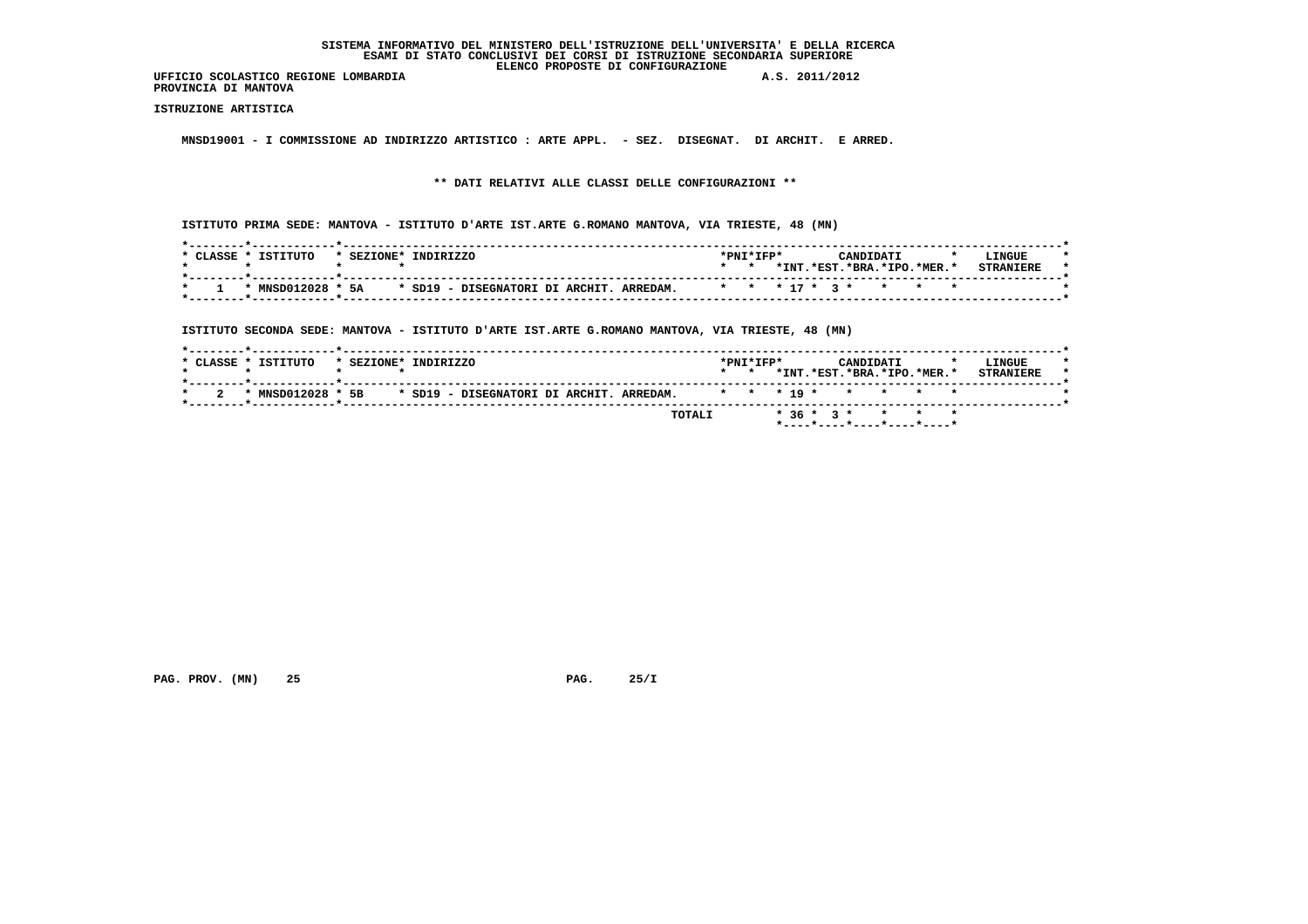**UFFICIO SCOLASTICO REGIONE LOMBARDIA A.S. 2011/2012 PROVINCIA DI MANTOVA**

 **ISTRUZIONE ARTISTICA**

 **MNSD19001 - I COMMISSIONE AD INDIRIZZO ARTISTICO : ARTE APPL. - SEZ. DISEGNAT. DI ARCHIT. E ARRED.**

 **\*\* DATI RELATIVI ALLE CLASSI DELLE CONFIGURAZIONI \*\***

 **ISTITUTO PRIMA SEDE: MANTOVA - ISTITUTO D'ARTE IST.ARTE G.ROMANO MANTOVA, VIA TRIESTE, 48 (MN)**

| CLASSE * | TSTTTITO<br>* SEZIONE* | TNDTRTZZO                                                       | $*$ PNT $*$ TFP $*$ |       | CANDIDATI                                |  | LINGUE           |
|----------|------------------------|-----------------------------------------------------------------|---------------------|-------|------------------------------------------|--|------------------|
|          |                        |                                                                 |                     | *INT. | $.*$ EST $.*$ BRA $.*$ TPO $.*$ MER $.*$ |  | <b>STRANTERE</b> |
|          | * MNSD012028 * 5A      | * SD19 - DISEGNATORI DI ARCHIT. ARREDAM. * * * 17 * 3 * * * * * |                     |       |                                          |  |                  |

 **ISTITUTO SECONDA SEDE: MANTOVA - ISTITUTO D'ARTE IST.ARTE G.ROMANO MANTOVA, VIA TRIESTE, 48 (MN)**

|  | * CLASSE * ISTITUTO | * SEZIONE* INDIRIZZO |  |  |  |        | $*$ PNT $*$ TFP $*$<br>$\star$ $\star$ |  |  | CANDIDATI | *INT.*EST.*BRA.*IPO.*MER.* |  | LINGUE<br><b>STRANIERE</b> |  |
|--|---------------------|----------------------|--|--|--|--------|----------------------------------------|--|--|-----------|----------------------------|--|----------------------------|--|
|  | * MNSD012028 * 5B   |                      |  |  |  |        |                                        |  |  |           |                            |  |                            |  |
|  |                     |                      |  |  |  | TOTALI |                                        |  |  |           | $*36 * 3 * * * * * * *$    |  |                            |  |

 **PAG. PROV. (MN) 25 PAG. 25/I**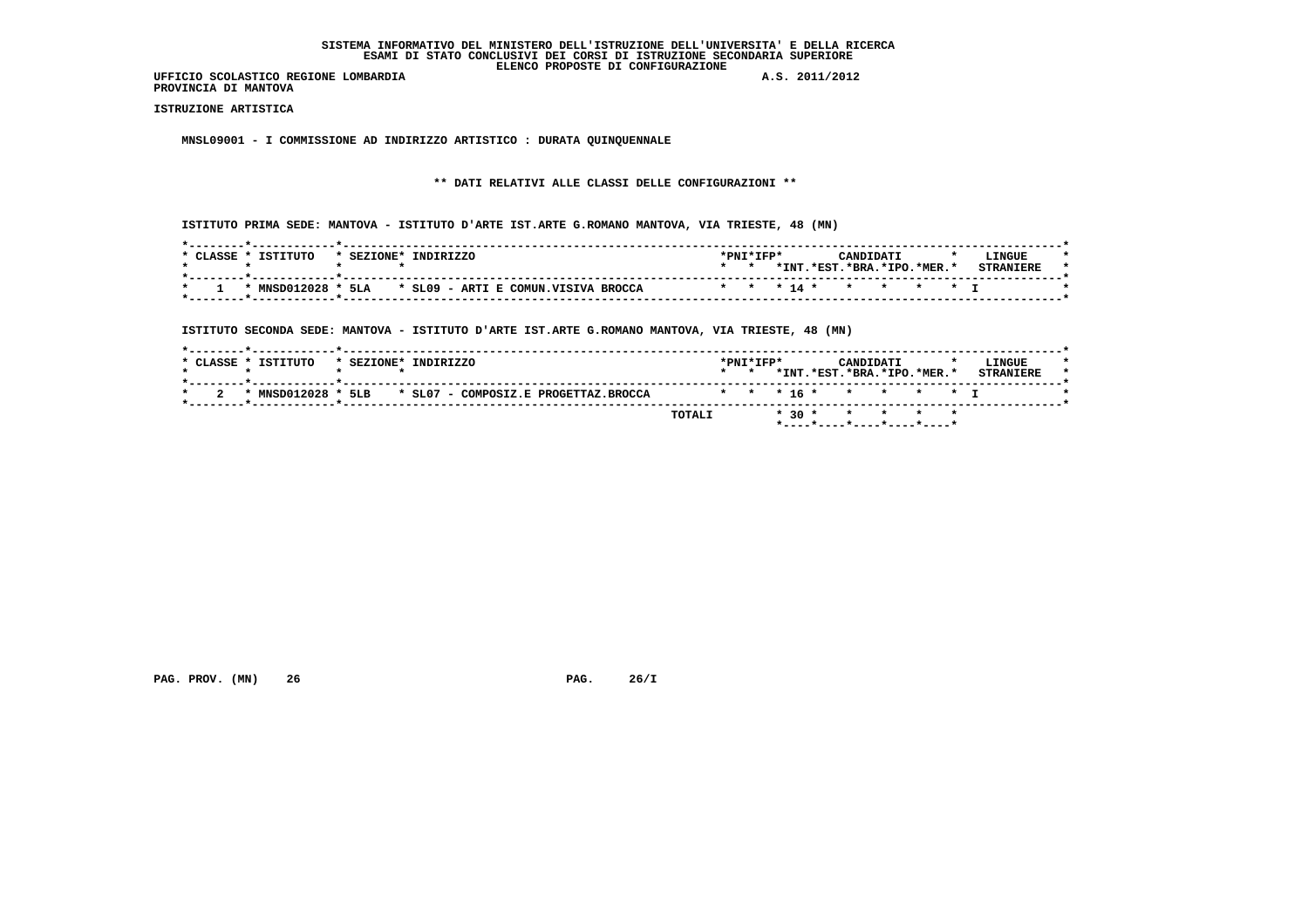**UFFICIO SCOLASTICO REGIONE LOMBARDIA A.S. 2011/2012 PROVINCIA DI MANTOVA**

 **ISTRUZIONE ARTISTICA**

 **MNSL09001 - I COMMISSIONE AD INDIRIZZO ARTISTICO : DURATA QUINQUENNALE**

#### **\*\* DATI RELATIVI ALLE CLASSI DELLE CONFIGURAZIONI \*\***

 **ISTITUTO PRIMA SEDE: MANTOVA - ISTITUTO D'ARTE IST.ARTE G.ROMANO MANTOVA, VIA TRIESTE, 48 (MN)**

| CLASSE. | TSTTTITO | * SEZIONE* | TNDTRTZZO                                                    | $*$ PNT $*$ TFP $*$ |                            | CANDIDATI |  | LINGUE           |  |
|---------|----------|------------|--------------------------------------------------------------|---------------------|----------------------------|-----------|--|------------------|--|
|         |          |            |                                                              |                     | *INT.*EST.*BRA.*IPO.*MER.* |           |  | <b>STRANTFRE</b> |  |
|         |          |            | $*$ MNSD012028 $*$ 5LA $*$ SL09 - ARTI E COMUN.VISIVA BROCCA |                     | * * * 14 * * * * * T       |           |  |                  |  |

 **ISTITUTO SECONDA SEDE: MANTOVA - ISTITUTO D'ARTE IST.ARTE G.ROMANO MANTOVA, VIA TRIESTE, 48 (MN)**

|  | * CLASSE * ISTITUTO | * SEZIONE* INDIRIZZO |  |                                      |                        | $*$ PNT $*$ TFP $*$<br>$\star$ $\star$ |  |  | CANDIDATI | *INT.*EST.*BRA.*IPO.*MER.* |  | LINGUE<br><b>STRANTERE</b> |  |
|--|---------------------|----------------------|--|--------------------------------------|------------------------|----------------------------------------|--|--|-----------|----------------------------|--|----------------------------|--|
|  | * MNSD012028 *      | 5LB                  |  | * SL07 - COMPOSIZ.E PROGETTAZ.BROCCA | * * * 16 * * * * * * T |                                        |  |  |           |                            |  |                            |  |
|  |                     |                      |  |                                      | TOTALI                 |                                        |  |  |           | * 30 * * * * * *           |  |                            |  |

 **PAG. PROV. (MN) 26 26/I** PAG. 26/I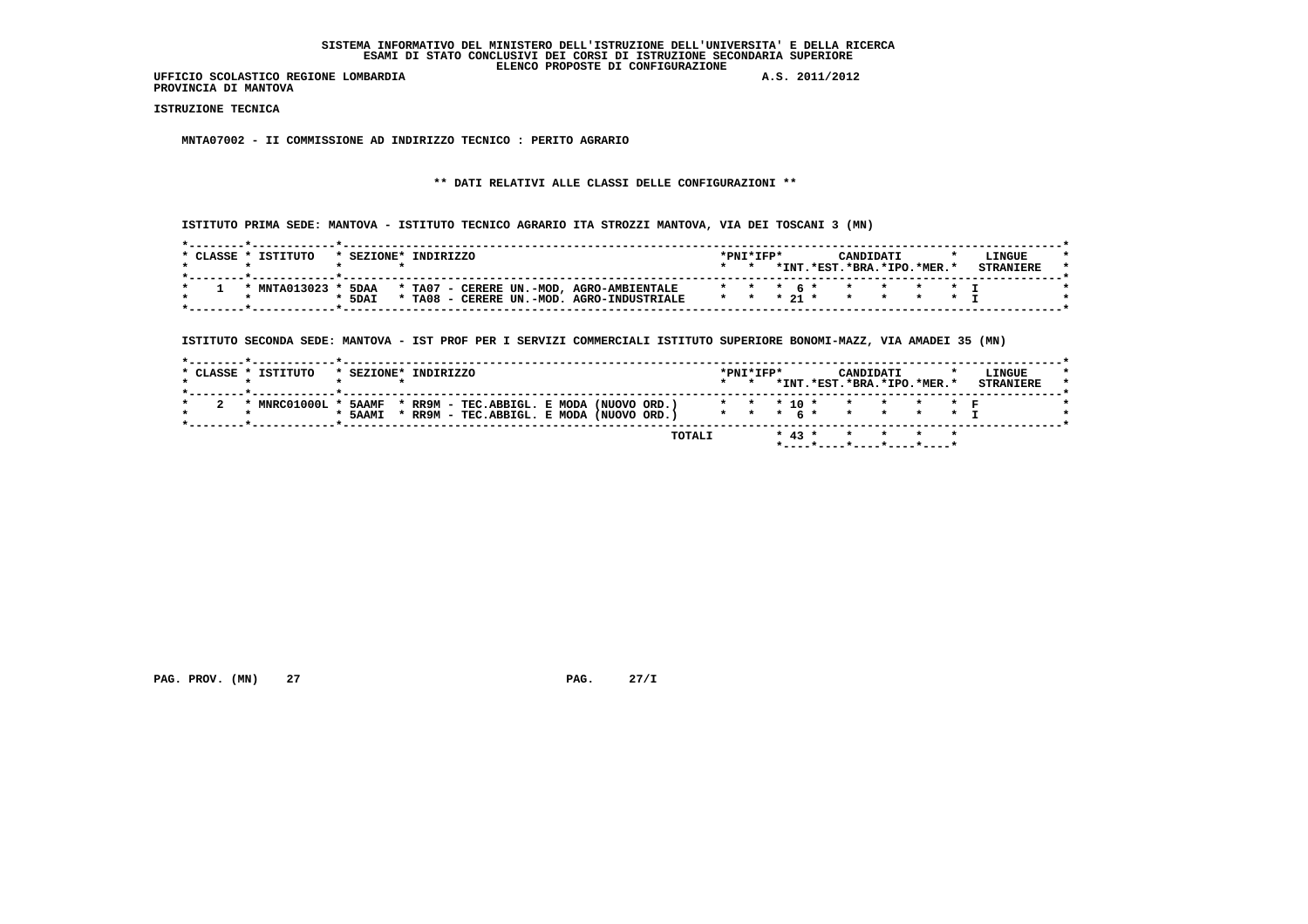**PROVINCIA DI MANTOVA**

 **ISTRUZIONE TECNICA**

 **MNTA07002 - II COMMISSIONE AD INDIRIZZO TECNICO : PERITO AGRARIO**

# **\*\* DATI RELATIVI ALLE CLASSI DELLE CONFIGURAZIONI \*\***

 **ISTITUTO PRIMA SEDE: MANTOVA - ISTITUTO TECNICO AGRARIO ITA STROZZI MANTOVA, VIA DEI TOSCANI 3 (MN)**

| CLASSE | TSTTTITO     | * SEZIONE* | TNDTRTZZO                                    | *PNI*IFP* |            | CANDIDATI                 |  | LINGUE |  |
|--------|--------------|------------|----------------------------------------------|-----------|------------|---------------------------|--|--------|--|
|        |              |            |                                              |           | * TNT      | *FST. *BRA. *IPO. *MER. * |  |        |  |
|        | * MNTA013023 | 5DAA       | * TA07 - CERERE UN.-MOD, AGRO-AMBIENTALE     |           |            | * * * * * * * * * * T     |  |        |  |
|        |              | * 5DAI     | $*$ TA08<br>CERERE UN.-MOD. AGRO-INDUSTRIALE |           | * * * 21 * |                           |  |        |  |

 **ISTITUTO SECONDA SEDE: MANTOVA - IST PROF PER I SERVIZI COMMERCIALI ISTITUTO SUPERIORE BONOMI-MAZZ, VIA AMADEI 35 (MN)**

| *INT.*EST.*BRA.*IPO.*MER.*<br>$\star$ $\star$<br>* * * 10 * * * * * * F<br>* MNRC01000L * 5AAMF * RR9M - TEC.ABBIGL. E MODA (NUOVO ORD.)<br>* * * 6 * * * * * * T<br>* RR9M - TEC.ABBIGL. E MODA (NUOVO ORD.)<br>* 5AAMI |                  |
|--------------------------------------------------------------------------------------------------------------------------------------------------------------------------------------------------------------------------|------------------|
|                                                                                                                                                                                                                          |                  |
|                                                                                                                                                                                                                          |                  |
|                                                                                                                                                                                                                          |                  |
|                                                                                                                                                                                                                          |                  |
|                                                                                                                                                                                                                          | <b>STRANTERE</b> |
| * CLASSE * ISTITUTO<br>$*$ PNT $*$ TFP $*$<br>* SEZIONE* INDIRIZZO<br>CANDIDATI                                                                                                                                          | LINGUE           |

 **PAG. PROV. (MN) 27 27 28 27/I** PAG. 27/I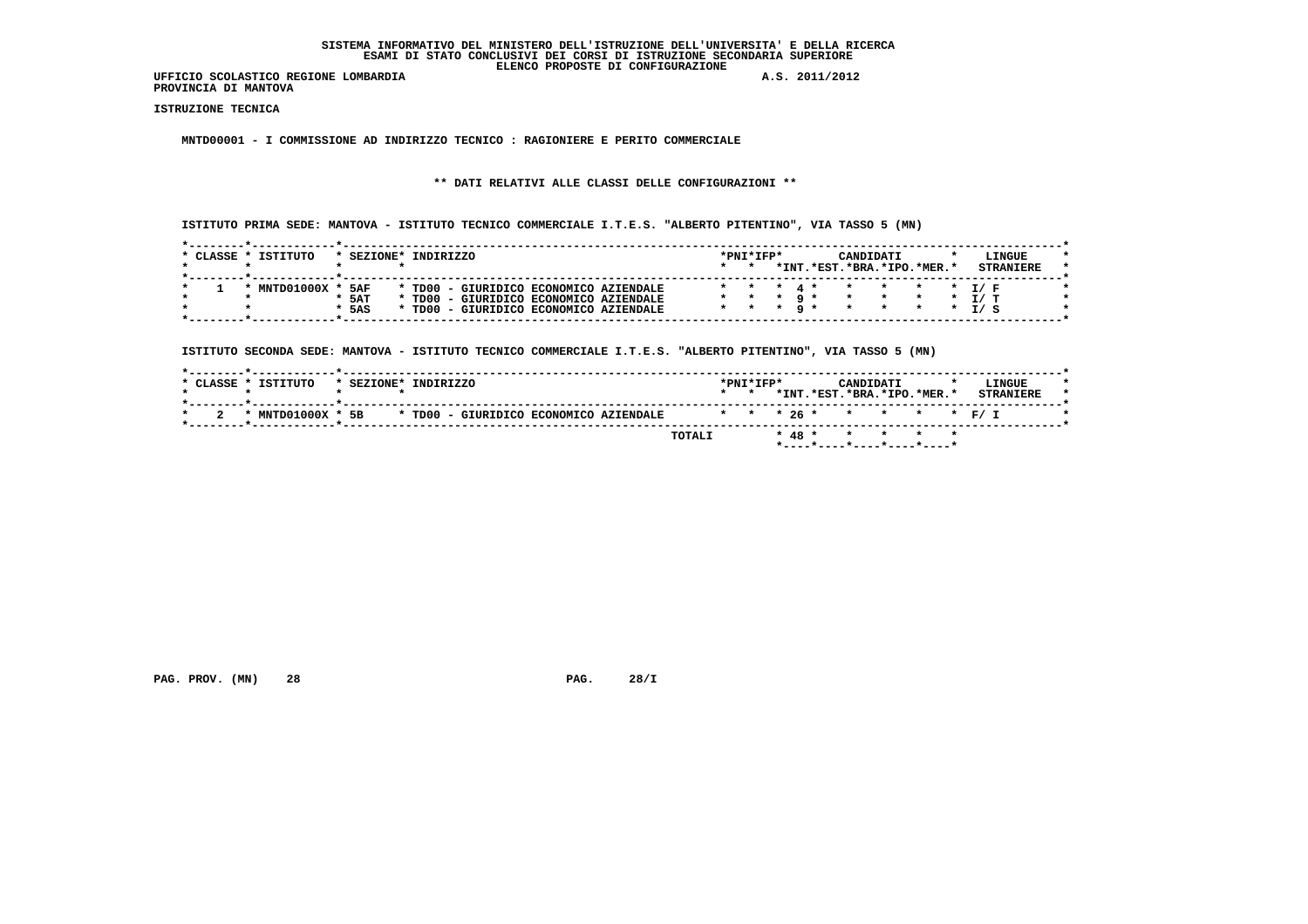**PROVINCIA DI MANTOVA**

 **ISTRUZIONE TECNICA**

 **MNTD00001 - I COMMISSIONE AD INDIRIZZO TECNICO : RAGIONIERE E PERITO COMMERCIALE**

# **\*\* DATI RELATIVI ALLE CLASSI DELLE CONFIGURAZIONI \*\***

 **ISTITUTO PRIMA SEDE: MANTOVA - ISTITUTO TECNICO COMMERCIALE I.T.E.S. "ALBERTO PITENTINO", VIA TASSO 5 (MN)**

| CLASSE | TSTTTITO   | SEZIONE* | TNDTRTZZO |                                        |  | $*$ PNT $*$ TFP $*$ |  |  | CANDIDATI                       |  | LINGUE            |
|--------|------------|----------|-----------|----------------------------------------|--|---------------------|--|--|---------------------------------|--|-------------------|
|        |            |          |           |                                        |  |                     |  |  | *INT. *EST. *BRA. *IPO. *MER. * |  | <b>STRANTERE</b>  |
|        |            |          |           |                                        |  |                     |  |  |                                 |  |                   |
|        | MNTD01000X | 5AF      |           | * TD00 - GIURIDICO ECONOMICO AZIENDALE |  |                     |  |  |                                 |  | * * * T/F         |
|        |            | $*$ 5AT  |           | * TD00 - GIURIDICO ECONOMICO AZIENDALE |  |                     |  |  |                                 |  | * T/T             |
|        |            | $*$ 5AS  |           | * TD00 - GIURIDICO ECONOMICO AZIENDALE |  | * * *               |  |  |                                 |  | $\star$ $\tau/$ c |

 **ISTITUTO SECONDA SEDE: MANTOVA - ISTITUTO TECNICO COMMERCIALE I.T.E.S. "ALBERTO PITENTINO", VIA TASSO 5 (MN)**

| $*$ CLASSE | TSTTTITO          | * SEZIONE* INDIRIZZO |                                        |  |                           | $*$ PNT $*$ TFP $*$<br>$\star$ |  | <b>CANDIDATI</b> | *INT.*EST.*BRA.*IPO.*MER.* | LINGUE<br><b>STRANTERE</b> |
|------------|-------------------|----------------------|----------------------------------------|--|---------------------------|--------------------------------|--|------------------|----------------------------|----------------------------|
|            | * MNTD01000X * 5B |                      | * TD00 - GIURIDICO ECONOMICO AZIENDALE |  | * * * 26 * * * * * * F/ I |                                |  |                  |                            |                            |
|            |                   |                      |                                        |  | TOTALI                    |                                |  |                  | * 48 * * * * * *           |                            |

 **PAG. PROV. (MN) 28 PAG. 28/I**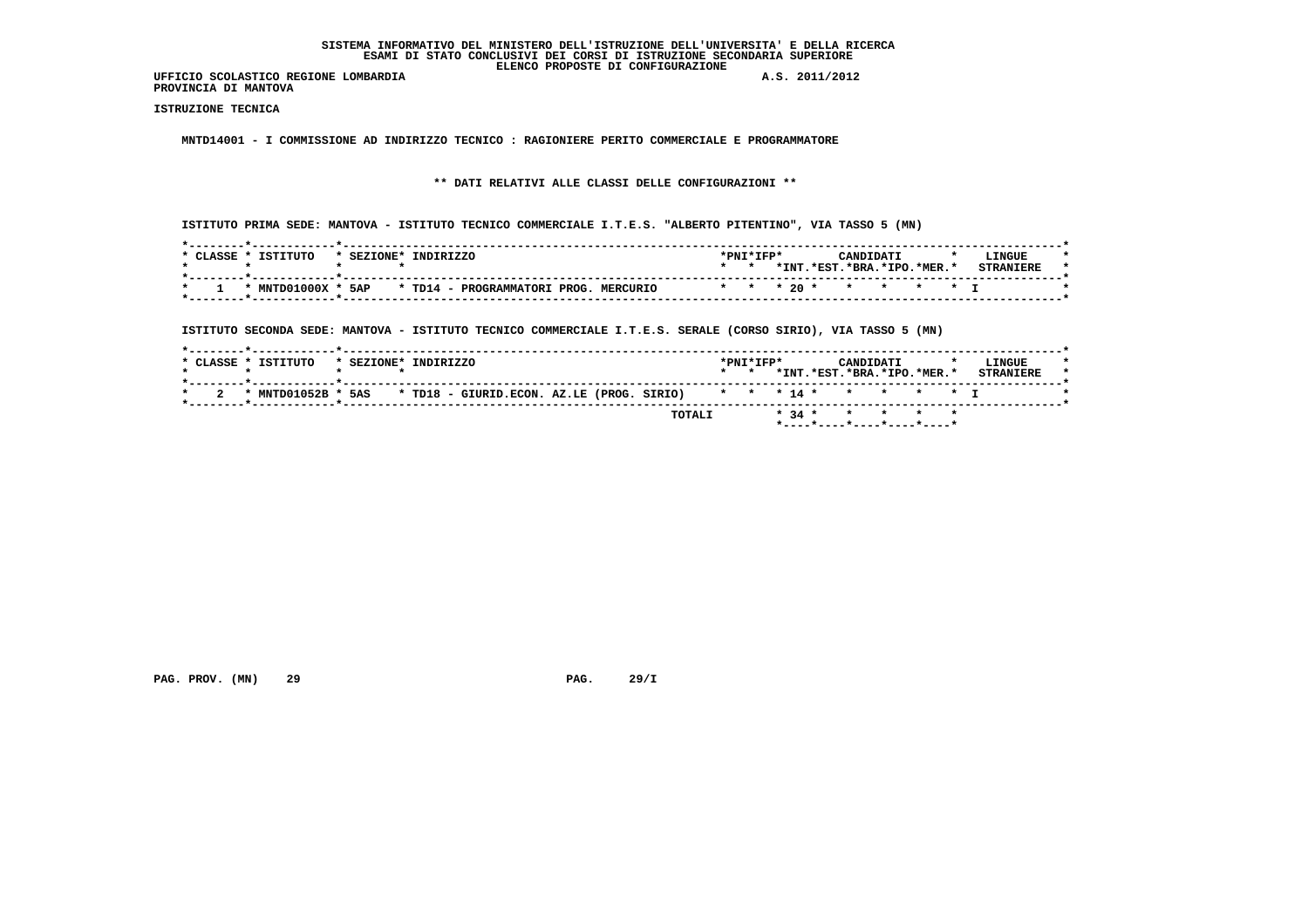**PROVINCIA DI MANTOVA**

 **ISTRUZIONE TECNICA**

 **MNTD14001 - I COMMISSIONE AD INDIRIZZO TECNICO : RAGIONIERE PERITO COMMERCIALE E PROGRAMMATORE**

# **\*\* DATI RELATIVI ALLE CLASSI DELLE CONFIGURAZIONI \*\***

 **ISTITUTO PRIMA SEDE: MANTOVA - ISTITUTO TECNICO COMMERCIALE I.T.E.S. "ALBERTO PITENTINO", VIA TASSO 5 (MN)**

| * CLASSE * | TSTTTITO | * SEZIONE* INDIRIZZO                                                                          | *PNI*IFP* |       | CANDIDATI              |  | <b>LINGUE</b>    |  |
|------------|----------|-----------------------------------------------------------------------------------------------|-----------|-------|------------------------|--|------------------|--|
|            |          |                                                                                               |           | *INT. | .*FST.*BRA.*TPO.*MER.* |  | <b>CTDANTEDE</b> |  |
|            |          | * MNTD01000X * 5AP * TD14 - PROGRAMMATORI PROG.<br>* * * 20 * * * * * * T<br><b>MERCITRTO</b> |           |       |                        |  |                  |  |
|            |          |                                                                                               |           |       |                        |  |                  |  |

 **ISTITUTO SECONDA SEDE: MANTOVA - ISTITUTO TECNICO COMMERCIALE I.T.E.S. SERALE (CORSO SIRIO), VIA TASSO 5 (MN)**

|  | * CLASSE * ISTITUTO | * SEZIONE* INDIRIZZO |  |                                                                        |  |        | $\star$ $\star$ | $*$ PNT $*$ TFP $*$ |  | CANDIDATI | *INT.*EST.*BRA.*IPO.*MER.* |  | LINGUE<br><b>STRANTERE</b> |  |
|--|---------------------|----------------------|--|------------------------------------------------------------------------|--|--------|-----------------|---------------------|--|-----------|----------------------------|--|----------------------------|--|
|  | * $MTD01052B$ *     |                      |  | 5AS * TD18 - GIURID.ECON. AZ.LE (PROG. SIRIO) * * * 14 * * * * * * * I |  |        |                 |                     |  |           |                            |  |                            |  |
|  |                     |                      |  |                                                                        |  | TOTALI |                 |                     |  |           | * 34 * * * * * *           |  |                            |  |

 **PAG. PROV. (MN) 29 29 PAG. 29/I**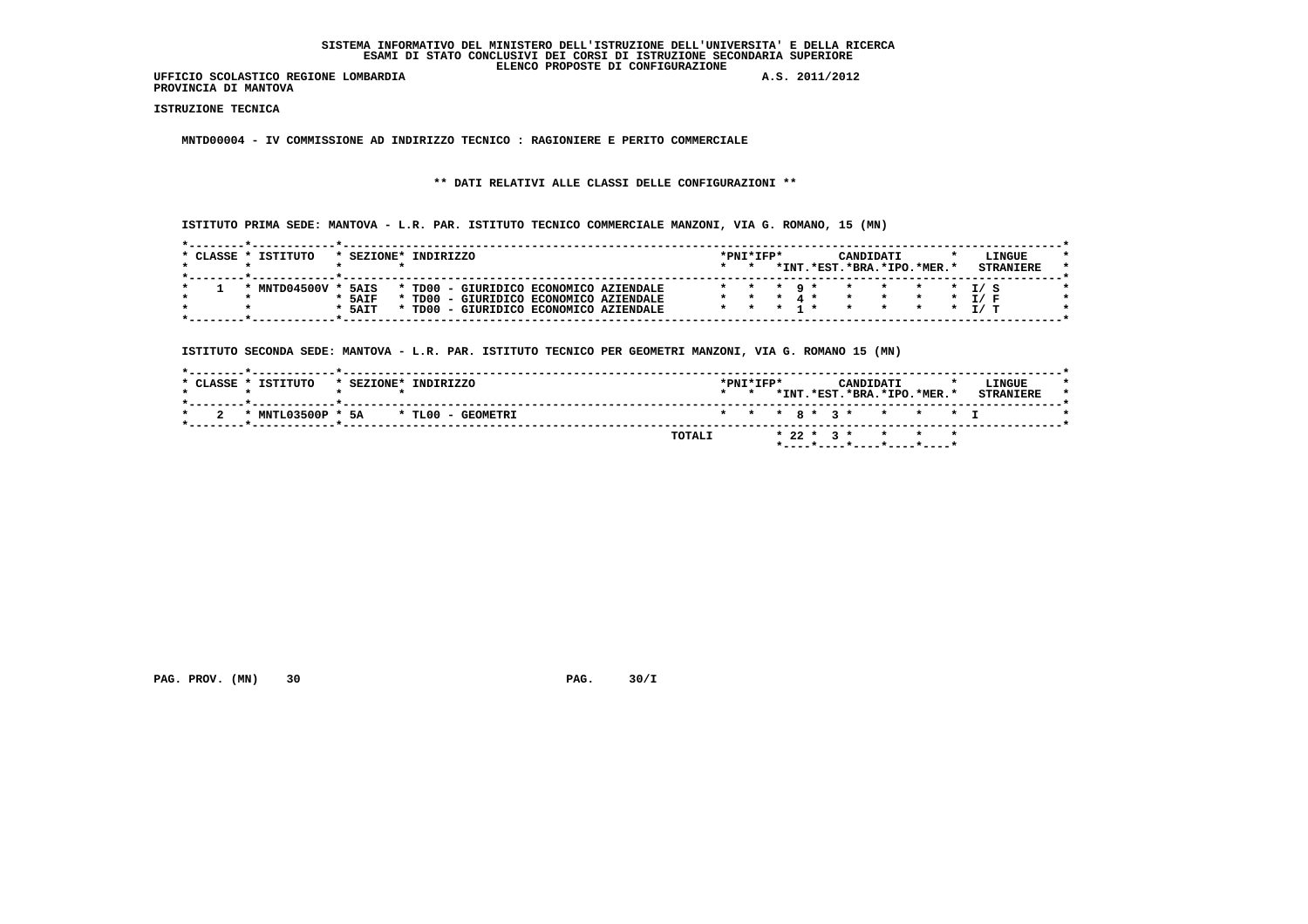**UFFICIO SCOLASTICO REGIONE LOMBARDIA A.S. 2011/2012 PROVINCIA DI MANTOVA**

 **ISTRUZIONE TECNICA**

 **MNTD00004 - IV COMMISSIONE AD INDIRIZZO TECNICO : RAGIONIERE E PERITO COMMERCIALE**

# **\*\* DATI RELATIVI ALLE CLASSI DELLE CONFIGURAZIONI \*\***

 **ISTITUTO PRIMA SEDE: MANTOVA - L.R. PAR. ISTITUTO TECNICO COMMERCIALE MANZONI, VIA G. ROMANO, 15 (MN)**

|            |      |                    | $\star$                                                                                                                |  |       | *INT.*EST.*BRA.*IPO.*MER.* |  |                                                 |
|------------|------|--------------------|------------------------------------------------------------------------------------------------------------------------|--|-------|----------------------------|--|-------------------------------------------------|
|            |      |                    |                                                                                                                        |  |       |                            |  |                                                 |
|            |      |                    |                                                                                                                        |  |       |                            |  |                                                 |
| MNTD04500V | 5AIS |                    |                                                                                                                        |  |       |                            |  |                                                 |
|            |      |                    |                                                                                                                        |  |       |                            |  | T / F                                           |
|            |      |                    |                                                                                                                        |  |       |                            |  |                                                 |
|            |      | $*$ 5AIF<br>* 5AIT | * TD00 - GIURIDICO ECONOMICO AZIENDALE<br>TD00 - GIURIDICO ECONOMICO AZIENDALE<br>TD00 - GIURIDICO ECONOMICO AZIENDALE |  | * * * | $\circ$ $\star$            |  | $\star$ $\star$ $\star$ $\tau$ / $\le$<br>* T/T |

 **ISTITUTO SECONDA SEDE: MANTOVA - L.R. PAR. ISTITUTO TECNICO PER GEOMETRI MANZONI, VIA G. ROMANO 15 (MN)**

| * CLASSE * ISTITUTO<br>INDIRIZZO<br>* SEZIONE* | $*$ PNT $*$ TFP $*$<br>LINGUE<br>CANDIDATI<br>*INT.*EST.*BRA.*IPO.*MER.*<br><b>STRANIERE</b><br>$\star$ $\star$ |
|------------------------------------------------|-----------------------------------------------------------------------------------------------------------------|
| * MNTL03500P * 5A * TL00 - GEOMETRI            | * * * 8 * 3 * * * * * T                                                                                         |
|                                                | $* 22 * 3 * * * * * * *$<br>TOTALI                                                                              |

 **PAG. PROV. (MN)** 30 **PAG. 30/I**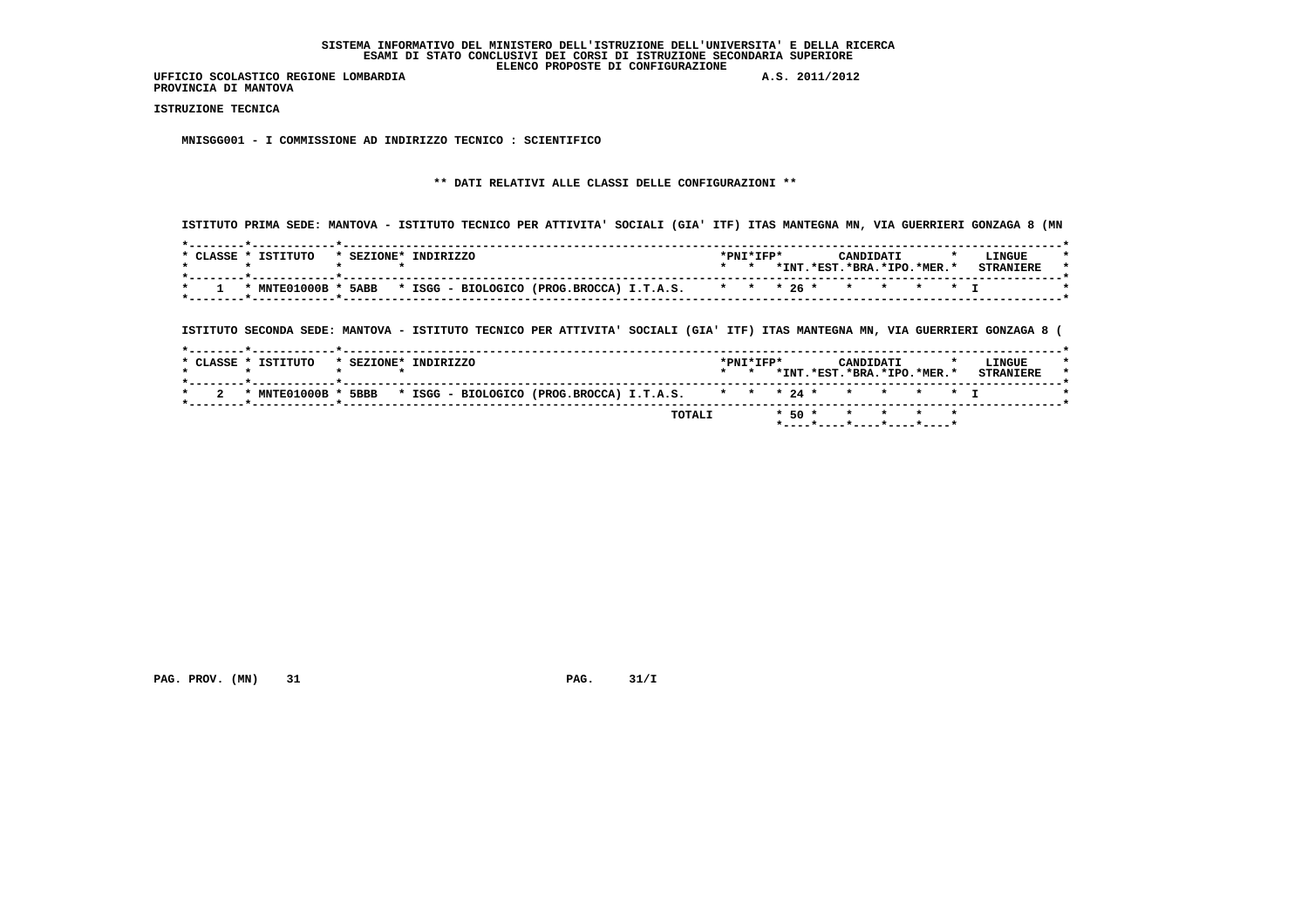**PROVINCIA DI MANTOVA**

 **ISTRUZIONE TECNICA**

 **MNISGG001 - I COMMISSIONE AD INDIRIZZO TECNICO : SCIENTIFICO**

# **\*\* DATI RELATIVI ALLE CLASSI DELLE CONFIGURAZIONI \*\***

 **ISTITUTO PRIMA SEDE: MANTOVA - ISTITUTO TECNICO PER ATTIVITA' SOCIALI (GIA' ITF) ITAS MANTEGNA MN, VIA GUERRIERI GONZAGA 8 (MN**

| CLASSE | ISTITUTO     | $*$ SEZIONE $*$ | <b>INDIRIZZO</b> |                                                                    |  | *PNI*IFP* |       |           | ־יד גרו          |  | LINGUE |  |
|--------|--------------|-----------------|------------------|--------------------------------------------------------------------|--|-----------|-------|-----------|------------------|--|--------|--|
|        |              |                 |                  |                                                                    |  |           | *INT. | $*$ $RST$ | .*BRA.*IPO.*MER. |  |        |  |
|        |              |                 |                  |                                                                    |  |           |       |           |                  |  |        |  |
|        | * MNTE01000B | 5ABB            |                  | * ISGG - BIOLOGICO (PROG.BROCCA) I.T.A.S. * * * 26 * * * * * * * I |  |           |       |           |                  |  |        |  |
|        |              |                 |                  |                                                                    |  |           |       |           |                  |  |        |  |

 **ISTITUTO SECONDA SEDE: MANTOVA - ISTITUTO TECNICO PER ATTIVITA' SOCIALI (GIA' ITF) ITAS MANTEGNA MN, VIA GUERRIERI GONZAGA 8 (**

|                     |                                                                                        | TOTALI |                 |                     |  |           | * 50 * * * * * *           | *----*----*----*----*----* |                            |  |
|---------------------|----------------------------------------------------------------------------------------|--------|-----------------|---------------------|--|-----------|----------------------------|----------------------------|----------------------------|--|
|                     | * MNTE01000B * 5BBB * ISGG - BIOLOGICO (PROG.BROCCA) I.T.A.S. * * * 24 * * * * * * * I |        |                 |                     |  |           |                            |                            |                            |  |
| * CLASSE * ISTITUTO | * SEZIONE* INDIRIZZO                                                                   |        | $\star$ $\star$ | $*$ PNT $*$ TFP $*$ |  | CANDIDATI | *INT.*EST.*BRA.*IPO.*MER.* |                            | LINGUE<br><b>STRANTERE</b> |  |

 **PAG. PROV. (MN)** 31 **PAG. 31/I**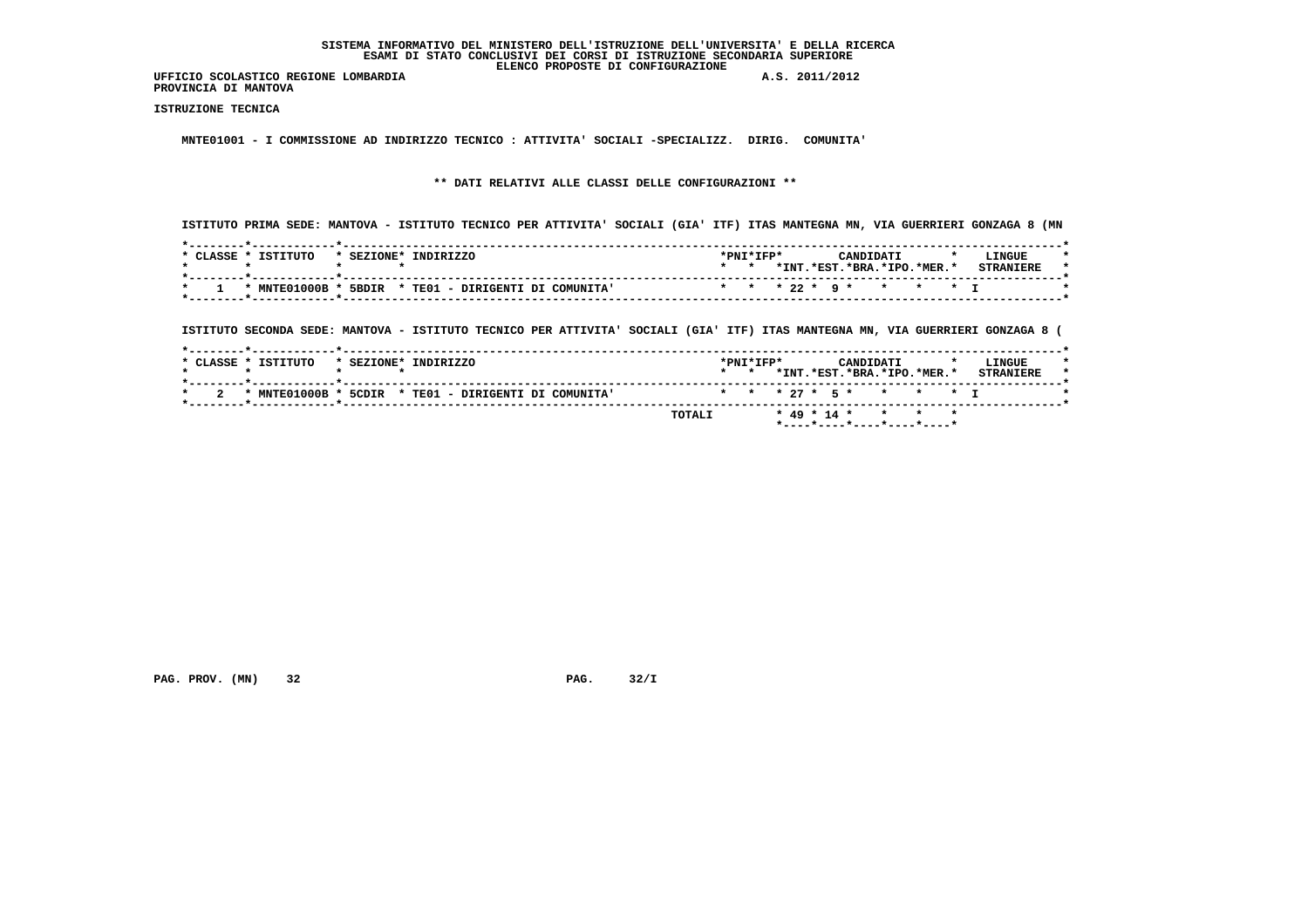**PROVINCIA DI MANTOVA**

 **ISTRUZIONE TECNICA**

 **MNTE01001 - I COMMISSIONE AD INDIRIZZO TECNICO : ATTIVITA' SOCIALI -SPECIALIZZ. DIRIG. COMUNITA'**

 **\*\* DATI RELATIVI ALLE CLASSI DELLE CONFIGURAZIONI \*\***

 **ISTITUTO PRIMA SEDE: MANTOVA - ISTITUTO TECNICO PER ATTIVITA' SOCIALI (GIA' ITF) ITAS MANTEGNA MN, VIA GUERRIERI GONZAGA 8 (MN**

| TSTTTITO<br>CLASSE | TNDTRTZZO<br>* SEZIONE*               | *PNI*IFP* | ויומתהמצ                   | LINGUE           |  |
|--------------------|---------------------------------------|-----------|----------------------------|------------------|--|
|                    |                                       |           | *INT.*EST.*BRA.*IPO.*MER.* | <b>STRANIERE</b> |  |
| * MNTE01000B       | 5BDIR * TEO1 - DIRIGENTI DI COMUNITA' |           | * * * 22 * 9 * * * * * I   |                  |  |

 **ISTITUTO SECONDA SEDE: MANTOVA - ISTITUTO TECNICO PER ATTIVITA' SOCIALI (GIA' ITF) ITAS MANTEGNA MN, VIA GUERRIERI GONZAGA 8 (**

|     | * CLASSE * ISTITUTO | * SEZIONE* INDIRIZZO                                 | $\star$ $\star$ | $*$ PNT $*$ TFP $*$ |  | CANDIDATI<br>*INT.*EST.*BRA.*IPO.*MER.* |  | LINGUE<br><b>STRANTERE</b> |  |
|-----|---------------------|------------------------------------------------------|-----------------|---------------------|--|-----------------------------------------|--|----------------------------|--|
| - 2 |                     | * MNTE01000B * 5CDIR * TE01 - DIRIGENTI DI COMUNITA' |                 |                     |  | * * * 27 * 5 * * * * * T                |  |                            |  |
|     |                     | TOTALI                                               |                 |                     |  | $*$ 49 $*$ 14 $*$ + $*$ +               |  |                            |  |

 **PAG. PROV. (MN) 32 PAG. 32/I**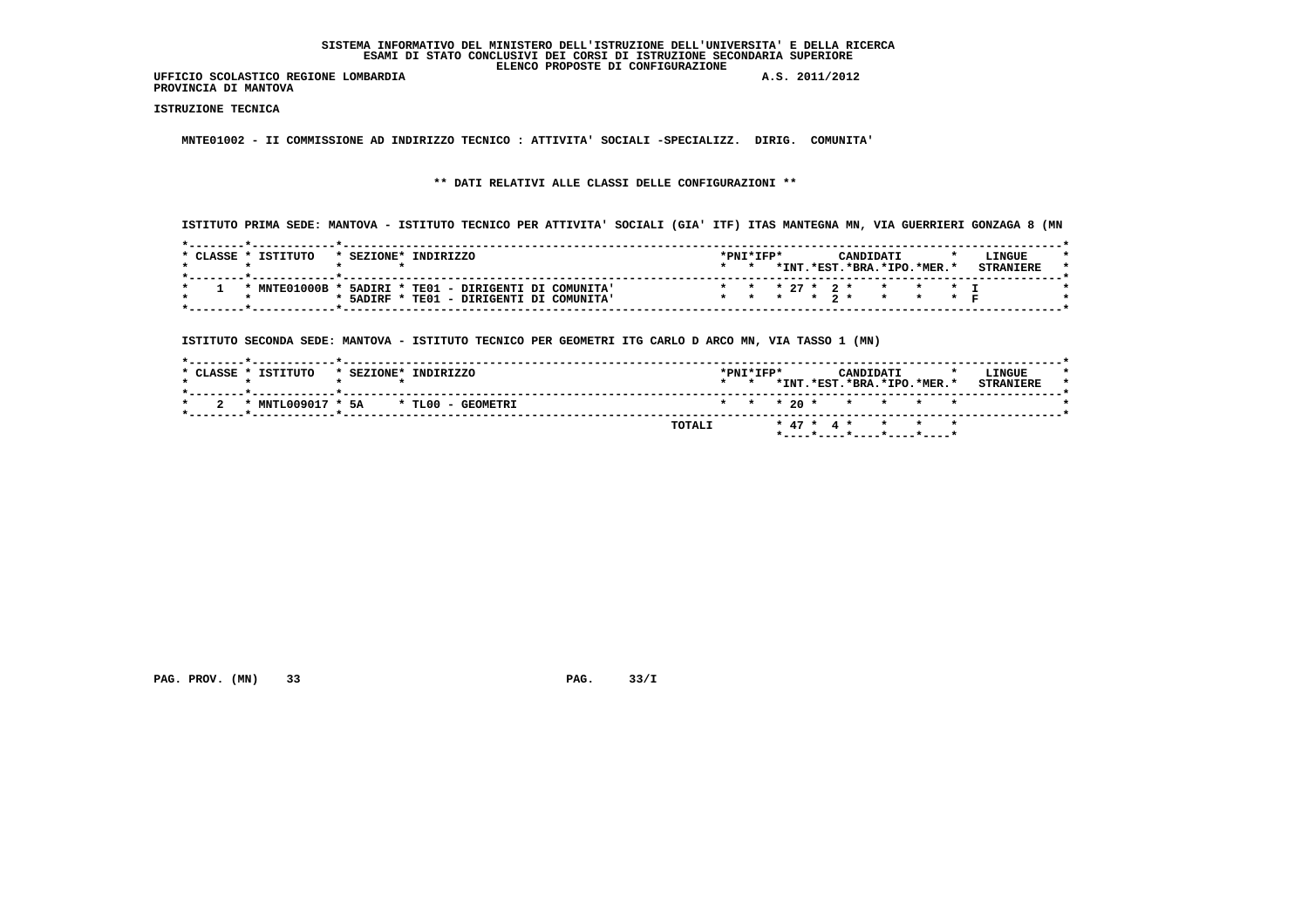**PROVINCIA DI MANTOVA**

 **ISTRUZIONE TECNICA**

 **MNTE01002 - II COMMISSIONE AD INDIRIZZO TECNICO : ATTIVITA' SOCIALI -SPECIALIZZ. DIRIG. COMUNITA'**

# **\*\* DATI RELATIVI ALLE CLASSI DELLE CONFIGURAZIONI \*\***

 **ISTITUTO PRIMA SEDE: MANTOVA - ISTITUTO TECNICO PER ATTIVITA' SOCIALI (GIA' ITF) ITAS MANTEGNA MN, VIA GUERRIERI GONZAGA 8 (MN**

| $*$ CLASSE $*$ | TSTTTITO      | * SEZIONE* | TNDTRTZZO                              |  | $*$ PNT $*$ TFP $*$ |  |  | CANDIDATI |                            | LINGUE |  |
|----------------|---------------|------------|----------------------------------------|--|---------------------|--|--|-----------|----------------------------|--------|--|
|                |               |            |                                        |  |                     |  |  |           | *INT.*EST.*BRA.*IPO.*MER.* |        |  |
|                | * $MTE01000B$ |            | 5ADIRI * TE01 - DIRIGENTI DI COMUNITA' |  |                     |  |  |           | * * * 27 * 2 * * * * T     |        |  |
|                |               | * 5ADIRF   | TE01 - DIRIGENTI DI COMUNITA'          |  |                     |  |  |           | * * * * 2 * * * * *        |        |  |

 **ISTITUTO SECONDA SEDE: MANTOVA - ISTITUTO TECNICO PER GEOMETRI ITG CARLO D ARCO MN, VIA TASSO 1 (MN)**

| *INT.*EST.*BRA.*IPO.*MER.*   |
|------------------------------|
| * * * 20 * * * * * *         |
| * 47 * 4 * * * * *<br>TOTALI |
|                              |

 **PAG. PROV. (MN)** 33 **PAG. 33/I**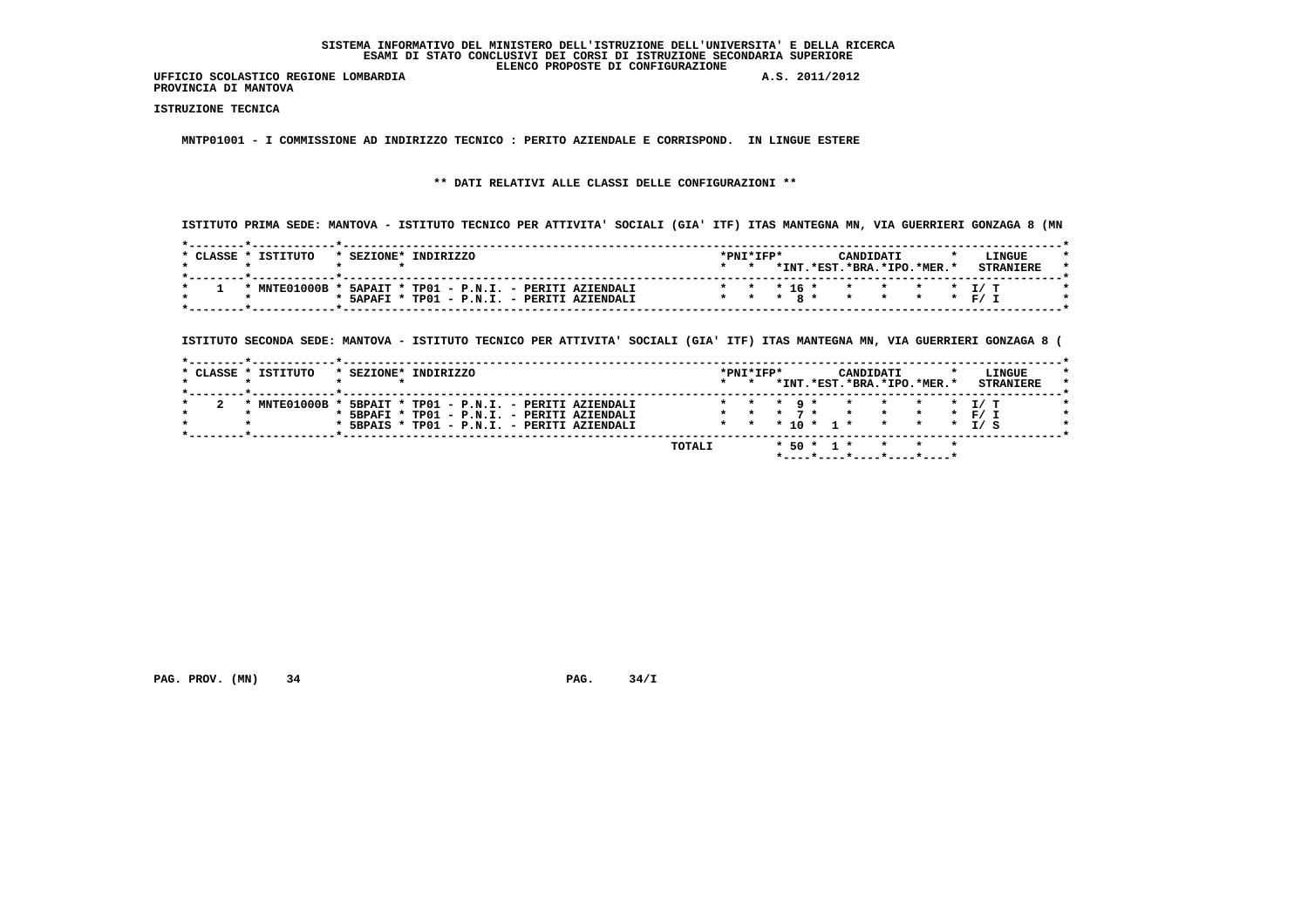**PROVINCIA DI MANTOVA**

 **ISTRUZIONE TECNICA**

 **MNTP01001 - I COMMISSIONE AD INDIRIZZO TECNICO : PERITO AZIENDALE E CORRISPOND. IN LINGUE ESTERE**

# **\*\* DATI RELATIVI ALLE CLASSI DELLE CONFIGURAZIONI \*\***

 **ISTITUTO PRIMA SEDE: MANTOVA - ISTITUTO TECNICO PER ATTIVITA' SOCIALI (GIA' ITF) ITAS MANTEGNA MN, VIA GUERRIERI GONZAGA 8 (MN**

| CLASSE | TSTITUTO       | * SEZIONE* | TNDTRTZZO                                 | $*$ PNT $*$ TFP $*$ |          |        | CANDIDATI |                           | L.TNGUE |  |
|--------|----------------|------------|-------------------------------------------|---------------------|----------|--------|-----------|---------------------------|---------|--|
|        |                |            |                                           |                     | $*$ TNT. | .*RST. |           | $.*BRA.*IPO.*MER.*$       |         |  |
|        |                |            |                                           |                     |          |        |           |                           |         |  |
|        | $*$ MNTE01000B |            | 5APAIT * TP01 - P.N.I. - PERITI AZIENDALI |                     |          |        |           | * * * 16 * * * * * * T/ T |         |  |
|        |                | * 5APAFI   | TP01 - P.N.I. - PERITI AZIENDALI          | * * * * 8 *         |          |        |           | * * * F/T                 |         |  |

 **ISTITUTO SECONDA SEDE: MANTOVA - ISTITUTO TECNICO PER ATTIVITA' SOCIALI (GIA' ITF) ITAS MANTEGNA MN, VIA GUERRIERI GONZAGA 8 (**

| * CLASSE * ISTITUTO | * SEZIONE* INDIRIZZO                        |                 | *PNI*IFP* |                                         |                             | CANDIDATI | LINGUE           |
|---------------------|---------------------------------------------|-----------------|-----------|-----------------------------------------|-----------------------------|-----------|------------------|
|                     |                                             | $\star$ $\star$ |           |                                         | *INT.*EST.*BRA.*IPO.*MER.*  |           | <b>STRANTERE</b> |
|                     |                                             |                 |           |                                         |                             |           |                  |
| * MNTE01000B *      | 5BPAIT * TP01 - P.N.I. - PERITI AZIENDALI   |                 |           | $\star$ $\star$ $\star$ $\cdot$ $\cdot$ |                             |           | * * * * T/T      |
|                     | * 5BPAFI * TP01 - P.N.I. - PERITI AZIENDALI |                 |           |                                         | * * * 7 * * * * * * F/ T    |           |                  |
|                     | * 5BPAIS * TP01 - P.N.I. - PERITI AZIENDALI |                 |           |                                         | * * * 10 * 1 * * * * * 1/ S |           |                  |
|                     |                                             |                 |           |                                         |                             |           |                  |

 **\*----\*----\*----\*----\*----\***

 **PAG. PROV.** (MN) 34 **PAG. 34/I**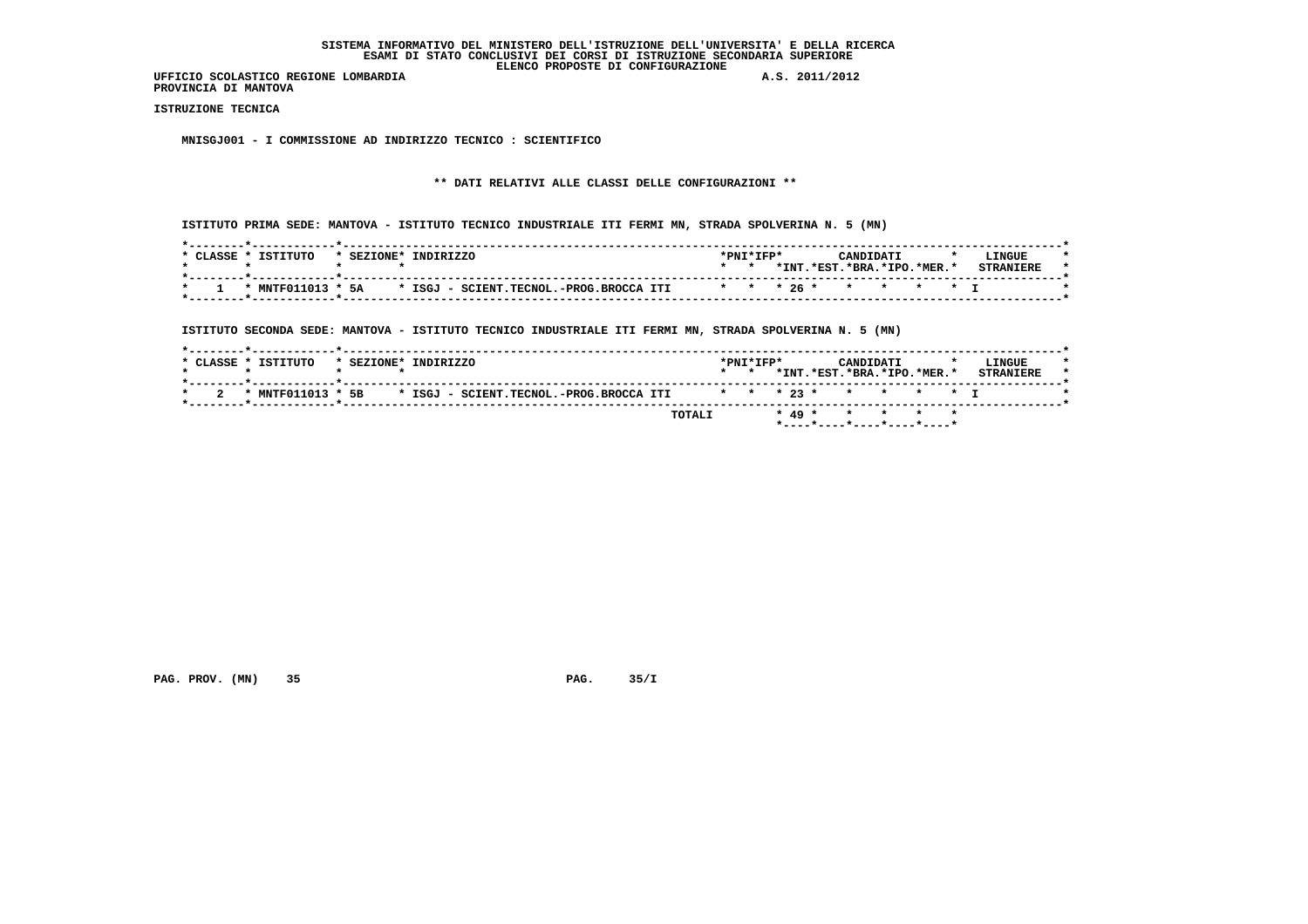**PROVINCIA DI MANTOVA**

 **ISTRUZIONE TECNICA**

 **MNISGJ001 - I COMMISSIONE AD INDIRIZZO TECNICO : SCIENTIFICO**

# **\*\* DATI RELATIVI ALLE CLASSI DELLE CONFIGURAZIONI \*\***

 **ISTITUTO PRIMA SEDE: MANTOVA - ISTITUTO TECNICO INDUSTRIALE ITI FERMI MN, STRADA SPOLVERINA N. 5 (MN)**

| * CLASSE * | ISTITUTO | * SEZIONE* INDIRIZZO                                      | *PNI*IFP* |      | CANDIDATI              |  | <b>LINGUE</b>    |  |
|------------|----------|-----------------------------------------------------------|-----------|------|------------------------|--|------------------|--|
|            |          |                                                           |           | *INT | .*FST.*BRA.*TPO.*MER.* |  | <b>CTDANTEDL</b> |  |
|            |          |                                                           |           |      |                        |  |                  |  |
|            |          | * MNTF011013 * 5A * ISGJ - SCIENT.TECNOL.-PROG.BROCCA ITI |           |      | * * * 26 * * * * * * T |  |                  |  |
|            |          |                                                           |           |      |                        |  |                  |  |

 **ISTITUTO SECONDA SEDE: MANTOVA - ISTITUTO TECNICO INDUSTRIALE ITI FERMI MN, STRADA SPOLVERINA N. 5 (MN)**

|  | * CLASSE * ISTITUTO | * SEZIONE* INDIRIZZO |  |                                         |                        | $*$ PNT $*$ TFP $*$<br>$\star$ $\star$ |  |  | CANDIDATI | *INT.*EST.*BRA.*IPO.*MER.* |  | LINGUE<br><b>STRANTERE</b> |  |
|--|---------------------|----------------------|--|-----------------------------------------|------------------------|----------------------------------------|--|--|-----------|----------------------------|--|----------------------------|--|
|  | * MNTF011013 * 5B   |                      |  | * ISGJ - SCIENT.TECNOL.-PROG.BROCCA ITI | * * * 23 * * * * * * T |                                        |  |  |           |                            |  |                            |  |
|  |                     |                      |  |                                         | TOTALI                 |                                        |  |  |           | * 49 * * * * * *           |  |                            |  |

 **PAG. PROV. (MN)** 35 **PAG. 35/I**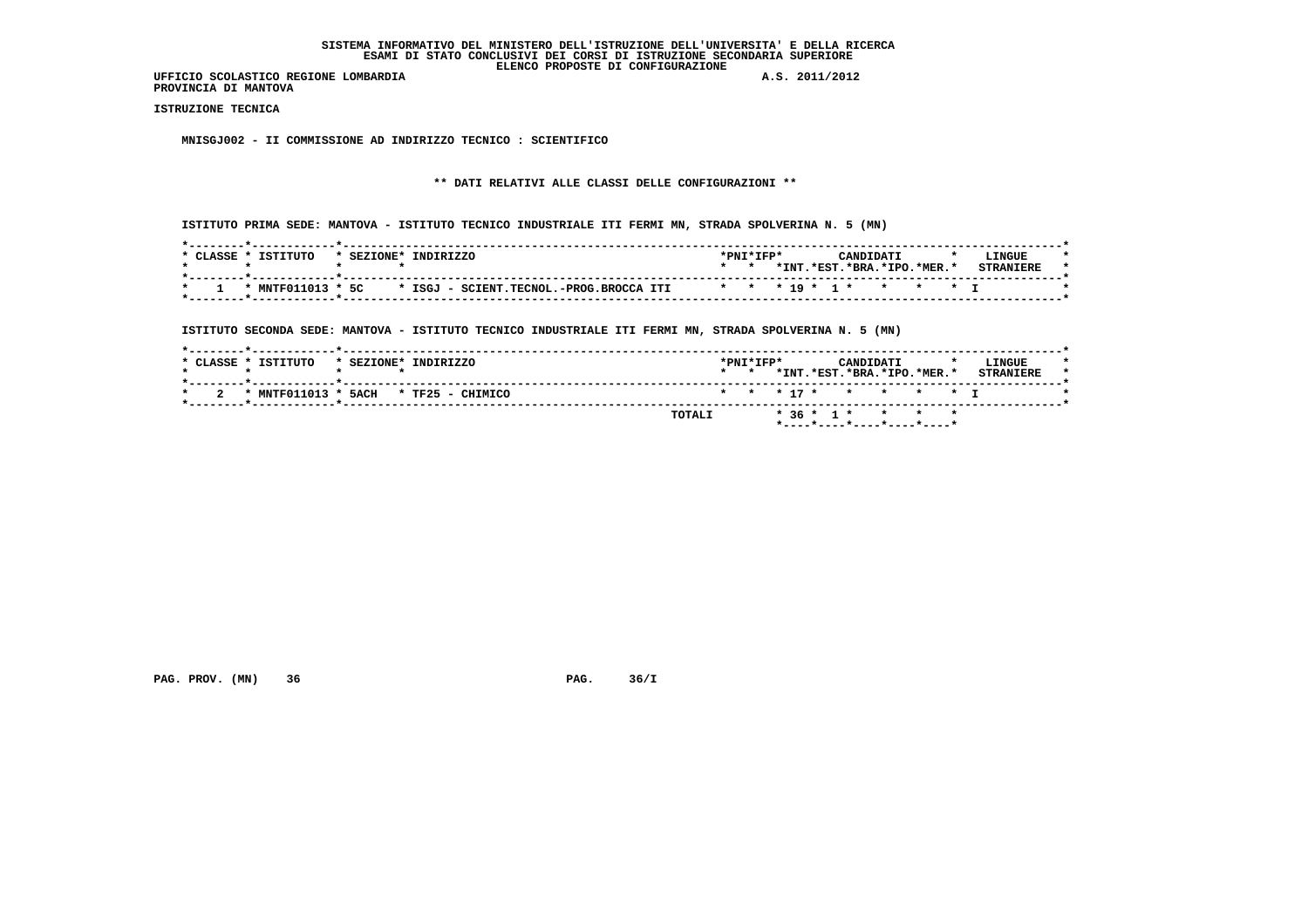**PROVINCIA DI MANTOVA**

 **ISTRUZIONE TECNICA**

 **MNISGJ002 - II COMMISSIONE AD INDIRIZZO TECNICO : SCIENTIFICO**

# **\*\* DATI RELATIVI ALLE CLASSI DELLE CONFIGURAZIONI \*\***

 **ISTITUTO PRIMA SEDE: MANTOVA - ISTITUTO TECNICO INDUSTRIALE ITI FERMI MN, STRADA SPOLVERINA N. 5 (MN)**

| TSTTTITO<br>CLASSE * | TNDTRTZZO<br>* SEZIONE*                                   | $*$ PNT $*$ TFP $*$ |      | CANDIDATI                                | <b>LINGUE</b>    |
|----------------------|-----------------------------------------------------------|---------------------|------|------------------------------------------|------------------|
|                      |                                                           |                     | *INT | $.*$ EST $.*$ BRA $.*$ TPO $.*$ MER $.*$ | <b>STRANTERE</b> |
|                      | * MNTF011013 * 5C * ISGJ - SCIENT.TECNOL.-PROG.BROCCA ITI |                     |      | * * * 19 * 1 * * * * * T                 |                  |

 **ISTITUTO SECONDA SEDE: MANTOVA - ISTITUTO TECNICO INDUSTRIALE ITI FERMI MN, STRADA SPOLVERINA N. 5 (MN)**

| * CLASSE * ISTITUTO | * SEZIONE* INDIRIZZO                 | $*$ PNT $*$ TFP $*$<br>$\star$ $\star$ |  | CANDIDATI<br>*INT.*EST.*BRA.*IPO.*MER.* |  | LINGUE<br><b>STRANTERE</b> |  |
|---------------------|--------------------------------------|----------------------------------------|--|-----------------------------------------|--|----------------------------|--|
|                     | * MNTF011013 * 5ACH * TF25 - CHIMICO |                                        |  | * * * 17 * * * * * T                    |  |                            |  |
|                     | TOTALI                               |                                        |  | * 36 * 1 * * * * *                      |  |                            |  |

 **PAG. PROV. (MN)** 36 **PAG. 36/I**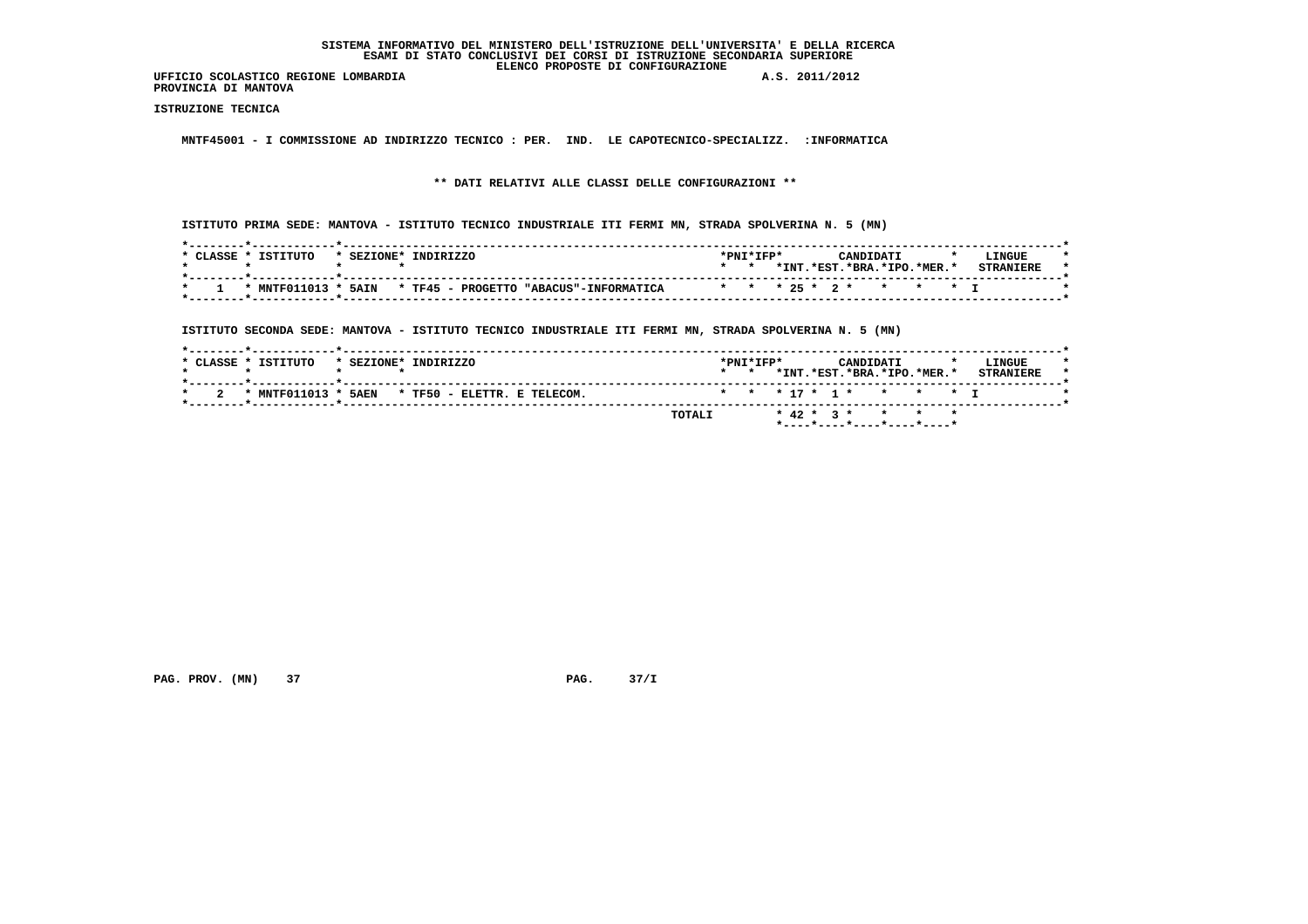**UFFICIO SCOLASTICO REGIONE LOMBARDIA A.S. 2011/2012 PROVINCIA DI MANTOVA**

 **ISTRUZIONE TECNICA**

 **MNTF45001 - I COMMISSIONE AD INDIRIZZO TECNICO : PER. IND. LE CAPOTECNICO-SPECIALIZZ. :INFORMATICA**

 **\*\* DATI RELATIVI ALLE CLASSI DELLE CONFIGURAZIONI \*\***

 **ISTITUTO PRIMA SEDE: MANTOVA - ISTITUTO TECNICO INDUSTRIALE ITI FERMI MN, STRADA SPOLVERINA N. 5 (MN)**

| ISTITUTO<br>*PNI*IFP*<br>* CLASSE *<br>* SEZIONE* INDIRIZZO<br>CANDIDATI<br>*INT<br>.*RST.*BRA.*TPO.*MER.*<br>* MNTF011013 * 5AIN * TF45 - PROGETTO "ABACUS"-INFORMATICA<br>* * * 25 * 2 * * * * T |  |  |  |  |                  |
|----------------------------------------------------------------------------------------------------------------------------------------------------------------------------------------------------|--|--|--|--|------------------|
|                                                                                                                                                                                                    |  |  |  |  | <b>LINGUE</b>    |
|                                                                                                                                                                                                    |  |  |  |  | <b>CTDANTUDL</b> |
|                                                                                                                                                                                                    |  |  |  |  |                  |

 **ISTITUTO SECONDA SEDE: MANTOVA - ISTITUTO TECNICO INDUSTRIALE ITI FERMI MN, STRADA SPOLVERINA N. 5 (MN)**

|  | * CLASSE * ISTITUTO | * SEZIONE* INDIRIZZO                            |        | $*$ PNT $*$ TFP $*$<br>$\star$ $\star$ |  | CANDIDATI<br>*INT.*EST.*BRA.*IPO.*MER.* |  | LINGUE<br><b>STRANTERE</b> |  |
|--|---------------------|-------------------------------------------------|--------|----------------------------------------|--|-----------------------------------------|--|----------------------------|--|
|  |                     | * MNTF011013 * 5AEN * TF50 - ELETTR. E TELECOM. |        |                                        |  | * * * 17 * 1 * * * * * T                |  |                            |  |
|  |                     |                                                 | TOTALI |                                        |  | * 42 * 3 * * * *                        |  |                            |  |

 **PAG. PROV. (MN)** 37 **PAG. 37/I**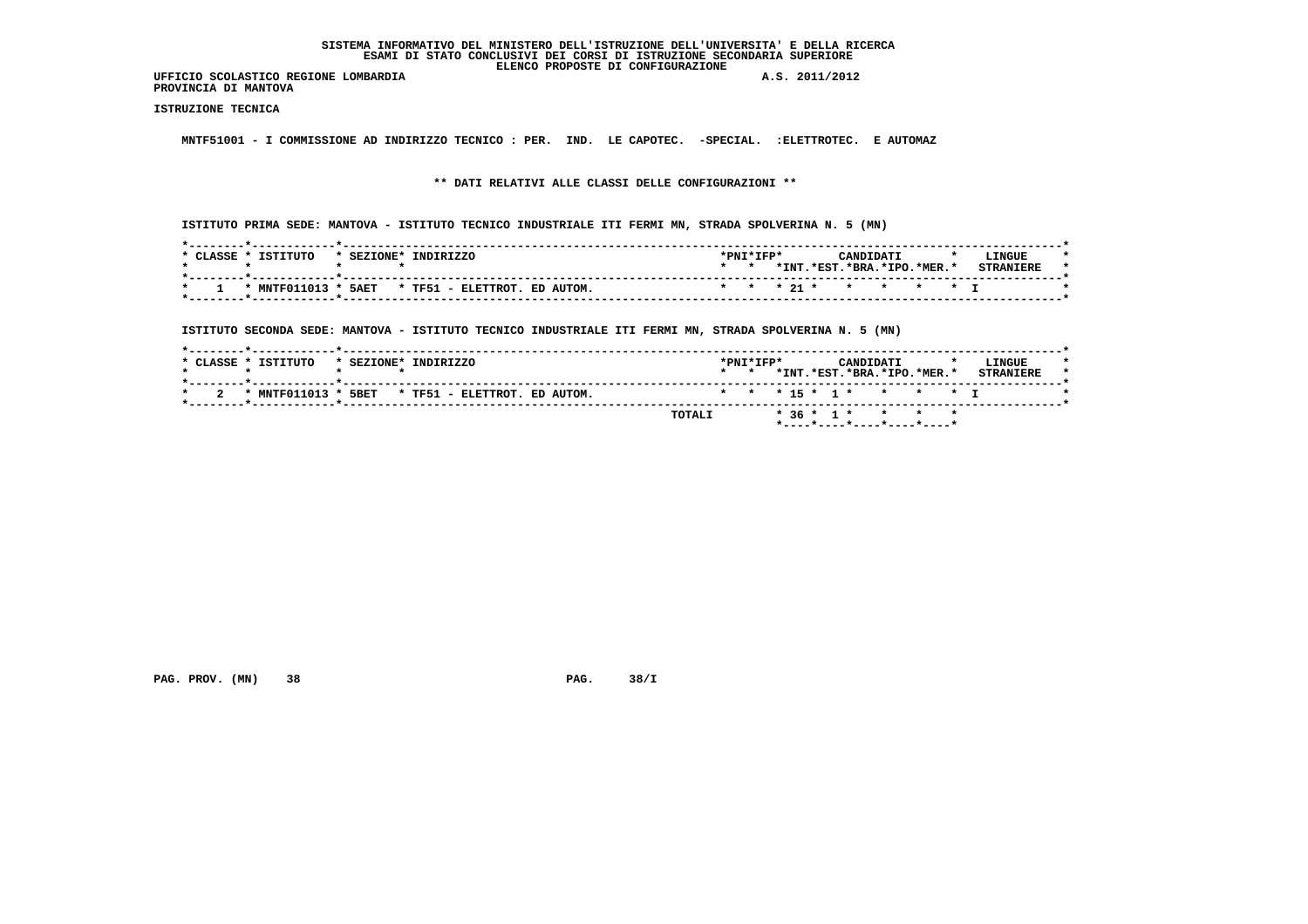**UFFICIO SCOLASTICO REGIONE LOMBARDIA A.S. 2011/2012 PROVINCIA DI MANTOVA**

 **ISTRUZIONE TECNICA**

 **MNTF51001 - I COMMISSIONE AD INDIRIZZO TECNICO : PER. IND. LE CAPOTEC. -SPECIAL. :ELETTROTEC. E AUTOMAZ**

 **\*\* DATI RELATIVI ALLE CLASSI DELLE CONFIGURAZIONI \*\***

 **ISTITUTO PRIMA SEDE: MANTOVA - ISTITUTO TECNICO INDUSTRIALE ITI FERMI MN, STRADA SPOLVERINA N. 5 (MN)**

| * CLASSE * | ISTITUTO | * SEZIONE* INDIRIZZO                             | *PNI*IFP* |      |                        | CANDIDATI |  | LINGUE           |  |
|------------|----------|--------------------------------------------------|-----------|------|------------------------|-----------|--|------------------|--|
|            |          |                                                  |           | *INT | .*RST.*BRA.*TPO.*MER.* |           |  | <b>CTDANTEDE</b> |  |
|            |          | * MNTF011013 * 5AET * TF51 - ELETTROT. ED AUTOM. |           |      | * * * 21 * * * * * * T |           |  |                  |  |
|            |          |                                                  |           |      |                        |           |  |                  |  |

 **ISTITUTO SECONDA SEDE: MANTOVA - ISTITUTO TECNICO INDUSTRIALE ITI FERMI MN, STRADA SPOLVERINA N. 5 (MN)**

|   | * CLASSE * ISTITUTO | * SEZIONE* INDIRIZZO                             |        | $*$ PNT $*$ TFP $*$<br>$\star$ $\star$ |  | CANDIDATI | *INT.*EST.*BRA.*IPO.*MER.* |  | LINGUE<br><b>STRANTERE</b> |  |
|---|---------------------|--------------------------------------------------|--------|----------------------------------------|--|-----------|----------------------------|--|----------------------------|--|
| 2 |                     | * MNTF011013 * 5BET * TF51 - ELETTROT. ED AUTOM. |        |                                        |  |           | * * * 15 * 1 * * * * * 1   |  |                            |  |
|   |                     |                                                  | TOTALI |                                        |  |           | * 36 * 1 * * * *           |  |                            |  |

 **PAG. PROV. (MN) 38 PAG. 38/I**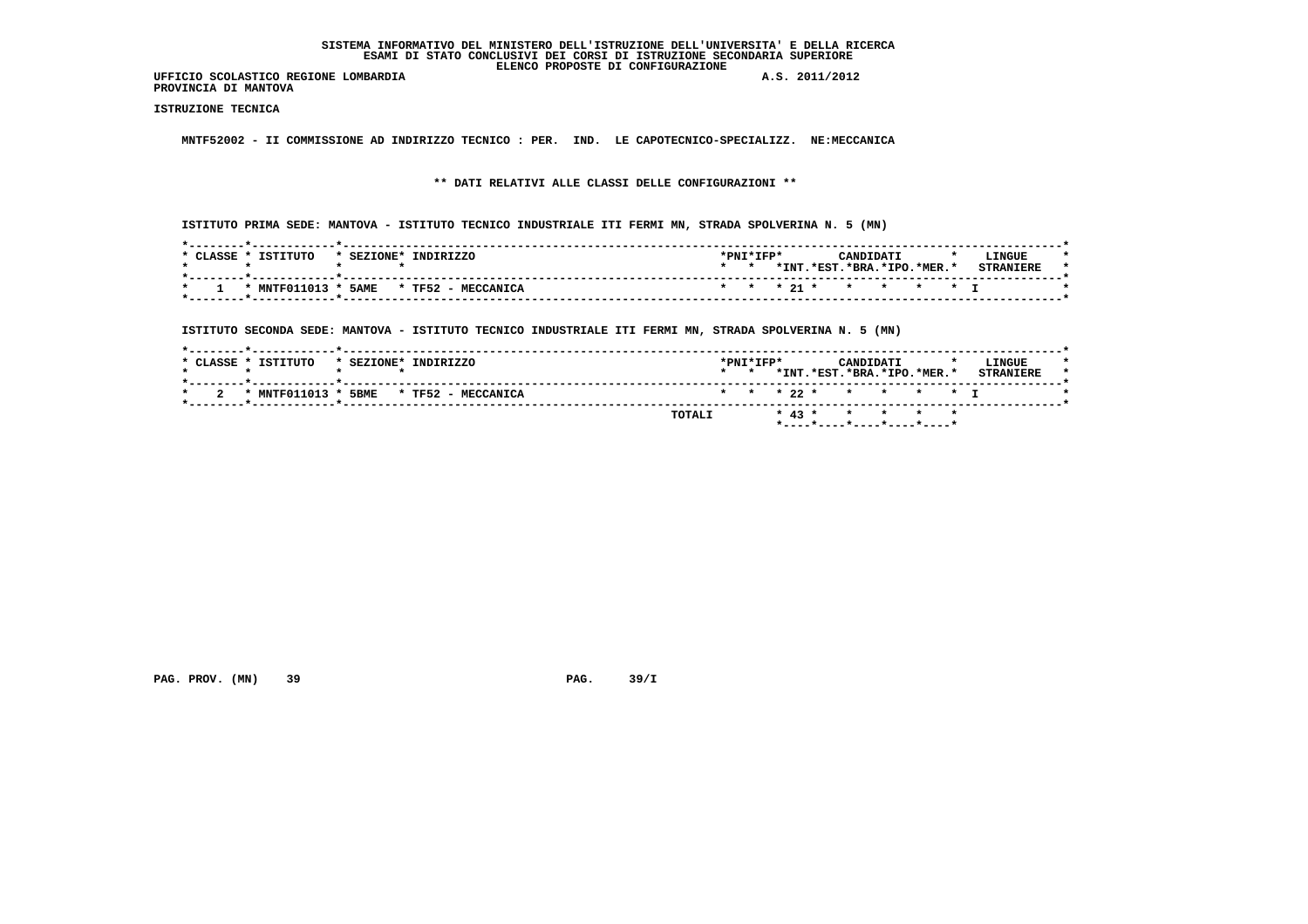**PROVINCIA DI MANTOVA**

 **ISTRUZIONE TECNICA**

 **MNTF52002 - II COMMISSIONE AD INDIRIZZO TECNICO : PER. IND. LE CAPOTECNICO-SPECIALIZZ. NE:MECCANICA**

 **\*\* DATI RELATIVI ALLE CLASSI DELLE CONFIGURAZIONI \*\***

 **ISTITUTO PRIMA SEDE: MANTOVA - ISTITUTO TECNICO INDUSTRIALE ITI FERMI MN, STRADA SPOLVERINA N. 5 (MN)**

| TSTTTITO<br>CLASSE *<br>INDIRIZZO<br>* SEZIONE* | $*$ PNT $*$ TFP $*$<br>LINGUE<br>CANDIDATI                            |
|-------------------------------------------------|-----------------------------------------------------------------------|
|                                                 | *INT.<br>$.*$ EST $.*$ BRA $.*$ TPO $.*$ MER $.*$<br><b>CTDANTFDF</b> |
| * MNTF011013 * 5AME * TF52 - MECCANICA          | * * * 21 * * * * * * T                                                |

 **ISTITUTO SECONDA SEDE: MANTOVA - ISTITUTO TECNICO INDUSTRIALE ITI FERMI MN, STRADA SPOLVERINA N. 5 (MN)**

|                     |                                        | TOTALI |                              |  | * 43 * * * * * * |           |                            |  |                            |  |
|---------------------|----------------------------------------|--------|------------------------------|--|------------------|-----------|----------------------------|--|----------------------------|--|
| - 2                 | * MNTF011013 * 5BME * TF52 - MECCANICA |        |                              |  |                  |           | * * * 22 * * * * * T       |  |                            |  |
| * CLASSE * ISTITUTO | * SEZIONE* INDIRIZZO                   |        | *PNI*IFP*<br>$\star$ $\star$ |  |                  | CANDIDATI | *INT.*EST.*BRA.*IPO.*MER.* |  | LINGUE<br><b>STRANTERE</b> |  |

 **PAG. PROV. (MN)** 39 **PAG. 39/I**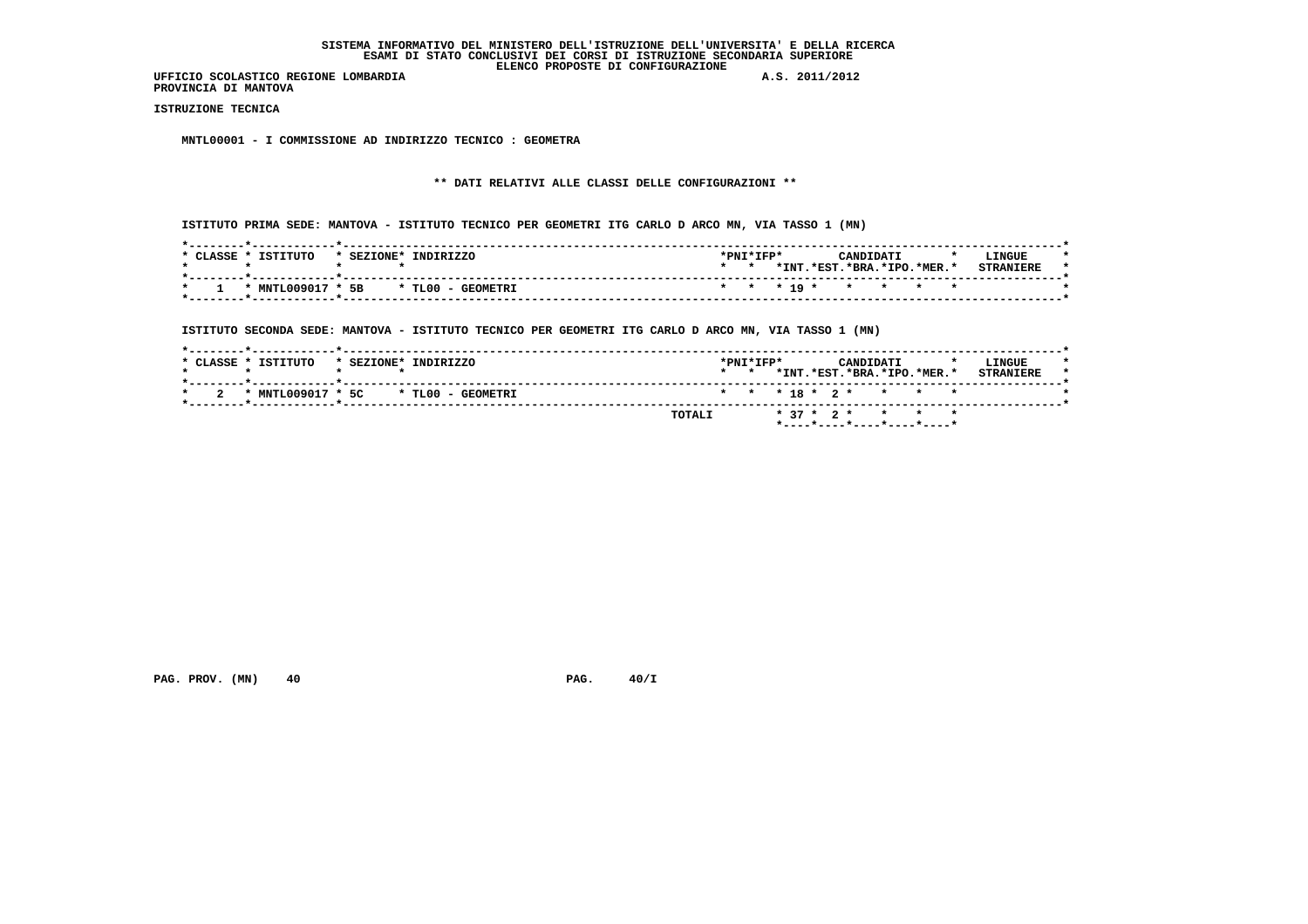**PROVINCIA DI MANTOVA**

 **ISTRUZIONE TECNICA**

 **MNTL00001 - I COMMISSIONE AD INDIRIZZO TECNICO : GEOMETRA**

# **\*\* DATI RELATIVI ALLE CLASSI DELLE CONFIGURAZIONI \*\***

 **ISTITUTO PRIMA SEDE: MANTOVA - ISTITUTO TECNICO PER GEOMETRI ITG CARLO D ARCO MN, VIA TASSO 1 (MN)**

|         |  |  |  | LINGUE                                           |
|---------|--|--|--|--------------------------------------------------|
| $\star$ |  |  |  | <b>STRANTERE</b>                                 |
|         |  |  |  |                                                  |
|         |  |  |  | *INT.*EST.*BRA.*IPO.*MER.*<br>* * * 19 * * * * * |

 **ISTITUTO SECONDA SEDE: MANTOVA - ISTITUTO TECNICO PER GEOMETRI ITG CARLO D ARCO MN, VIA TASSO 1 (MN)**

|     | * CLASSE * ISTITUTO | * SEZIONE* INDIRIZZO                | $*$ PNT $*$ TFP $*$<br>$\star$ $\star$ |  |  | CANDIDATI | *INT.*EST.*BRA.*IPO.*MER.* | LINGUE<br><b>STRANIERE</b> |  |
|-----|---------------------|-------------------------------------|----------------------------------------|--|--|-----------|----------------------------|----------------------------|--|
| - 2 |                     | * MNTL009017 * 5C * TL00 - GEOMETRI |                                        |  |  |           | * * * 18 * 2 * * * * *     |                            |  |
|     |                     | TOTALI                              |                                        |  |  |           | * 37 * 2 * * * *           |                            |  |

 **PAG. PROV. (MN) 40 PAG. 40/I**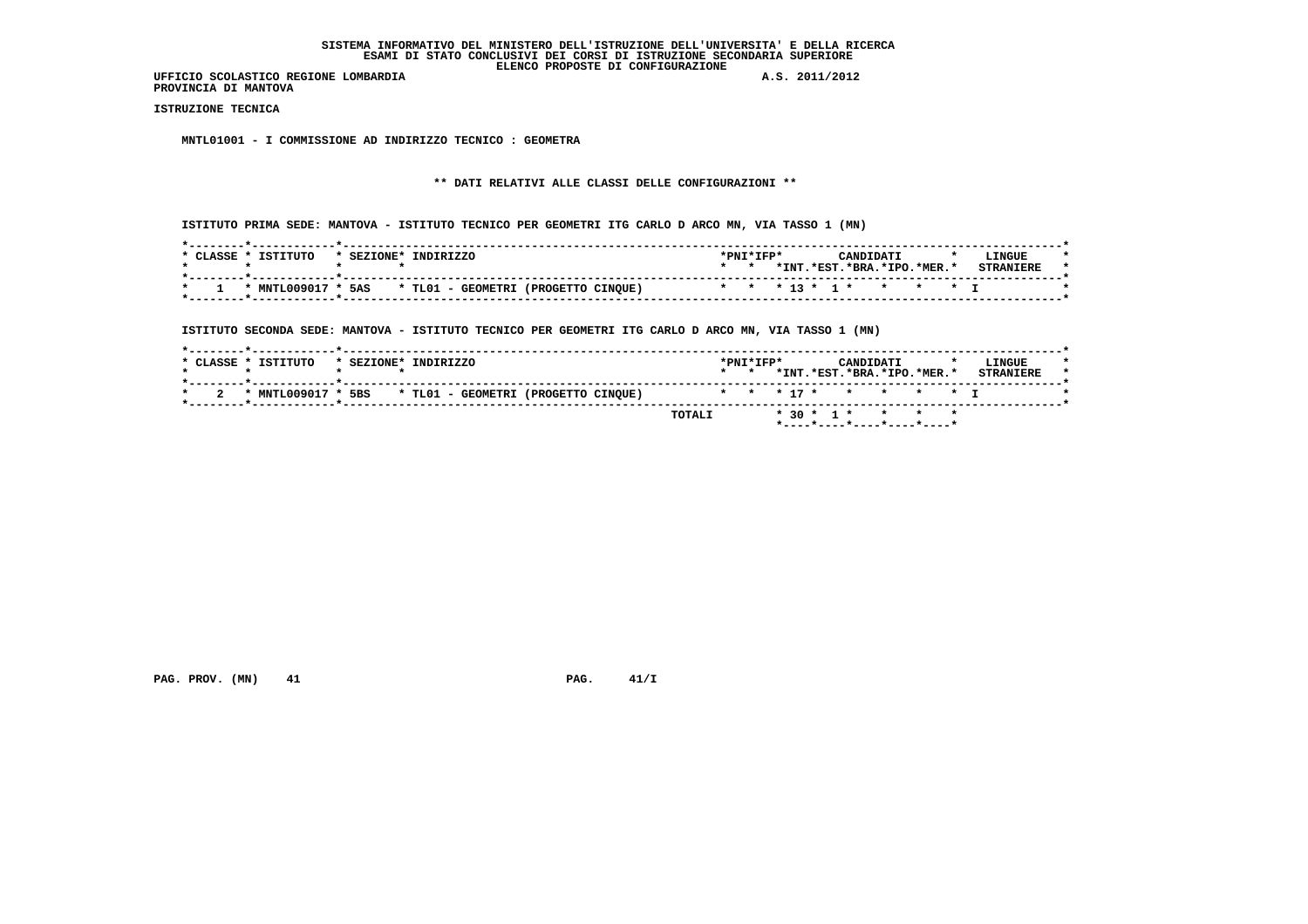**PROVINCIA DI MANTOVA**

 **ISTRUZIONE TECNICA**

 **MNTL01001 - I COMMISSIONE AD INDIRIZZO TECNICO : GEOMETRA**

# **\*\* DATI RELATIVI ALLE CLASSI DELLE CONFIGURAZIONI \*\***

 **ISTITUTO PRIMA SEDE: MANTOVA - ISTITUTO TECNICO PER GEOMETRI ITG CARLO D ARCO MN, VIA TASSO 1 (MN)**

| CLASSE | ISTITUTO           | * SEZIONE* | INDIRIZZO                           | *PNI*IFP* |      | CANDIDATI                |  | LINGUE           |
|--------|--------------------|------------|-------------------------------------|-----------|------|--------------------------|--|------------------|
|        |                    |            |                                     |           | *INT | .*EST.*BRA.*IPO.*MER.*   |  | <b>CTDANTPDF</b> |
|        | * MNTL009017 * 5AS |            | * TL01 - GEOMETRI (PROGETTO CINOUE) |           |      | * * * 13 * 1 * * * * * T |  |                  |

 **ISTITUTO SECONDA SEDE: MANTOVA - ISTITUTO TECNICO PER GEOMETRI ITG CARLO D ARCO MN, VIA TASSO 1 (MN)**

|  | * CLASSE * ISTITUTO                                    | * SEZIONE* INDIRIZZO |  |  |  |        | $*$ PNT $*$ TFP $*$<br>$\star$ $\star$ |  |  | CANDIDATI | *INT.*EST.*BRA.*IPO.*MER.* |  | LINGUE<br><b>STRANTERE</b> |  |
|--|--------------------------------------------------------|----------------------|--|--|--|--------|----------------------------------------|--|--|-----------|----------------------------|--|----------------------------|--|
|  | * MNTL009017 * 5BS * TL01 - GEOMETRI (PROGETTO CINQUE) |                      |  |  |  |        |                                        |  |  |           | * * * 17 * * * * * * T     |  |                            |  |
|  |                                                        |                      |  |  |  | TOTALI |                                        |  |  |           | $* 30 * 1 * * * * * *$     |  |                            |  |

 **PAG. PROV. (MN) 41 PAG. 41/I**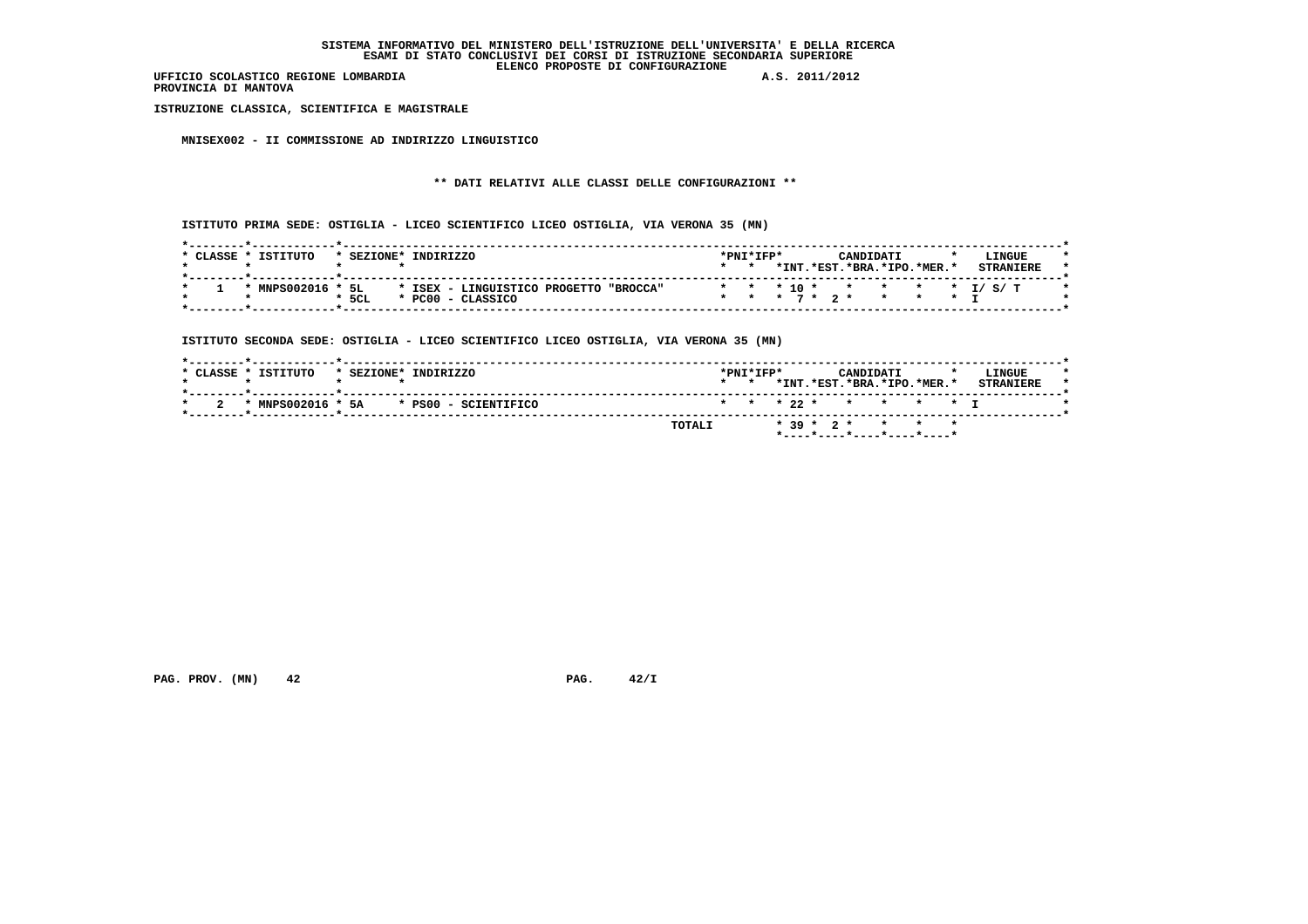**PROVINCIA DI MANTOVA**

 **ISTRUZIONE CLASSICA, SCIENTIFICA E MAGISTRALE**

 **MNISEX002 - II COMMISSIONE AD INDIRIZZO LINGUISTICO**

# **\*\* DATI RELATIVI ALLE CLASSI DELLE CONFIGURAZIONI \*\***

 **ISTITUTO PRIMA SEDE: OSTIGLIA - LICEO SCIENTIFICO LICEO OSTIGLIA, VIA VERONA 35 (MN)**

| $*$ CLASSE $*$ | TSTTTITO     | * SEZIONE* | TNDTRTZZO                                 | $*$ PNT $*$ TFP $*$ |  | CANDIDATI |                            | LINGUE                     |  |
|----------------|--------------|------------|-------------------------------------------|---------------------|--|-----------|----------------------------|----------------------------|--|
|                |              |            |                                           |                     |  |           | *INT.*EST.*BRA.*IPO.*MER.* | <b>STRANTERE</b>           |  |
|                | * MNPS002016 | 5L         | * ISEX - LINGUISTICO PROGETTO<br>"BROCCA" |                     |  |           |                            | * * * 10 * * * * * * T/S/T |  |
|                |              | $*$ 5CL    | * PC00 - CLASSICO                         |                     |  |           | * * * 7 * 2 * * * * T      |                            |  |

 **ISTITUTO SECONDA SEDE: OSTIGLIA - LICEO SCIENTIFICO LICEO OSTIGLIA, VIA VERONA 35 (MN)**

|                                              | $*$ PNT $*$ TFP $*$ | CANDIDATI                  | LINGUE<br><b>STRANTERE</b> |
|----------------------------------------------|---------------------|----------------------------|----------------------------|
|                                              |                     | *INT.*EST.*BRA.*IPO.*MER.* |                            |
| $*$ MNPS002016 $*$ 5A $*$ PS00 - SCIENTIFICO |                     | * * * 22 * * * * * T       |                            |

 **PAG. PROV. (MN) 42 PAG. 42/I**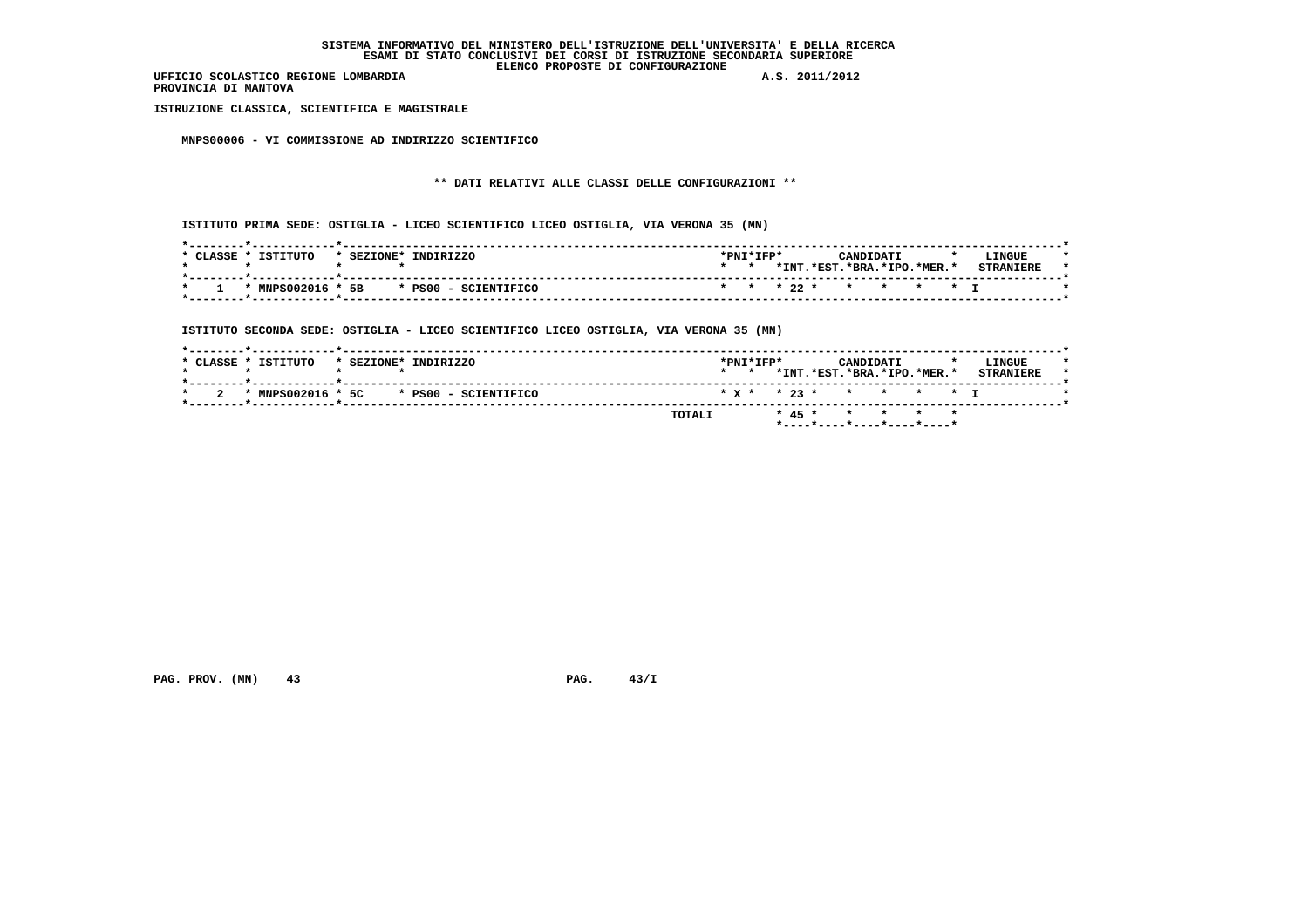**PROVINCIA DI MANTOVA**

 **ISTRUZIONE CLASSICA, SCIENTIFICA E MAGISTRALE**

 **MNPS00006 - VI COMMISSIONE AD INDIRIZZO SCIENTIFICO**

# **\*\* DATI RELATIVI ALLE CLASSI DELLE CONFIGURAZIONI \*\***

 **ISTITUTO PRIMA SEDE: OSTIGLIA - LICEO SCIENTIFICO LICEO OSTIGLIA, VIA VERONA 35 (MN)**

| CLASSE | ISTITUTO          | * SEZIONE* | INDIRIZZO            | $*PNT*TFP*$ |      |                        | <b>CANDIDATI</b>          |  | $\star$ | LINGUE           |  |
|--------|-------------------|------------|----------------------|-------------|------|------------------------|---------------------------|--|---------|------------------|--|
|        |                   |            |                      |             | *INT | .*EST.                 | $\cdot$ .*RRA.*TPO.*MER.* |  |         | <b>STRANTERE</b> |  |
|        | * MNPS002016 * 5B |            | * PS00 - SCIENTIFICO |             |      | * * * 22 * * * * * * I |                           |  |         |                  |  |

 **ISTITUTO SECONDA SEDE: OSTIGLIA - LICEO SCIENTIFICO LICEO OSTIGLIA, VIA VERONA 35 (MN)**

|                     |                                              | TOTALI          |                     |  |           | * 45 * * * * *             |                            |  |
|---------------------|----------------------------------------------|-----------------|---------------------|--|-----------|----------------------------|----------------------------|--|
|                     | $*$ MNPS002016 $*$ 5C $*$ PS00 - SCIENTIFICO |                 |                     |  |           | * x * * 23 * * * * * * T   |                            |  |
| * CLASSE * ISTITUTO | * SEZIONE* INDIRIZZO                         | $\star$ $\star$ | $*$ PNT $*$ TFP $*$ |  | CANDIDATI | *INT.*EST.*BRA.*IPO.*MER.* | LINGUE<br><b>STRANTERE</b> |  |

 **PAG. PROV. (MN) 43 PAG. 43/I**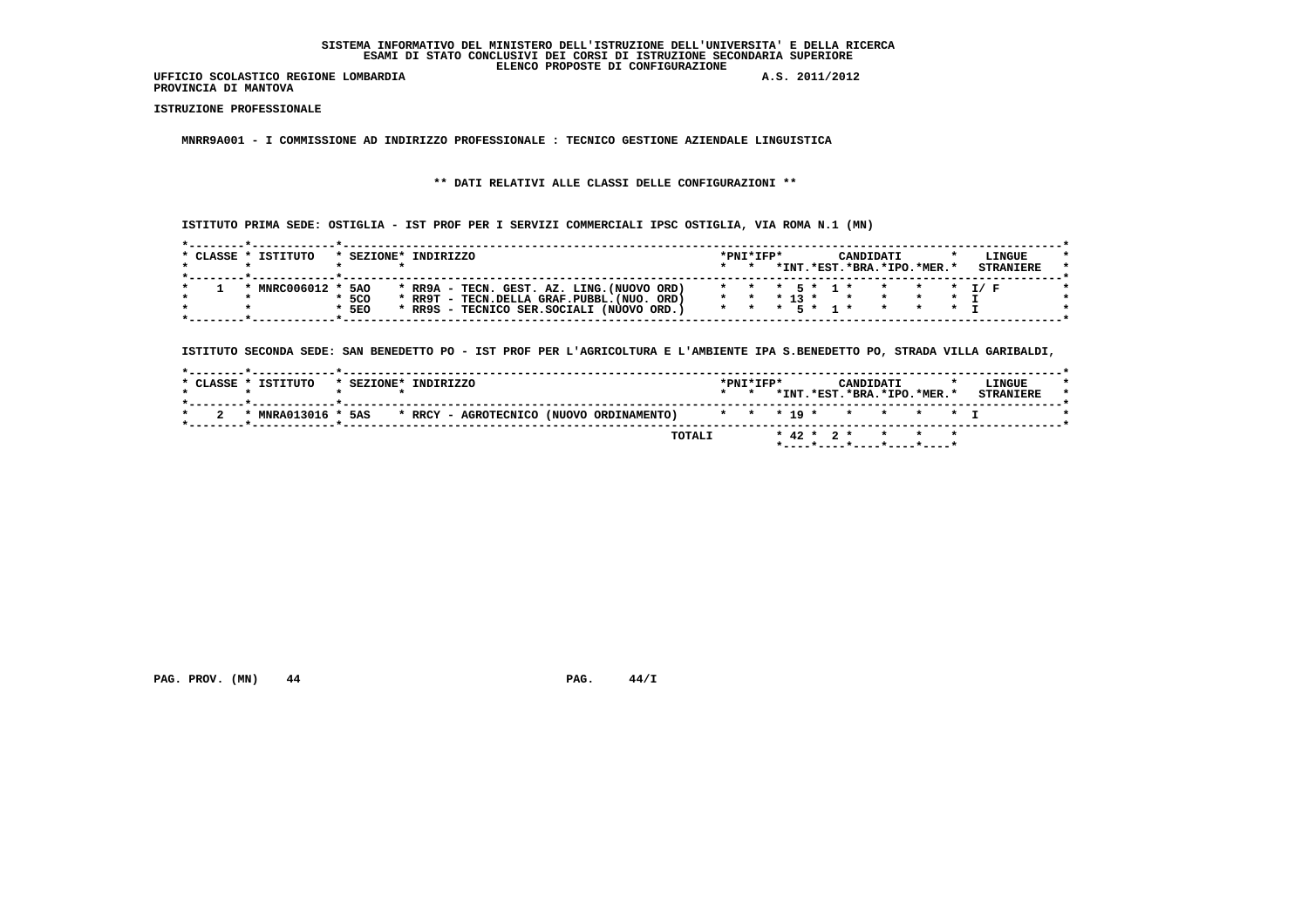**PROVINCIA DI MANTOVA**

 **ISTRUZIONE PROFESSIONALE**

 **MNRR9A001 - I COMMISSIONE AD INDIRIZZO PROFESSIONALE : TECNICO GESTIONE AZIENDALE LINGUISTICA**

 **\*\* DATI RELATIVI ALLE CLASSI DELLE CONFIGURAZIONI \*\***

 **ISTITUTO PRIMA SEDE: OSTIGLIA - IST PROF PER I SERVIZI COMMERCIALI IPSC OSTIGLIA, VIA ROMA N.1 (MN)**

| CLASSE | TSTTTITO       | SEZIONE*   | TNDTRTZZO |                                            |  |  |  | $*$ PNT $*$ TFP $*$ |            | CANDIDATI                  |  | LINGUE           |
|--------|----------------|------------|-----------|--------------------------------------------|--|--|--|---------------------|------------|----------------------------|--|------------------|
|        |                |            |           |                                            |  |  |  |                     |            | *INT.*EST.*BRA.*IPO.*MER.* |  | <b>STRANTERE</b> |
|        |                |            |           |                                            |  |  |  |                     |            |                            |  |                  |
|        | * MNRC006012 * | <b>5AO</b> |           | * RR9A - TECN. GEST. AZ. LING. (NUOVO ORD) |  |  |  |                     |            |                            |  |                  |
|        |                | $*5CO$     |           | * RR9T - TECN.DELLA GRAF.PUBBL. (NUO. ORD) |  |  |  |                     | $*$ 13 $*$ |                            |  |                  |
|        |                | $*5E0$     |           | * RR9S - TECNICO SER. SOCIALI (NUOVO ORD.) |  |  |  |                     |            |                            |  |                  |

 **ISTITUTO SECONDA SEDE: SAN BENEDETTO PO - IST PROF PER L'AGRICOLTURA E L'AMBIENTE IPA S.BENEDETTO PO, STRADA VILLA GARIBALDI,**

| * CLASSE * ISTITUTO | * SEZIONE* | INDIRIZZO                                                   | $*$ PNT $*$ TFP $*$<br>$\cdot$ |  | <b>CANDIDATI</b> | *INT. *EST. *BRA. *IPO. *MER. * | LINGUE<br><b>STRANTERE</b> |
|---------------------|------------|-------------------------------------------------------------|--------------------------------|--|------------------|---------------------------------|----------------------------|
|                     |            | * MNRA013016 * 5AS * RRCY - AGROTECNICO (NUOVO ORDINAMENTO) |                                |  |                  | * * * 19 * * * * * * T          |                            |
|                     |            | TOTALI                                                      |                                |  |                  | * 42 * 2 * * * *                |                            |

 **PAG. PROV. (MN) 44 PAG. 44/I**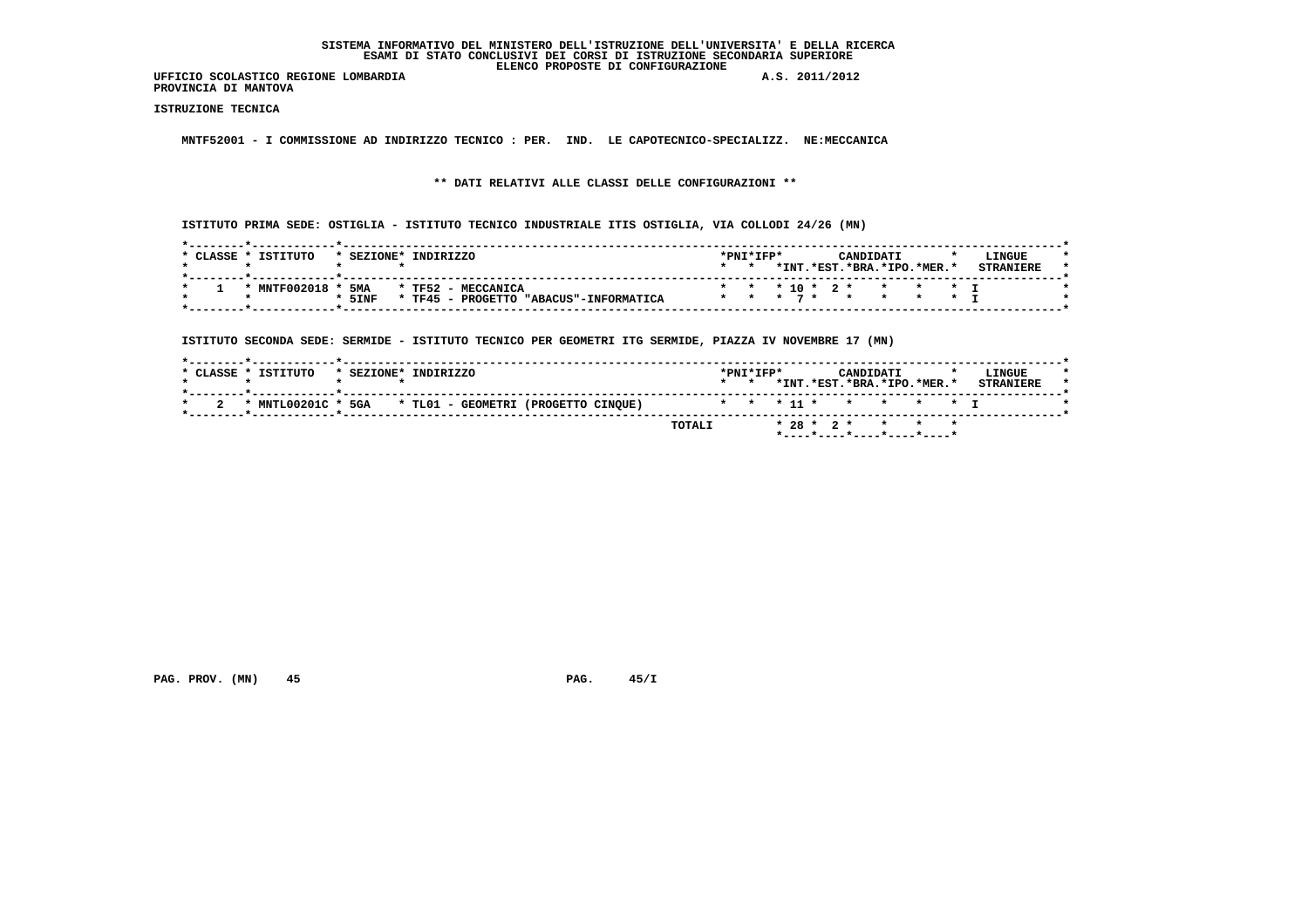**UFFICIO SCOLASTICO REGIONE LOMBARDIA A.S. 2011/2012 PROVINCIA DI MANTOVA**

 **ISTRUZIONE TECNICA**

 **MNTF52001 - I COMMISSIONE AD INDIRIZZO TECNICO : PER. IND. LE CAPOTECNICO-SPECIALIZZ. NE:MECCANICA**

 **\*\* DATI RELATIVI ALLE CLASSI DELLE CONFIGURAZIONI \*\***

 **ISTITUTO PRIMA SEDE: OSTIGLIA - ISTITUTO TECNICO INDUSTRIALE ITIS OSTIGLIA, VIA COLLODI 24/26 (MN)**

| CLASSE | TSTTTUTO     | * SEZIONE* | INDIRIZZO                                       |           | *PNI*IFP* |       |       | CANDIDATI                |  |                | LINGUE |  |
|--------|--------------|------------|-------------------------------------------------|-----------|-----------|-------|-------|--------------------------|--|----------------|--------|--|
|        |              |            |                                                 |           |           | *INT. | .*EST | $.*BRA.*IPO.*MER.*$      |  |                |        |  |
|        | * MNTF002018 |            | 5MA * TF52 - MECCANICA                          |           |           |       |       | * * * 10 * 2 * * * * * I |  |                |        |  |
|        |              | $*$ 5 INF  | $*$ TF45 -<br>PROGETTO<br>"ABACIIS"-TNFORMATICA | * * * 7 * |           |       |       |                          |  | $\star$ $\tau$ |        |  |

 **ISTITUTO SECONDA SEDE: SERMIDE - ISTITUTO TECNICO PER GEOMETRI ITG SERMIDE, PIAZZA IV NOVEMBRE 17 (MN)**

| * CLASSE * ISTITUTO | * SEZIONE* | INDIRIZZO                               |        |                        | $*$ PNT $*$ TFP $*$ |  | <b>CANDIDATI</b><br>*INT.*EST.*BRA.*IPO.*MER.* |  | LINGUE<br><b>STRANTERE</b> |
|---------------------|------------|-----------------------------------------|--------|------------------------|---------------------|--|------------------------------------------------|--|----------------------------|
| * MNTL00201C *      |            | 5GA * TL01 - GEOMETRI (PROGETTO CINQUE) |        | * * * 11 * * * * * * T |                     |  |                                                |  |                            |
|                     |            |                                         | TOTALI |                        |                     |  | * 28 * 2 * * * * *                             |  |                            |

 **PAG. PROV. (MN) 45 PAG. 45/I**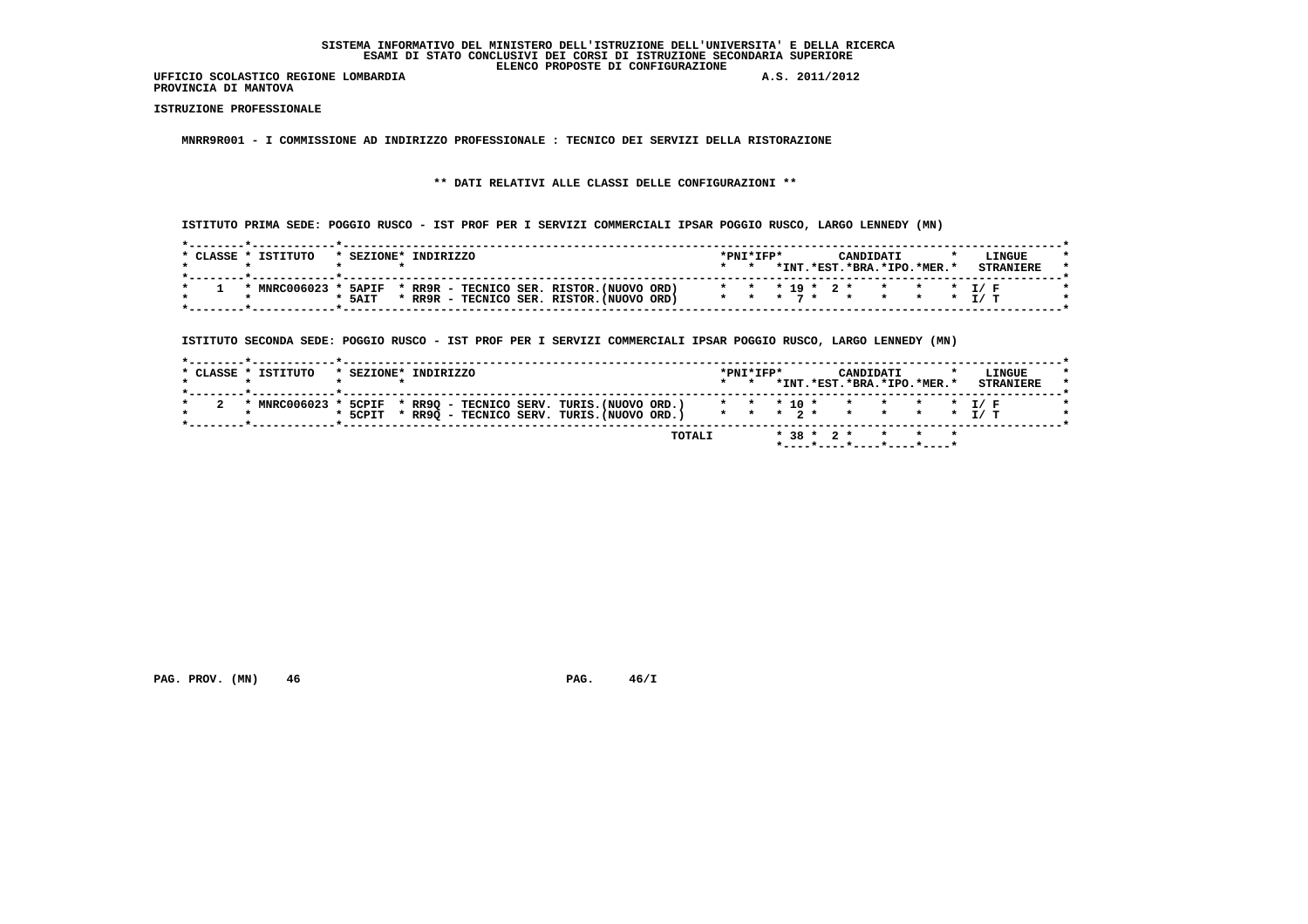**PROVINCIA DI MANTOVA**

 **ISTRUZIONE PROFESSIONALE**

 **MNRR9R001 - I COMMISSIONE AD INDIRIZZO PROFESSIONALE : TECNICO DEI SERVIZI DELLA RISTORAZIONE**

# **\*\* DATI RELATIVI ALLE CLASSI DELLE CONFIGURAZIONI \*\***

 **ISTITUTO PRIMA SEDE: POGGIO RUSCO - IST PROF PER I SERVIZI COMMERCIALI IPSAR POGGIO RUSCO, LARGO LENNEDY (MN)**

| CLASSE * | TSTTTITO     | * SEZIONE*   | INDIRIZZO |  |  |                                           |  | $*PNT*TFP*$ |         |        | CANDIDATI                  |                     |           |  | LINGUE |  |
|----------|--------------|--------------|-----------|--|--|-------------------------------------------|--|-------------|---------|--------|----------------------------|---------------------|-----------|--|--------|--|
|          |              |              |           |  |  |                                           |  |             | $*$ TNT | .*EST. |                            | $.*RRA.*TPO.*MFR.*$ |           |  |        |  |
|          |              |              |           |  |  |                                           |  |             |         |        |                            |                     |           |  |        |  |
|          | * MNRC006023 | <b>5APIF</b> |           |  |  | * RR9R - TECNICO SER. RISTOR. (NUOVO ORD) |  |             |         |        | * * * 19 * 2 * * * * * I/F |                     |           |  |        |  |
|          |              | * 5AIT       |           |  |  | RR9R - TECNICO SER, RISTOR, (NUOVO ORD)   |  |             |         |        | * * * 7 * *                |                     | * * * T/T |  |        |  |
|          |              |              |           |  |  |                                           |  |             |         |        |                            |                     |           |  |        |  |

 **ISTITUTO SECONDA SEDE: POGGIO RUSCO - IST PROF PER I SERVIZI COMMERCIALI IPSAR POGGIO RUSCO, LARGO LENNEDY (MN)**

| * CLASSE * ISTITUTO | * SEZIONE* INDIRIZZO                                                                      | $\star$ $\star$ | *INT.*EST.*BRA.*IPO.*MER.* | LINGUE<br><b>STRANTERE</b> |
|---------------------|-------------------------------------------------------------------------------------------|-----------------|----------------------------|----------------------------|
|                     | * MNRC006023 * 5CPIF * RR9Q - TECNICO SERV. TURIS.(NUOVO ORD.) * * * 10 * * * * * * * I/F |                 |                            |                            |
|                     | * 5CPIT * RR9Q - TECNICO SERV. TURIS. (NUOVO ORD.) * * * 2 * * * * * * * I/ T             |                 |                            |                            |

 **PAG. PROV.** (MN) 46 **PAG. 46/I**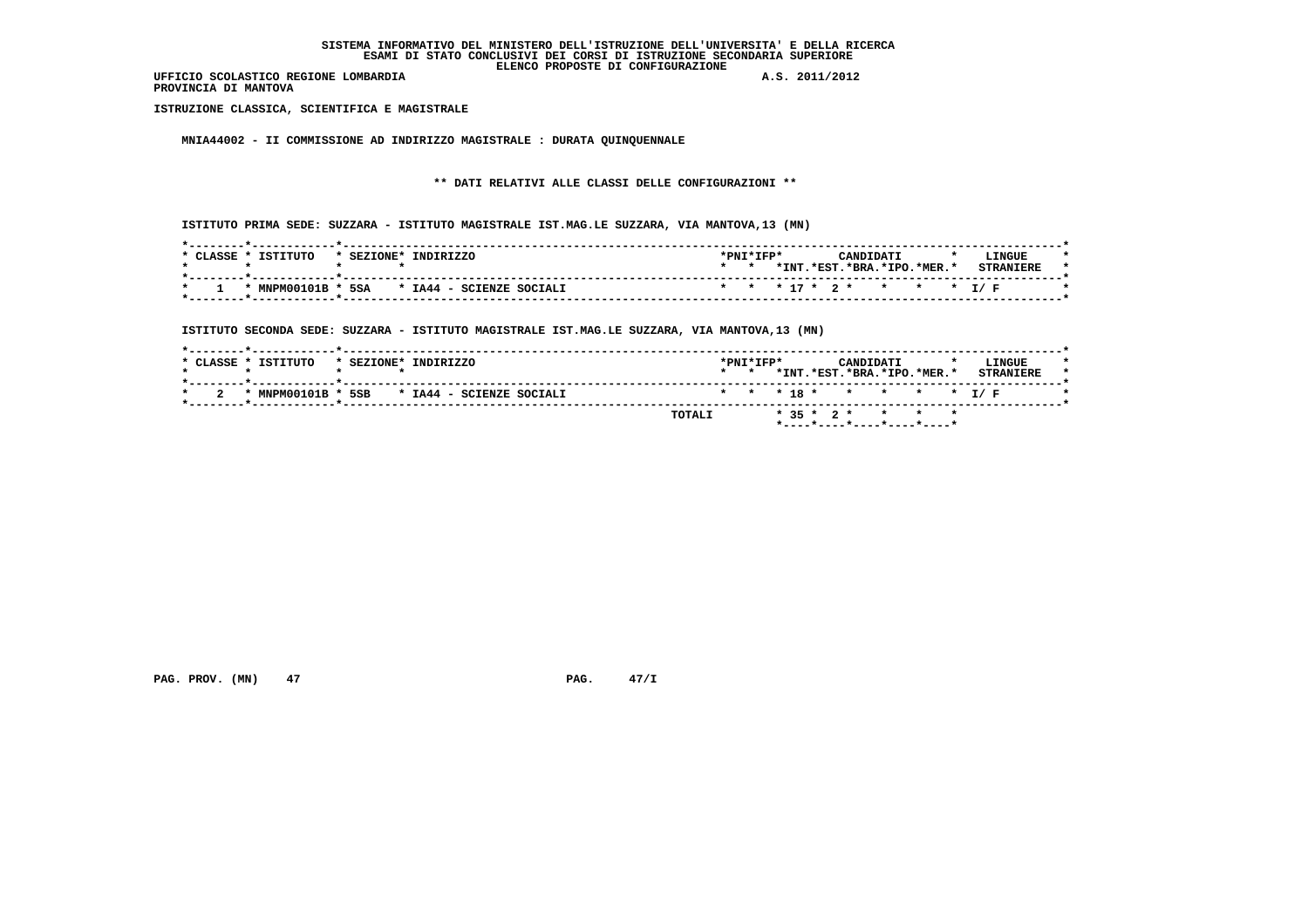**PROVINCIA DI MANTOVA**

 **ISTRUZIONE CLASSICA, SCIENTIFICA E MAGISTRALE**

 **MNIA44002 - II COMMISSIONE AD INDIRIZZO MAGISTRALE : DURATA QUINQUENNALE**

 **\*\* DATI RELATIVI ALLE CLASSI DELLE CONFIGURAZIONI \*\***

 **ISTITUTO PRIMA SEDE: SUZZARA - ISTITUTO MAGISTRALE IST.MAG.LE SUZZARA, VIA MANTOVA,13 (MN)**

| ISTITUTO<br><b>CLASSE</b> | INDIRIZZO<br>* SEZIONE*  | *PNI*IFP* |       | CANDIDATI |                          | LINGUE           |
|---------------------------|--------------------------|-----------|-------|-----------|--------------------------|------------------|
|                           |                          |           | *INT. |           | .*EST.*BRA.*IPO.*MER.*   | <b>CTDANTPDF</b> |
| * MNPM00101B * 5SA        | * IA44 - SCIENZE SOCIALI |           |       |           | * * * 17 * 2 * * * * 1/F |                  |

 **ISTITUTO SECONDA SEDE: SUZZARA - ISTITUTO MAGISTRALE IST.MAG.LE SUZZARA, VIA MANTOVA,13 (MN)**

| $*$ CLASSE $*$ . | TSTTTITO       | * SEZIONE* | INDIRIZZO                | $\star$ $\star$ | $*$ PNT $*$ TFP $*$ |                  | CANDIDATI | *INT.*EST.*BRA.*IPO.*MER.* |  | LINGUE<br><b>STRANIERE</b> |  |
|------------------|----------------|------------|--------------------------|-----------------|---------------------|------------------|-----------|----------------------------|--|----------------------------|--|
|                  | * MNPM00101B * | 5SB        | * IA44 - SCIENZE SOCIALI |                 |                     |                  |           |                            |  | * * * 18 * * * * * * I/F   |  |
|                  |                |            | TOTALI                   |                 |                     | $*$ 35 $*$ 2 $*$ |           | * * *                      |  |                            |  |

 **PAG. PROV. (MN) 47 PAG. 47/I**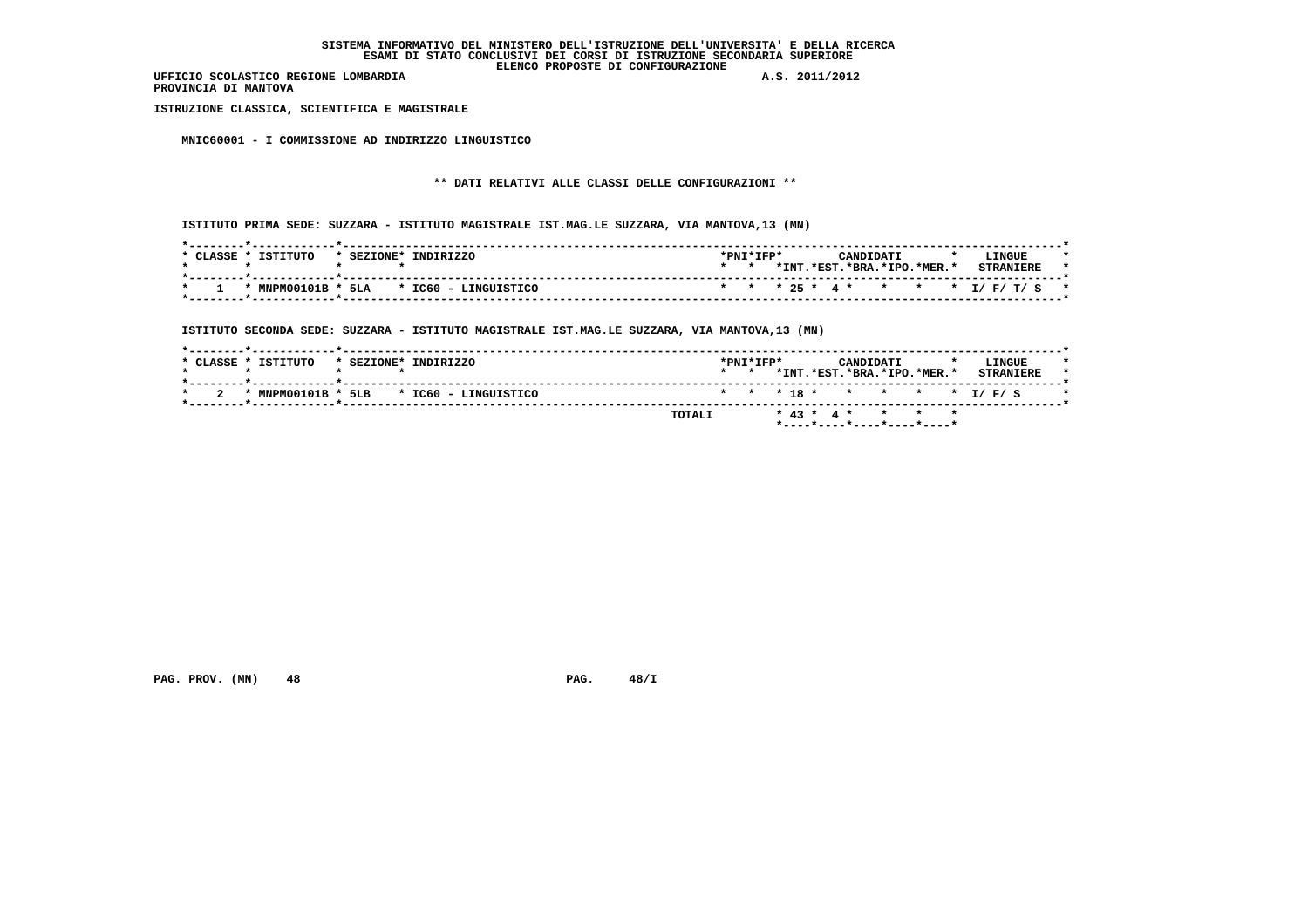**PROVINCIA DI MANTOVA**

 **ISTRUZIONE CLASSICA, SCIENTIFICA E MAGISTRALE**

 **MNIC60001 - I COMMISSIONE AD INDIRIZZO LINGUISTICO**

# **\*\* DATI RELATIVI ALLE CLASSI DELLE CONFIGURAZIONI \*\***

 **ISTITUTO PRIMA SEDE: SUZZARA - ISTITUTO MAGISTRALE IST.MAG.LE SUZZARA, VIA MANTOVA,13 (MN)**

| CLASSE | TSTTTITO | * SEZIONE* | TNDTRTZZO                               | $*$ PNT $*$ TFP $*$ |  | CANDIDATI                  |  | LINGUE                           |  |
|--------|----------|------------|-----------------------------------------|---------------------|--|----------------------------|--|----------------------------------|--|
|        |          |            |                                         |                     |  | *INT.*EST.*BRA.*IPO.*MER.* |  | <b>STRANTFRE</b>                 |  |
|        |          |            | * MNPM00101B * 5LA * IC60 - LINGUISTICO |                     |  |                            |  | * * * 25 * 4 * * * * * I/F/T/S * |  |

 **ISTITUTO SECONDA SEDE: SUZZARA - ISTITUTO MAGISTRALE IST.MAG.LE SUZZARA, VIA MANTOVA,13 (MN)**

| * CLASSE * ISTITUTO | * SEZIONE* INDIRIZZO                    |        | $\star$ $\star$ | $*$ PNT $*$ TFP $*$ |  | CANDIDATI | *INT.*EST.*BRA.*IPO.*MER.* |  | LINGUE<br><b>STRANIERE</b> |  |
|---------------------|-----------------------------------------|--------|-----------------|---------------------|--|-----------|----------------------------|--|----------------------------|--|
|                     | * MNPM00101B * 5LB * IC60 - LINGUISTICO |        |                 |                     |  |           |                            |  | * * * 18 * * * * * * I/F/S |  |
|                     |                                         | TOTALI |                 |                     |  |           | $* 43 * 4 * * * * * * *$   |  |                            |  |

 **PAG. PROV. (MN) 48 PAG. 48/I**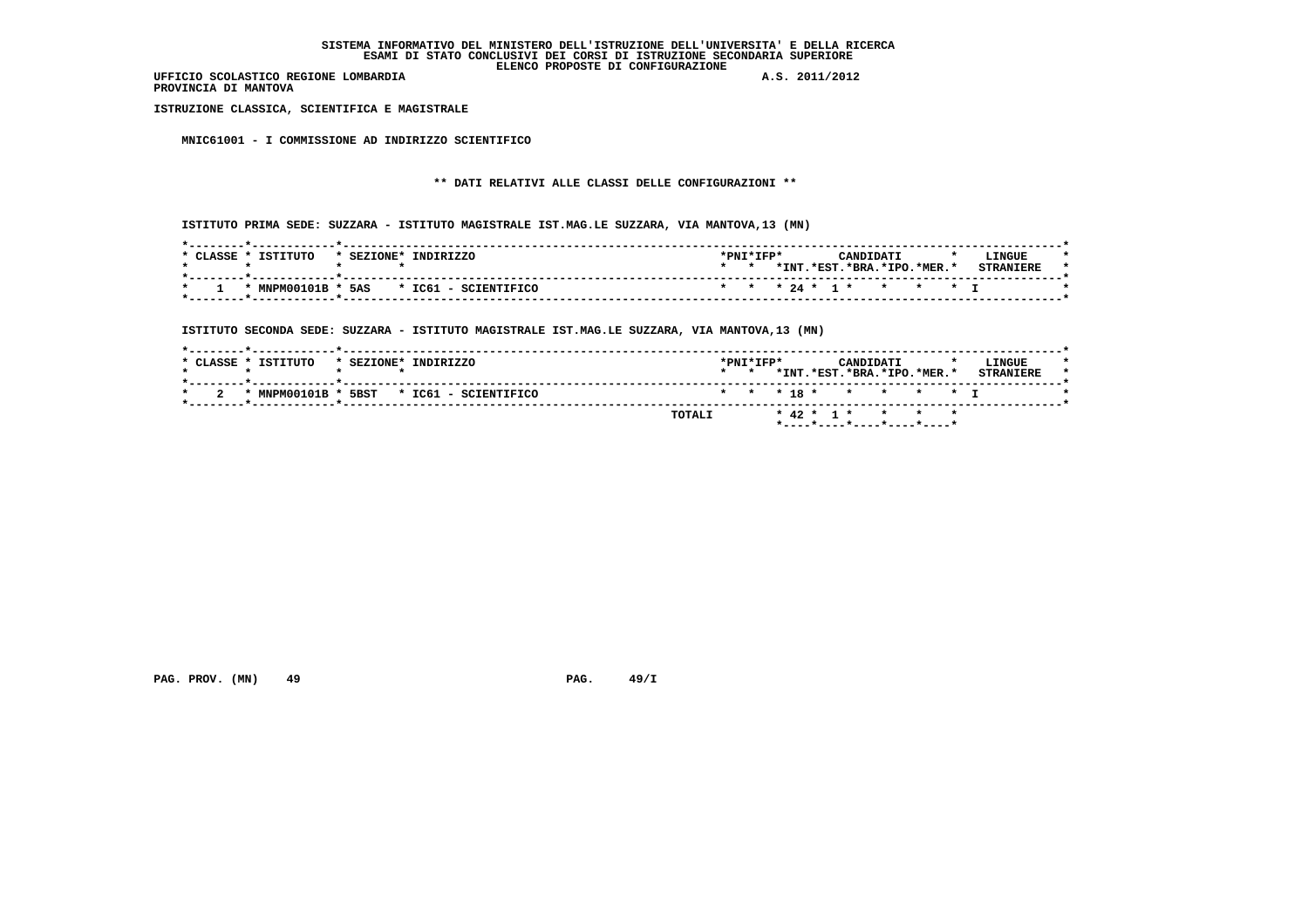**PROVINCIA DI MANTOVA**

 **ISTRUZIONE CLASSICA, SCIENTIFICA E MAGISTRALE**

 **MNIC61001 - I COMMISSIONE AD INDIRIZZO SCIENTIFICO**

# **\*\* DATI RELATIVI ALLE CLASSI DELLE CONFIGURAZIONI \*\***

 **ISTITUTO PRIMA SEDE: SUZZARA - ISTITUTO MAGISTRALE IST.MAG.LE SUZZARA, VIA MANTOVA,13 (MN)**

| ISTITUTO<br>CLASSE<br>* SEZIONE* | INDIRIZZO                               | *PNI*IFP* |       | CANDIDATI                |  | $\cdot$ | LINGUE           |
|----------------------------------|-----------------------------------------|-----------|-------|--------------------------|--|---------|------------------|
|                                  |                                         |           | *INT. | .*EST.*BRA.*IPO.*MER.*   |  |         | <b>CTDANTPDF</b> |
|                                  | * MNPM00101B * 5AS * IC61 - SCIENTIFICO |           |       | * * * 24 * 1 * * * * * T |  |         |                  |

 **ISTITUTO SECONDA SEDE: SUZZARA - ISTITUTO MAGISTRALE IST.MAG.LE SUZZARA, VIA MANTOVA,13 (MN)**

| * CLASSE * ISTITUTO |      | * SEZIONE* INDIRIZZO | $\star$ $\star$ | $*$ PNT $*$ TFP $*$ |  | CANDIDATI<br>*INT.*EST.*BRA.*IPO.*MER.* |  | LINGUE<br><b>STRANIERE</b> |  |
|---------------------|------|----------------------|-----------------|---------------------|--|-----------------------------------------|--|----------------------------|--|
| * $MNPM00101B$ *    | 5BST | * IC61 - SCIENTIFICO |                 |                     |  | * * * 18 * * * * * T                    |  |                            |  |
|                     |      | TOTALI               |                 |                     |  | * 42 * 1 * * * * *                      |  |                            |  |

 **PAG. PROV. (MN) 49 PAG. 49/I**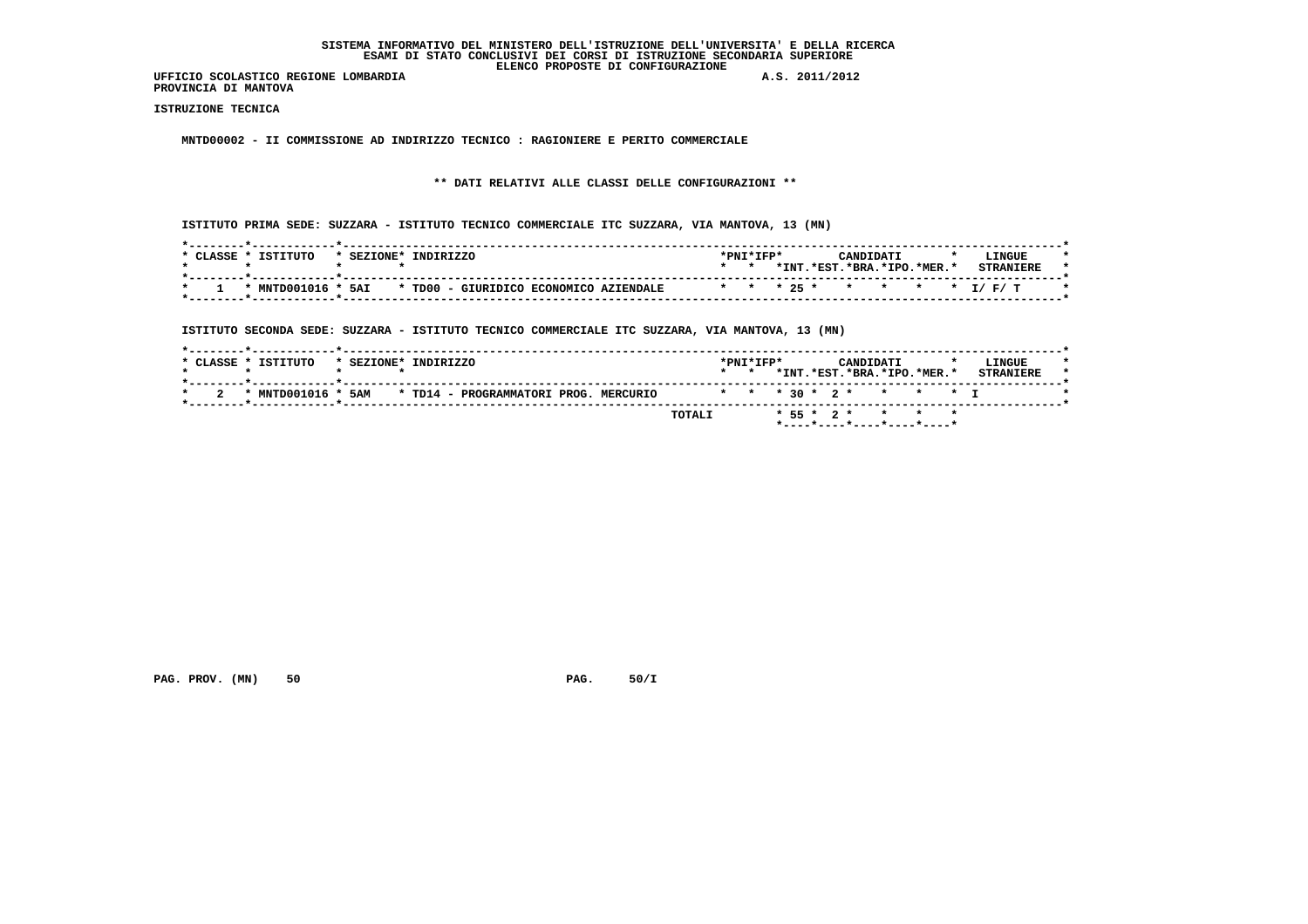**PROVINCIA DI MANTOVA**

 **ISTRUZIONE TECNICA**

 **MNTD00002 - II COMMISSIONE AD INDIRIZZO TECNICO : RAGIONIERE E PERITO COMMERCIALE**

 **\*\* DATI RELATIVI ALLE CLASSI DELLE CONFIGURAZIONI \*\***

 **ISTITUTO PRIMA SEDE: SUZZARA - ISTITUTO TECNICO COMMERCIALE ITC SUZZARA, VIA MANTOVA, 13 (MN)**

| * CLASSE * | TSTTTITO | * SEZIONE* INDIRIZZO                                      | *PNI*IFP* |      | CANDIDATI              |  | LINGUE                   |  |
|------------|----------|-----------------------------------------------------------|-----------|------|------------------------|--|--------------------------|--|
|            |          |                                                           |           | *INT | .*RST.*BRA.*TPO.*MER.* |  | <b>CTDANTEDE</b>         |  |
|            |          |                                                           |           |      |                        |  |                          |  |
|            |          | * MNTD001016 * 5AI * TD00 - GIURIDICO ECONOMICO AZIENDALE |           |      |                        |  | * * * 25 * * * * * I/F/T |  |
|            |          |                                                           |           |      |                        |  |                          |  |

 **ISTITUTO SECONDA SEDE: SUZZARA - ISTITUTO TECNICO COMMERCIALE ITC SUZZARA, VIA MANTOVA, 13 (MN)**

|  | * CLASSE * ISTITUTO | * SEZIONE* INDIRIZZO |  |                                           |  |                          | $\star$ $\star$ | $*$ PNT $*$ TFP $*$ |  | CANDIDATI |  | *INT.*EST.*BRA.*IPO.*MER.* | LINGUE<br><b>STRANIERE</b> |  |
|--|---------------------|----------------------|--|-------------------------------------------|--|--------------------------|-----------------|---------------------|--|-----------|--|----------------------------|----------------------------|--|
|  | * MNTD001016 *      |                      |  | 5AM * TD14 - PROGRAMMATORI PROG. MERCURIO |  | * * * 30 * 2 * * * * * T |                 |                     |  |           |  |                            |                            |  |
|  |                     |                      |  |                                           |  | TOTALI                   |                 |                     |  |           |  | * 55 * 2 * * * *           |                            |  |

 **PAG. PROV. (MN)** 50 **PAG. 50/I**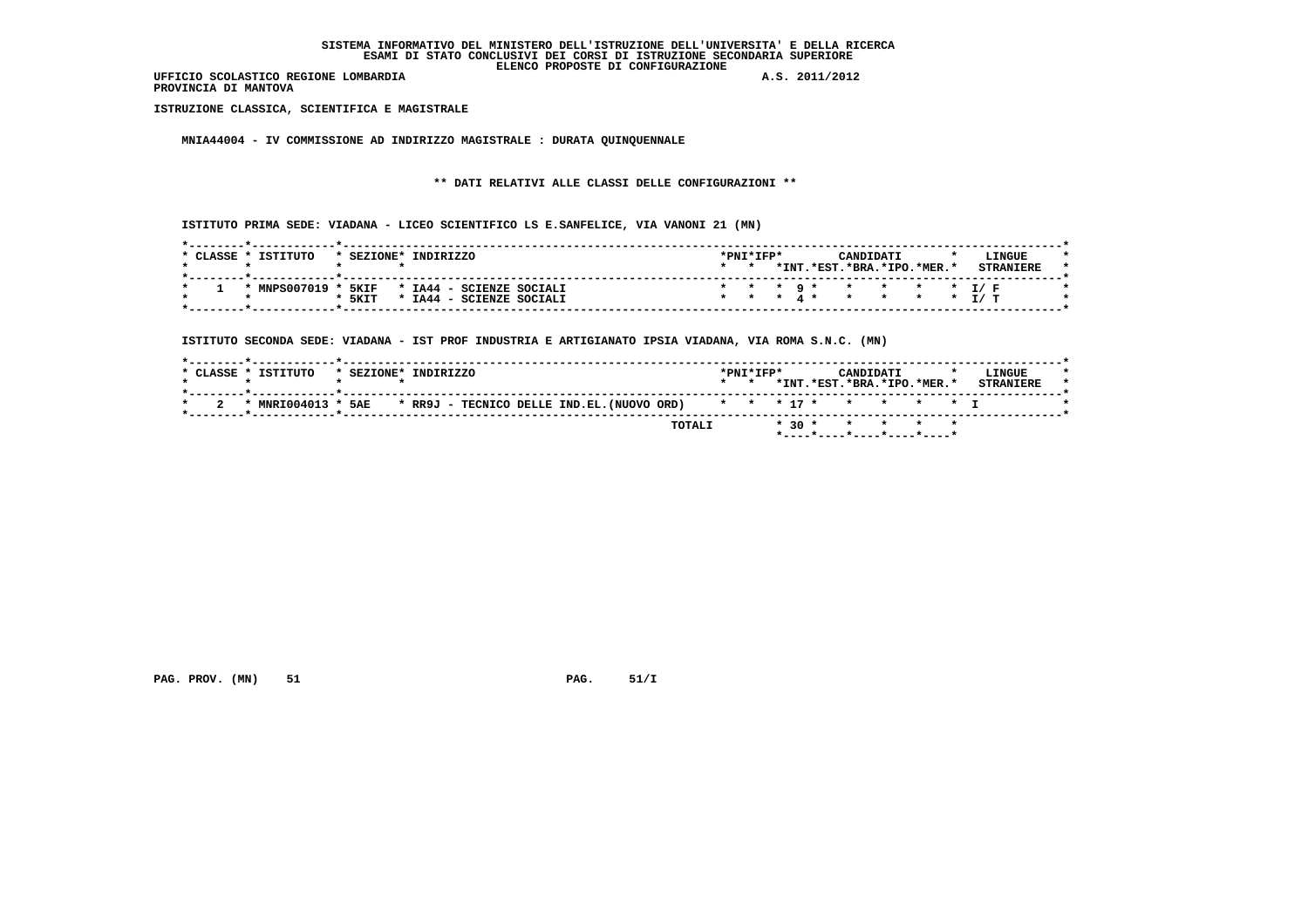**PROVINCIA DI MANTOVA**

 **ISTRUZIONE CLASSICA, SCIENTIFICA E MAGISTRALE**

 **MNIA44004 - IV COMMISSIONE AD INDIRIZZO MAGISTRALE : DURATA QUINQUENNALE**

 **\*\* DATI RELATIVI ALLE CLASSI DELLE CONFIGURAZIONI \*\***

 **ISTITUTO PRIMA SEDE: VIADANA - LICEO SCIENTIFICO LS E.SANFELICE, VIA VANONI 21 (MN)**

| CLASSE | <b>TSTITUTO</b> | * SEZIONE* | TNDTRTZZO    |                          | *PNI*IFP* |  |       |       | CANDIDATI               |  | <b>LTNGUE</b>            |  |
|--------|-----------------|------------|--------------|--------------------------|-----------|--|-------|-------|-------------------------|--|--------------------------|--|
|        |                 |            |              |                          |           |  | *INT. | .*EST | $.*BRA.*IPO.*MER.*$     |  |                          |  |
|        |                 |            |              |                          |           |  |       |       |                         |  |                          |  |
|        | * MNPS007019 *  | 5KIF       |              | * IA44 - SCIENZE SOCIALI |           |  |       |       | * * * 9 * * * * * * T/F |  |                          |  |
|        |                 | * 5KIT     | $*$ TA44 $-$ | SCIENZE SOCIALI          |           |  |       |       |                         |  | * * * 4 * * * * * * T/ T |  |
|        |                 |            |              |                          |           |  |       |       |                         |  |                          |  |

 **ISTITUTO SECONDA SEDE: VIADANA - IST PROF INDUSTRIA E ARTIGIANATO IPSIA VIADANA, VIA ROMA S.N.C. (MN)**

| * CLASSE * ISTITUTO | * SEZIONE* INDIRIZZO                                                                   |        | $*$ PNT $*$ TFP $*$ |  | CANDIDATI | *INT.*EST.*BRA.*IPO.*MER.* | LINGUE<br><b>STRANTERE</b> |
|---------------------|----------------------------------------------------------------------------------------|--------|---------------------|--|-----------|----------------------------|----------------------------|
|                     | * MNRI004013 * 5AE * RR9J - TECNICO DELLE IND.EL. (NUOVO ORD) * * * 17 * * * * * * * I |        |                     |  |           |                            |                            |
|                     |                                                                                        | TOTALI |                     |  |           | $* 30 * * * * * * * *$     |                            |

 **PAG. PROV. (MN)** 51 **PAG. 51/I**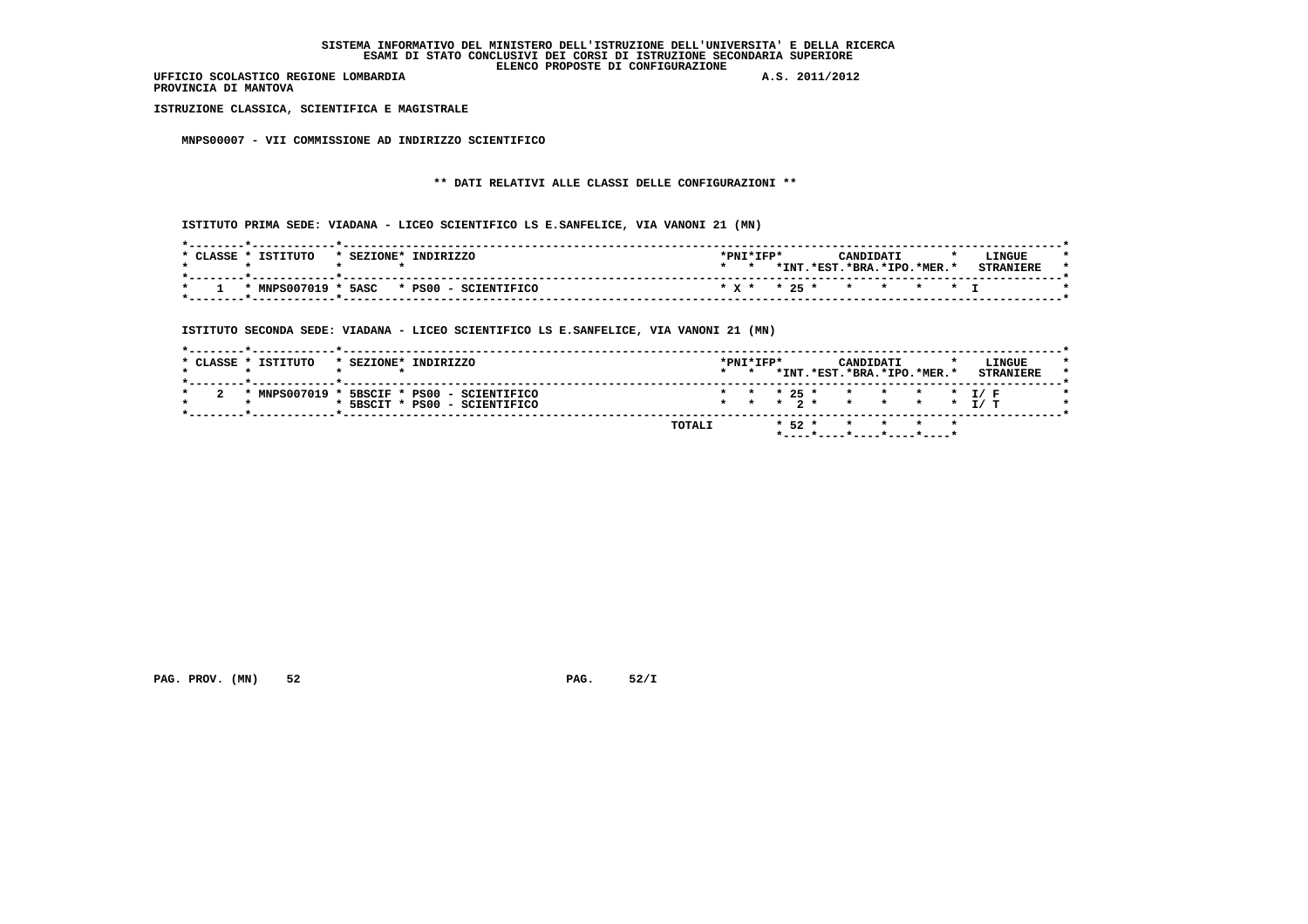**PROVINCIA DI MANTOVA**

 **ISTRUZIONE CLASSICA, SCIENTIFICA E MAGISTRALE**

 **MNPS00007 - VII COMMISSIONE AD INDIRIZZO SCIENTIFICO**

# **\*\* DATI RELATIVI ALLE CLASSI DELLE CONFIGURAZIONI \*\***

 **ISTITUTO PRIMA SEDE: VIADANA - LICEO SCIENTIFICO LS E.SANFELICE, VIA VANONI 21 (MN)**

| CLASSE. | TSTTTITO | * SEZIONE* | TNDTRTZZO                                | $*$ PNT $*$ TFP $*$ |  | CANDIDATI                  |  | LINGUE           |  |
|---------|----------|------------|------------------------------------------|---------------------|--|----------------------------|--|------------------|--|
|         |          |            |                                          |                     |  | *INT.*EST.*BRA.*IPO.*MER.* |  | <b>STRANTFRE</b> |  |
|         |          |            | * MNPS007019 * 5ASC * PS00 - SCIENTIFICO |                     |  | * x * * 25 * * * * * * T   |  |                  |  |

 **ISTITUTO SECONDA SEDE: VIADANA - LICEO SCIENTIFICO LS E.SANFELICE, VIA VANONI 21 (MN)**

|  |  | $*$ MNPS007019 $*$ 5BSCIF $*$ PS00 - SCIENTIFICO |  |  |  |  |  | * * * 25 * * * * * * I/F |
|--|--|--------------------------------------------------|--|--|--|--|--|--------------------------|
|  |  | * 5BSCIT * PS00 - SCIENTIFICO                    |  |  |  |  |  | * * * 2 * * * * * T/ T   |

 **PAG. PROV. (MN) 52 PAG. 52/I**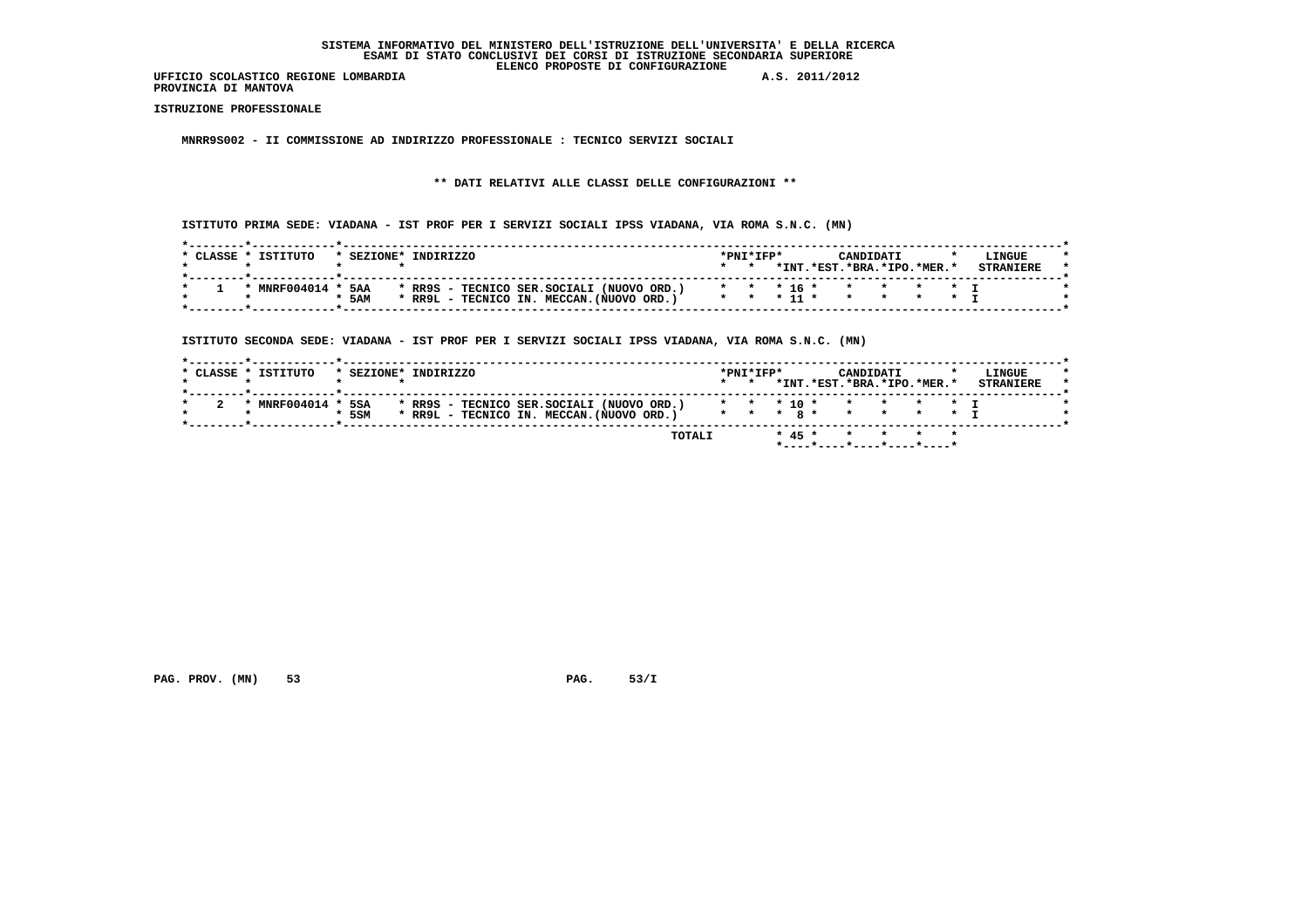**PROVINCIA DI MANTOVA**

 **ISTRUZIONE PROFESSIONALE**

 **MNRR9S002 - II COMMISSIONE AD INDIRIZZO PROFESSIONALE : TECNICO SERVIZI SOCIALI**

 **\*\* DATI RELATIVI ALLE CLASSI DELLE CONFIGURAZIONI \*\***

 **ISTITUTO PRIMA SEDE: VIADANA - IST PROF PER I SERVIZI SOCIALI IPSS VIADANA, VIA ROMA S.N.C. (MN)**

| CLASSE * | <b>TSTITITO</b> |       | * SEZIONE* | INDIRIZZO                                 |  |  |                                                                    | $*PNT*TFP*$ |          |          | CANDIDATI           |  | LINGUE |  |
|----------|-----------------|-------|------------|-------------------------------------------|--|--|--------------------------------------------------------------------|-------------|----------|----------|---------------------|--|--------|--|
|          |                 |       |            |                                           |  |  |                                                                    |             | $*$ TNT  | $.*EST.$ | $.*RRA.*TPO.*MFR.*$ |  |        |  |
|          |                 |       |            |                                           |  |  |                                                                    |             |          |          |                     |  |        |  |
|          | * $MNEF004014$  |       | <b>5AA</b> |                                           |  |  | * RR9S - TECNICO SER.SOCIALI (NUOVO ORD.) * * * 16 * * * * * * * I |             |          |          |                     |  |        |  |
|          |                 | * 5AM |            | * RR9L - TECNICO IN. MECCAN. (NUOVO ORD.) |  |  |                                                                    |             | $* 11 *$ |          |                     |  |        |  |
|          |                 |       |            |                                           |  |  |                                                                    |             |          |          |                     |  |        |  |

 **ISTITUTO SECONDA SEDE: VIADANA - IST PROF PER I SERVIZI SOCIALI IPSS VIADANA, VIA ROMA S.N.C. (MN)**

| * MNRF004014 * | 5SA<br>* 5SM |  | * RR9S - TECNICO SER.SOCIALI (NUOVO ORD.)<br>* RR9L - TECNICO IN. MECCAN. (NUOVO ORD.) | * * * * * * * * * T |  |  | * * * 10 * * * * * * T |  |  |
|----------------|--------------|--|----------------------------------------------------------------------------------------|---------------------|--|--|------------------------|--|--|

 **PAG. PROV. (MN) 53 PAG. 53/I**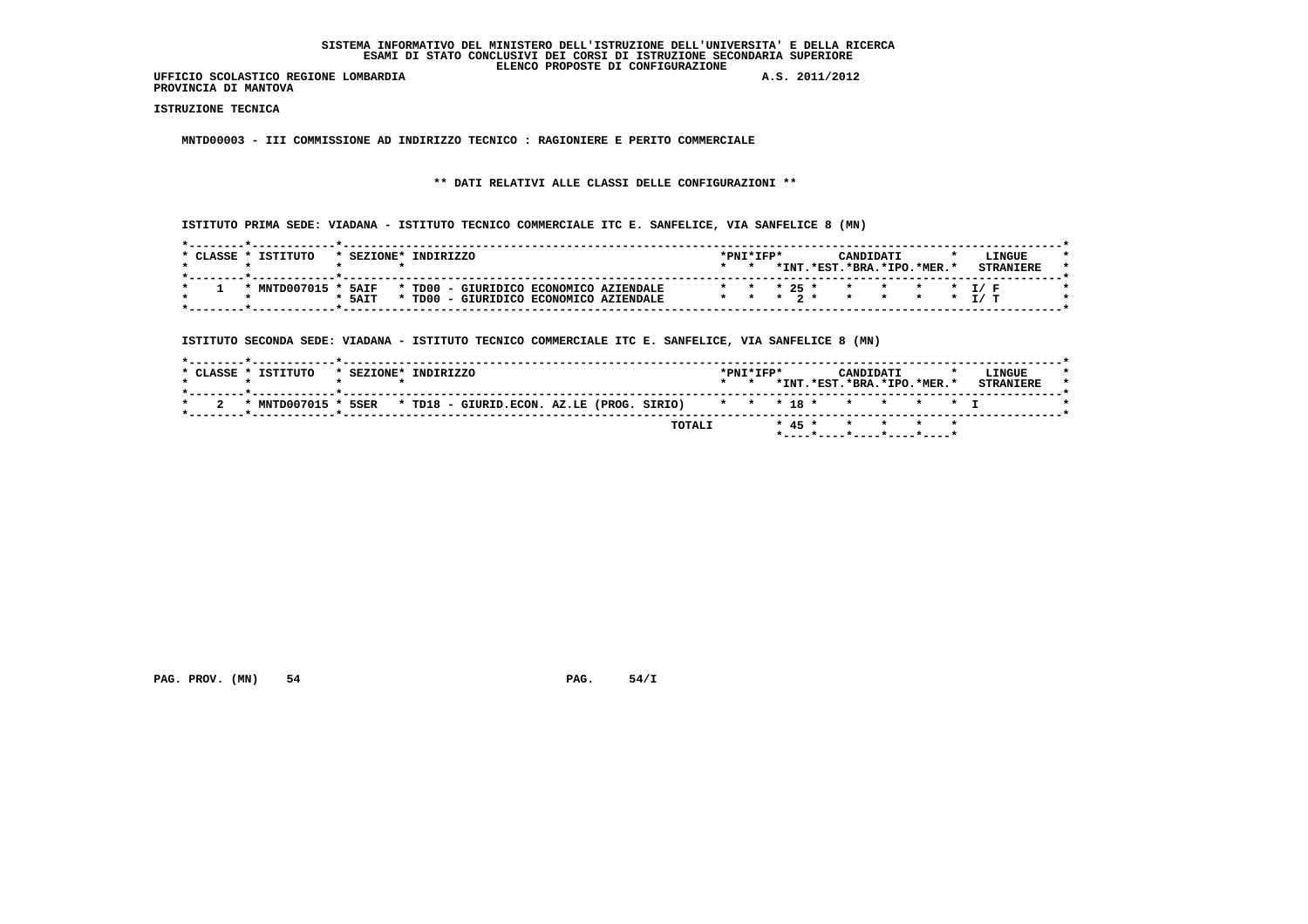**PROVINCIA DI MANTOVA**

 **ISTRUZIONE TECNICA**

 **MNTD00003 - III COMMISSIONE AD INDIRIZZO TECNICO : RAGIONIERE E PERITO COMMERCIALE**

# **\*\* DATI RELATIVI ALLE CLASSI DELLE CONFIGURAZIONI \*\***

 **ISTITUTO PRIMA SEDE: VIADANA - ISTITUTO TECNICO COMMERCIALE ITC E. SANFELICE, VIA SANFELICE 8 (MN)**

| CLASSE | TSTTTITO       | * SEZIONE* | TNDTRTZZO |  |                                        | *PNI*IFP* |  |         |             | CANDIDATI                |           |  | LINGUE |  |
|--------|----------------|------------|-----------|--|----------------------------------------|-----------|--|---------|-------------|--------------------------|-----------|--|--------|--|
|        |                |            |           |  |                                        |           |  | $*$ TNT |             | $.*EST.*BRA.*IPO.*MER.*$ |           |  |        |  |
|        |                |            |           |  |                                        |           |  |         |             |                          |           |  |        |  |
|        | * MNTD007015 * | 5AIF       |           |  | * TD00 - GIURIDICO ECONOMICO AZIENDALE |           |  |         |             | * * * 25 * * * * * T/F   |           |  |        |  |
|        |                | $*$ 5AIT   | * TD00    |  | GIURIDICO ECONOMICO AZIENDALE          |           |  |         | * * * 2 * * |                          | * * * T/T |  |        |  |
|        |                |            |           |  |                                        |           |  |         |             |                          |           |  |        |  |

 **ISTITUTO SECONDA SEDE: VIADANA - ISTITUTO TECNICO COMMERCIALE ITC E. SANFELICE, VIA SANFELICE 8 (MN)**

| * CLASSE * ISTITUTO | * SEZIONE* INDIRIZZO                                                                   |        | $*$ PNT $*$ TFP $*$ |  | CANDIDATI | *INT.*EST.*BRA.*IPO.*MER.* | LINGUE<br><b>STRANTERE</b> |
|---------------------|----------------------------------------------------------------------------------------|--------|---------------------|--|-----------|----------------------------|----------------------------|
|                     | * MNTD007015 * 5SER * TD18 - GIURID.ECON. AZ.LE (PROG. SIRIO) * * * 18 * * * * * * * I |        |                     |  |           |                            |                            |
|                     |                                                                                        | TOTALI |                     |  |           | * 45 * * * * * *           |                            |

 **PAG. PROV. (MN)** 54 **PAG. 54/I**